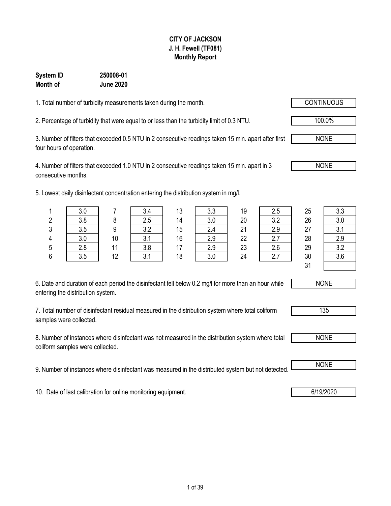### **CITY OF JACKSON J. H. Fewell (TF081) Monthly Report**

#### **System ID 250008-01 Month of June 2020**

1. Total number of turbidity measurements taken during the month.

2. Percentage of turbidity that were equal to or less than the turbidity limit of 0.3 NTU. 100.0%

3. Number of filters that exceeded 0.5 NTU in 2 consecutive readings taken 15 min. apart after first four hours of operation.

4. Number of filters that exceeded 1.0 NTU in 2 consecutive readings taken 15 min. apart in 3 consecutive months.

5. Lowest daily disinfectant concentration entering the distribution system in mg/l.

| 6. Date and duration of each period the disinfectant fell below 0.2 mg/l for more than an hour while |
|------------------------------------------------------------------------------------------------------|
| entering the distribution system.                                                                    |

7. Total number of disinfectant residual measured in the distribution system where total coliform samples were collected.

8. Number of instances where disinfectant was not measured in the distribution system where total coliform samples were collected.

9. Number of instances where disinfectant was measured in the distributed system but not detected. NONE

10. Date of last calibration for online monitoring equipment. **6/19/2020 10. Date of last calibration for online monitoring equipment.** 

1 | 3.0 | 7 | 3.4 | 13 | 3.3 | 19 | 2.5 | 25 | 3.3 2 | 3.8 | 8 | 2.5 | 14 | 3.0 | 20 | 3.2 | 26 | 3.0 3 3.5 9 3.2 15 2.4 21 2.9 27 3.1 4 | 3.0 | 10 | 3.1 | 16 | 2.9 | 22 | 2.7 | 28 | 2.9 5 2.8 11 3.8 17 2.9 23 2.6 29 3.2 6 3.5 12 3.1 18 3.0 24 2.7 30 3.6 31

NONE

135



NONE

NONE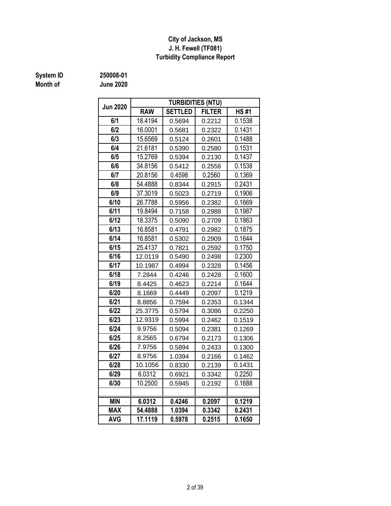#### **City of Jackson, MS J. H. Fewell (TF081) Turbidity Compliance Report**

## **System ID 250008-01**

**Month of June 2020**

| <b>Jun 2020</b> |            | <b>TURBIDITIES (NTU)</b> |               |             |
|-----------------|------------|--------------------------|---------------|-------------|
|                 | <b>RAW</b> | <b>SETTLED</b>           | <b>FILTER</b> | <b>HS#1</b> |
| 6/1             | 18.4194    | 0.5694                   | 0.2212        | 0.1538      |
| 6/2             | 16.0001    | 0.5681                   | 0.2322        | 0.1431      |
| 6/3             | 15.6569    | 0.5124                   | 0.2601        | 0.1488      |
| 6/4             | 21.6181    | 0.5390                   | 0.2580        | 0.1531      |
| 6/5             | 15.2769    | 0.5394                   | 0.2130        | 0.1437      |
| 6/6             | 34.8156    | 0.5412                   | 0.2556        | 0.1538      |
| 6/7             | 20.8156    | 0.4598                   | 0.2560        | 0.1369      |
| 6/8             | 54.4888    | 0.8344                   | 0.2915        | 0.2431      |
| 6/9             | 37.3019    | 0.5023                   | 0.2719        | 0.1906      |
| 6/10            | 26.7788    | 0.5956                   | 0.2382        | 0.1669      |
| 6/11            | 19.8494    | 0.7158                   | 0.2988        | 0.1987      |
| 6/12            | 18.3375    | 0.5090                   | 0.2709        | 0.1863      |
| 6/13            | 16.8581    | 0.4791                   | 0.2982        | 0.1875      |
| 6/14            | 16.8581    | 0.5302                   | 0.2909        | 0.1644      |
| 6/15            | 25.4137    | 0.7821                   | 0.2592        | 0.1750      |
| 6/16            | 12.0119    | 0.5490                   | 0.2498        | 0.2300      |
| 6/17            | 10.1987    | 0.4994                   | 0.2328        | 0.1456      |
| 6/18            | 7.2844     | 0.4246                   | 0.2428        | 0.1600      |
| 6/19            | 8.4425     | 0.4623                   | 0.2214        | 0.1644      |
| 6/20            | 8.1669     | 0.4449                   | 0.2097        | 0.1219      |
| 6/21            | 8.8856     | 0.7594                   | 0.2353        | 0.1344      |
| 6/22            | 25.3775    | 0.5794                   | 0.3086        | 0.2250      |
| 6/23            | 12.9319    | 0.5994                   | 0.2462        | 0.1519      |
| 6/24            | 9.9756     | 0.5094                   | 0.2381        | 0.1269      |
| 6/25            | 8.2565     | 0.6794                   | 0.2173        | 0.1306      |
| 6/26            | 7.9756     | 0.5894                   | 0.2433        | 0.1300      |
| 6/27            | 8.9756     | 1.0394                   | 0.2166        | 0.1462      |
| 6/28            | 10.1056    | 0.8330                   | 0.2139        | 0.1431      |
| 6/29            | 6.0312     | 0.6921                   | 0.3342        | 0.2250      |
| 6/30            | 10.2500    | 0.5945                   | 0.2192        | 0.1688      |
|                 |            |                          |               |             |
| <b>MIN</b>      | 6.0312     | 0.4246                   | 0.2097        | 0.1219      |
| <b>MAX</b>      | 54.4888    | 1.0394                   | 0.3342        | 0.2431      |
| <b>AVG</b>      | 17.1119    | 0.5978                   | 0.2515        | 0.1650      |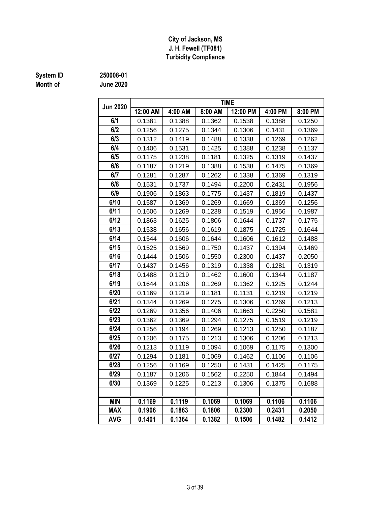#### **J. H. Fewell (TF081) Turbidity Compliance City of Jackson, MS**

# **System ID** 250008-01<br> **Month of** June 2020

**Month of June 2020**

| <b>Jun 2020</b> |          |         |         | <b>TIME</b> |         |         |
|-----------------|----------|---------|---------|-------------|---------|---------|
|                 | 12:00 AM | 4:00 AM | 8:00 AM | 12:00 PM    | 4:00 PM | 8:00 PM |
| 6/1             | 0.1381   | 0.1388  | 0.1362  | 0.1538      | 0.1388  | 0.1250  |
| 6/2             | 0.1256   | 0.1275  | 0.1344  | 0.1306      | 0.1431  | 0.1369  |
| 6/3             | 0.1312   | 0.1419  | 0.1488  | 0.1338      | 0.1269  | 0.1262  |
| 6/4             | 0.1406   | 0.1531  | 0.1425  | 0.1388      | 0.1238  | 0.1137  |
| 6/5             | 0.1175   | 0.1238  | 0.1181  | 0.1325      | 0.1319  | 0.1437  |
| 6/6             | 0.1187   | 0.1219  | 0.1388  | 0.1538      | 0.1475  | 0.1369  |
| 6/7             | 0.1281   | 0.1287  | 0.1262  | 0.1338      | 0.1369  | 0.1319  |
| 6/8             | 0.1531   | 0.1737  | 0.1494  | 0.2200      | 0.2431  | 0.1956  |
| 6/9             | 0.1906   | 0.1863  | 0.1775  | 0.1437      | 0.1819  | 0.1437  |
| 6/10            | 0.1587   | 0.1369  | 0.1269  | 0.1669      | 0.1369  | 0.1256  |
| 6/11            | 0.1606   | 0.1269  | 0.1238  | 0.1519      | 0.1956  | 0.1987  |
| 6/12            | 0.1863   | 0.1625  | 0.1806  | 0.1644      | 0.1737  | 0.1775  |
| 6/13            | 0.1538   | 0.1656  | 0.1619  | 0.1875      | 0.1725  | 0.1644  |
| 6/14            | 0.1544   | 0.1606  | 0.1644  | 0.1606      | 0.1612  | 0.1488  |
| 6/15            | 0.1525   | 0.1569  | 0.1750  | 0.1437      | 0.1394  | 0.1469  |
| 6/16            | 0.1444   | 0.1506  | 0.1550  | 0.2300      | 0.1437  | 0.2050  |
| 6/17            | 0.1437   | 0.1456  | 0.1319  | 0.1338      | 0.1281  | 0.1319  |
| 6/18            | 0.1488   | 0.1219  | 0.1462  | 0.1600      | 0.1344  | 0.1187  |
| 6/19            | 0.1644   | 0.1206  | 0.1269  | 0.1362      | 0.1225  | 0.1244  |
| 6/20            | 0.1169   | 0.1219  | 0.1181  | 0.1131      | 0.1219  | 0.1219  |
| 6/21            | 0.1344   | 0.1269  | 0.1275  | 0.1306      | 0.1269  | 0.1213  |
| 6/22            | 0.1269   | 0.1356  | 0.1406  | 0.1663      | 0.2250  | 0.1581  |
| 6/23            | 0.1362   | 0.1369  | 0.1294  | 0.1275      | 0.1519  | 0.1219  |
| 6/24            | 0.1256   | 0.1194  | 0.1269  | 0.1213      | 0.1250  | 0.1187  |
| 6/25            | 0.1206   | 0.1175  | 0.1213  | 0.1306      | 0.1206  | 0.1213  |
| 6/26            | 0.1213   | 0.1119  | 0.1094  | 0.1069      | 0.1175  | 0.1300  |
| 6/27            | 0.1294   | 0.1181  | 0.1069  | 0.1462      | 0.1106  | 0.1106  |
| 6/28            | 0.1256   | 0.1169  | 0.1250  | 0.1431      | 0.1425  | 0.1175  |
| 6/29            | 0.1187   | 0.1206  | 0.1562  | 0.2250      | 0.1844  | 0.1494  |
| 6/30            | 0.1369   | 0.1225  | 0.1213  | 0.1306      | 0.1375  | 0.1688  |
|                 |          |         |         |             |         |         |
| <b>MIN</b>      | 0.1169   | 0.1119  | 0.1069  | 0.1069      | 0.1106  | 0.1106  |
| <b>MAX</b>      | 0.1906   | 0.1863  | 0.1806  | 0.2300      | 0.2431  | 0.2050  |
| <b>AVG</b>      | 0.1401   | 0.1364  | 0.1382  | 0.1506      | 0.1482  | 0.1412  |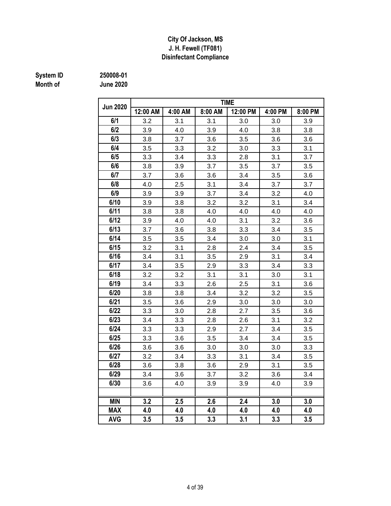#### **J. H. Fewell (TF081) City Of Jackson, MS Disinfectant Compliance**

# **Month of June 2020**

**System ID 250008-01**

| 250008-01          |  |
|--------------------|--|
| <u> 1110a 2021</u> |  |

|                 | <b>TIME</b> |         |         |          |         |         |  |  |  |  |  |  |
|-----------------|-------------|---------|---------|----------|---------|---------|--|--|--|--|--|--|
| <b>Jun 2020</b> | 12:00 AM    | 4:00 AM | 8:00 AM | 12:00 PM | 4:00 PM | 8:00 PM |  |  |  |  |  |  |
| 6/1             | 3.2         | 3.1     | 3.1     | 3.0      | 3.0     | 3.9     |  |  |  |  |  |  |
| 6/2             | 3.9         | 4.0     | 3.9     | 4.0      | 3.8     | 3.8     |  |  |  |  |  |  |
| 6/3             | 3.8         | 3.7     | 3.6     | 3.5      | 3.6     | 3.6     |  |  |  |  |  |  |
| 6/4             | 3.5         | 3.3     | 3.2     | 3.0      | 3.3     | 3.1     |  |  |  |  |  |  |
| 6/5             | 3.3         | 3.4     | 3.3     | 2.8      | 3.1     | 3.7     |  |  |  |  |  |  |
| 6/6             | 3.8         | 3.9     | 3.7     | 3.5      | 3.7     | 3.5     |  |  |  |  |  |  |
| 6/7             | 3.7         | 3.6     | 3.6     | 3.4      | 3.5     | 3.6     |  |  |  |  |  |  |
| 6/8             | 4.0         | 2.5     | 3.1     | 3.4      | 3.7     | 3.7     |  |  |  |  |  |  |
| 6/9             | 3.9         | 3.9     | 3.7     | 3.4      | 3.2     | 4.0     |  |  |  |  |  |  |
| 6/10            | 3.9         | 3.8     | 3.2     | 3.2      | 3.1     | 3.4     |  |  |  |  |  |  |
| 6/11            | 3.8         | 3.8     | 4.0     | 4.0      | 4.0     | 4.0     |  |  |  |  |  |  |
| 6/12            | 3.9         | 4.0     | 4.0     | 3.1      | 3.2     | 3.6     |  |  |  |  |  |  |
| 6/13            | 3.7         | 3.6     | 3.8     | 3.3      | 3.4     | 3.5     |  |  |  |  |  |  |
| 6/14            | 3.5         | 3.5     | 3.4     | 3.0      | 3.0     | 3.1     |  |  |  |  |  |  |
| 6/15            | 3.2         | 3.1     | 2.8     | 2.4      | 3.4     | 3.5     |  |  |  |  |  |  |
| 6/16            | 3.4         | 3.1     | 3.5     | 2.9      | 3.1     | 3.4     |  |  |  |  |  |  |
| 6/17            | 3.4         | 3.5     | 2.9     | 3.3      | 3.4     | 3.3     |  |  |  |  |  |  |
| 6/18            | 3.2         | 3.2     | 3.1     | 3.1      | 3.0     | 3.1     |  |  |  |  |  |  |
| 6/19            | 3.4         | 3.3     | 2.6     | 2.5      | 3.1     | 3.6     |  |  |  |  |  |  |
| 6/20            | 3.8         | 3.8     | 3.4     | 3.2      | 3.2     | 3.5     |  |  |  |  |  |  |
| 6/21            | 3.5         | 3.6     | 2.9     | 3.0      | 3.0     | 3.0     |  |  |  |  |  |  |
| 6/22            | 3.3         | 3.0     | 2.8     | 2.7      | 3.5     | 3.6     |  |  |  |  |  |  |
| 6/23            | 3.4         | 3.3     | 2.8     | 2.6      | 3.1     | 3.2     |  |  |  |  |  |  |
| 6/24            | 3.3         | 3.3     | 2.9     | 2.7      | 3.4     | 3.5     |  |  |  |  |  |  |
| 6/25            | 3.3         | 3.6     | 3.5     | 3.4      | 3.4     | 3.5     |  |  |  |  |  |  |
| 6/26            | 3.6         | 3.6     | 3.0     | 3.0      | 3.0     | 3.3     |  |  |  |  |  |  |
| 6/27            | 3.2         | 3.4     | 3.3     | 3.1      | 3.4     | 3.5     |  |  |  |  |  |  |
| 6/28            | 3.6         | 3.8     | 3.6     | 2.9      | 3.1     | 3.5     |  |  |  |  |  |  |
| 6/29            | 3.4         | 3.6     | 3.7     | 3.2      | 3.6     | 3.4     |  |  |  |  |  |  |
| 6/30            | 3.6         | 4.0     | 3.9     | 3.9      | 4.0     | 3.9     |  |  |  |  |  |  |
|                 |             |         |         |          |         |         |  |  |  |  |  |  |
| <b>MIN</b>      | 3.2         | 2.5     | 2.6     | 2.4      | 3.0     | 3.0     |  |  |  |  |  |  |
| <b>MAX</b>      | 4.0         | 4.0     | 4.0     | 4.0      | 4.0     | 4.0     |  |  |  |  |  |  |
| <b>AVG</b>      | 3.5         | 3.5     | 3.3     | 3.1      | 3.3     | 3.5     |  |  |  |  |  |  |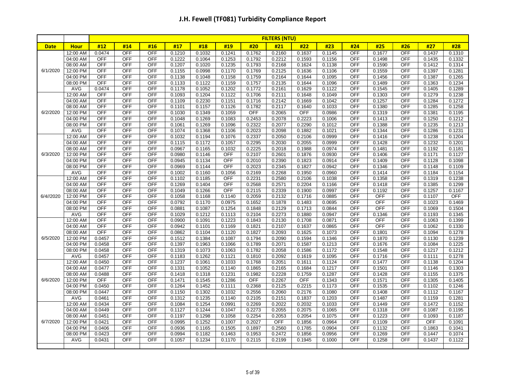|             |                        | <b>FILTERS (NTU)</b>     |                   |                          |                  |                  |                  |                  |                  |                  |                  |                          |                  |            |                  |                  |
|-------------|------------------------|--------------------------|-------------------|--------------------------|------------------|------------------|------------------|------------------|------------------|------------------|------------------|--------------------------|------------------|------------|------------------|------------------|
| <b>Date</b> | <b>Hour</b>            | #12                      | #14               | #16                      | #17              | #18              | #19              | #20              | #21              | #22              | #23              | #24                      | #25              | #26        | #27              | #28              |
|             | 12:00 AM               | 0.0474                   | OFF               | <b>OFF</b>               | 0.1210           | 0.1032           | 0.1241           | 0.1762           | 0.2160           | 0.1637           | 0.1145           | OFF                      | 0.1677           | OFF        | 0.1437           | 0.1310           |
|             | 04:00 AM               | <b>OFF</b>               | <b>OFF</b>        | <b>OFF</b>               | 0.1222           | 0.1064           | 0.1253           | 0.1792           | 0.2212           | 0.1593           | 0.1156           | <b>OFF</b>               | 0.1498           | <b>OFF</b> | 0.1435           | 0.1332           |
|             | 08:00 AM               | OFF                      | OFF               | <b>OFF</b>               | 0.1207           | 0.1020           | 0.1235           | 0.1793           | 0.2168           | 0.1624           | 0.1138           | OFF                      | 0.1590           | OFF        | 0.1412           | 0.1314           |
| 6/1/2020    | 12:00 PM               | <b>OFF</b>               | <b>OFF</b>        | <b>OFF</b>               | 0.1155           | 0.0998           | 0.1170           | 0.1769           | 0.2125           | 0.1636           | 0.1106           | <b>OFF</b>               | 0.1559           | <b>OFF</b> | 0.1397           | 0.1281           |
|             | 04:00 PM               | <b>OFF</b>               | <b>OFF</b>        | <b>OFF</b>               | 0.1138           | 0.1048           | 0.1158           | 0.1759           | 0.2164           | 0.1644           | 0.1095           | <b>OFF</b>               | 0.1456           | <b>OFF</b> | 0.1387           | 0.1265           |
|             | 08:00 PM               | <b>OFF</b>               | <b>OFF</b>        | <b>OFF</b>               | 0.1133           | 0.1122           | 0.1159           | 0.1757           | 0.2135           | 0.1644           | 0.1096           | <b>OFF</b>               | 0.1489           | <b>OFF</b> | 0.1363           | 0.1234           |
|             | AVG                    | 0.0474                   | <b>OFF</b>        | OFF                      | 0.1178           | 0.1052           | 0.1202           | 0.1772           | 0.2161           | 0.1629           | 0.1122           | <b>OFF</b>               | 0.1545           | <b>OFF</b> | 0.1405           | 0.1289           |
|             | 12:00 AM               | OFF                      | OFF               | <b>OFF</b>               | 0.1093           | 0.1204           | 0.1122           | 0.1706           | 0.2111           | 0.1648           | 0.1049           | <b>OFF</b>               | 0.1303           | OFF        | 0.1279           | 0.1238           |
|             | 04:00 AM               | OFF                      | OFF               | <b>OFF</b>               | 0.1109           | 0.2230           | 0.1151           | 0.1716           | 0.2142           | 0.1669           | 0.1042           | <b>OFF</b>               | 0.1257           | OFF        | 0.1284           | 0.1272           |
|             | 08:00 AM               | OFF                      | OFF               | <b>OFF</b>               | 0.1101           | 0.1157           | 0.1126           | 0.1782           | 0.2117           | 0.1640           | 0.1033           | <b>OFF</b>               | 0.1380           | OFF        | 0.1285           | 0.1258           |
| 6/2/2020    | 12:00 PM               | <b>OFF</b>               | OFF               | <b>OFF</b>               | 0.1030           | 0.1349           | 0.1059           | <b>OFF</b>       | 0.2065           | <b>OFF</b>       | 0.0986           | <b>OFF</b>               | 0.1319           | OFF        | 0.1381           | 0.1195           |
|             | 04:00 PM               | <b>OFF</b>               | OFF               | <b>OFF</b>               | 0.1048           | 0.1269           | 0.1083           | 0.2453           | 0.2078           | 0.2223           | 0.1006           | <b>OFF</b>               | 0.1413           | OFF        | 0.1250           | 0.1212           |
|             | 08:00 PM               | <b>OFF</b><br><b>OFF</b> | OFF               | <b>OFF</b>               | 0.1061           | 0.1269           | 0.1096           | 0.2322           | 0.2077           | 0.2290           | 0.1012           | <b>OFF</b><br>OFF        | 0.1388           | OFF        | 0.1235           | 0.1213           |
|             | AVG<br>12:00 AM        | <b>OFF</b>               | OFF<br>OFF        | <b>OFF</b><br><b>OFF</b> | 0.1074<br>0.1032 | 0.1368<br>0.1194 | 0.1106<br>0.1076 | 0.2023<br>0.2337 | 0.2098<br>0.2050 | 0.1882<br>0.2106 | 0.1021<br>0.0999 | <b>OFF</b>               | 0.1344<br>0.1416 | OFF<br>OFF | 0.1286<br>0.1238 | 0.1231<br>0.1204 |
|             | 04:00 AM               | OFF                      | OFF               | <b>OFF</b>               | 0.1115           | 0.1172           | 0.1057           | 0.2295           | 0.2030           | 0.2055           | 0.0999           | <b>OFF</b>               | 0.1428           | OFF        | 0.1232           | 0.1201           |
|             | 08:00 AM               | <b>OFF</b>               | <b>OFF</b>        | <b>OFF</b>               | 0.0967           | 0.1165           | 0.1032           | 0.2225           | 0.2018           | 0.1988           | 0.0974           | <b>OFF</b>               | 0.1481           | <b>OFF</b> | 0.1192           | 0.1181           |
| 6/3/2020    | 12:00 PM               | <b>OFF</b>               | <b>OFF</b>        | <b>OFF</b>               | 0.0980           | 0.1146           | <b>OFF</b>       | 0.2107           | 0.2601           | 0.1876           | 0.0930           | <b>OFF</b>               | 0.1406           | OFF        | 0.1171           | 0.1127           |
|             | 04:00 PM               | <b>OFF</b>               | <b>OFF</b>        | <b>OFF</b>               | 0.0945           | 0.1134           | <b>OFF</b>       | 0.2010           | 0.2390           | 0.1823           | 0.0914           | <b>OFF</b>               | 0.1409           | OFF        | 0.1128           | 0.1098           |
|             | 08:00 PM               | <b>OFF</b>               | OFF               | <b>OFF</b>               | 0.0969           | 0.1144           | OFF              | 0.2023           | 0.2345           | 0.1827           | 0.0942           | <b>OFF</b>               | 0.1346           | OFF        | 0.1148           | 0.1109           |
|             | AVG                    | <b>OFF</b>               | <b>OFF</b>        | <b>OFF</b>               | 0.1002           | 0.1160           | 0.1056           | 0.2169           | 0.2268           | 0.1950           | 0.0960           | <b>OFF</b>               | 0.1414           | OFF        | 0.1184           | 0.1154           |
|             | 12:00 AM               | <b>OFF</b>               | <b>OFF</b>        | OFF                      | 0.1102           | 0.1185           | <b>OFF</b>       | 0.2231           | 0.2580           | 0.2106           | 0.1038           | <b>OFF</b>               | 0.1358           | <b>OFF</b> | 0.1319           | 0.1238           |
|             | 04:00 AM               | <b>OFF</b>               | OFF               | <b>OFF</b>               | 0.1269           | 0.1404           | <b>OFF</b>       | 0.2568           | 0.2571           | 0.2204           | 0.1166           | OFF                      | 0.1418           | OFF        | 0.1385           | 0.1299           |
|             | 08:00 AM               | <b>OFF</b>               | <b>OFF</b>        | OFF                      | 0.1049           | 0.1266           | <b>OFF</b>       | 0.2115           | 0.2339           | 0.1900           | 0.0997           | <b>OFF</b>               | 0.1192           | OFF        | 0.1257           | 0.1167           |
| 6/4//2020   | 12:00 PM               | OFF                      | OFF               | <b>OFF</b>               | 0.1058           | 0.1168           | 0.1140           | 0.2059           | 0.2132           | 0.1716           | 0.0885           | <b>OFF</b>               | OFF              | OFF        | 0.1107           | <b>OFF</b>       |
|             | 04:00 PM               | <b>OFF</b>               | OFF               | <b>OFF</b>               | 0.0792           | 0.1170           | 0.0975           | 0.1652           | 0.1878           | 0.1483           | 0.0695           | <b>OFF</b>               | <b>OFF</b>       | OFF        | 0.1023           | 0.1469           |
|             | 08:00 PM               | <b>OFF</b>               | <b>OFF</b>        | <b>OFF</b>               | 0.0881           | 0.1087           | 0.1254           | 0.1848           | 0.2129           | 0.1713           | 0.0844           | <b>OFF</b>               | OFF              | OFF        | 0.1069           | 0.1504           |
|             | AVG                    | <b>OFF</b>               | OFF               | <b>OFF</b>               | 0.1029           | 0.1212           | 0.1113           | 0.2104           | 0.2273           | 0.1880           | 0.0947           | OFF                      | 0.1346           | OFF        | 0.1193           | 0.1345           |
|             | 12:00 AM               | <b>OFF</b>               | OFF               | <b>OFF</b>               | 0.0900           | 0.1091           | 0.1223           | 0.1843           | 0.2130           | 0.1708           | 0.0871           | <b>OFF</b>               | <b>OFF</b>       | OFF        | 0.1063           | 0.1399           |
|             | 04:00 AM               | <b>OFF</b>               | OFF               | <b>OFF</b>               | 0.0942           | 0.1101           | 0.1169           | 0.1821           | 0.2107           | 0.1637           | 0.0865           | OFF                      | <b>OFF</b>       | OFF        | 0.1062           | 0.1330           |
|             | 08:00 AM               | <b>OFF</b>               | <b>OFF</b>        | <b>OFF</b>               | 0.0862           | 0.1104           | 0.1120           | 0.1827           | 0.2093           | 0.1625           | 0.1073           | <b>OFF</b>               | 0.1801           | OFF        | 0.1094           | 0.1278           |
| 6/5/2020    | 12:00 PM               | 0.0457                   | OFF               | <b>OFF</b>               | 0.1512           | 0.1384           | 0.1087           | 0.1794           | 0.2090           | 0.1594           | 0.1346           | <b>OFF</b>               | 0.1870           | OFF        | 0.1130           | 0.1239           |
|             | 04:00 PM               | 0.0458                   | OFF               | <b>OFF</b>               | 0.1397           | 0.1963           | 0.1066           | 0.1789           | 0.2071           | 0.1587           | 0.1213           | OFF                      | 0.1676           | OFF        | 0.1084           | 0.1225           |
|             | 08:00 PM               | 0.0458                   | <b>OFF</b>        | <b>OFF</b>               | 0.1319           | 0.1073           | 0.1063           | 0.1782           | 0.2058           | 0.1586           | 0.1172           | OFF                      | 0.1548           | <b>OFF</b> | 0.1217           | 0.1212           |
|             | AVG                    | 0.0457                   | <b>OFF</b>        | <b>OFF</b>               | 0.1183           | 0.1262           | 0.1121           | 0.1810           | 0.2092           | 0.1619           | 0.1095           | <b>OFF</b>               | 0.1716           | <b>OFF</b> | 0.1111           | 0.1278           |
|             | 12:00 AM               | 0.0450                   | <b>OFF</b>        | <b>OFF</b>               | 0.1237           | 0.1061           | 0.1033           | 0.1768           | 0.2051           | 0.1611           | 0.1124           | <b>OFF</b>               | 0.1477           | <b>OFF</b> | 0.1138           | 0.1204           |
|             | 04:00 AM               | 0.0477                   | <b>OFF</b>        | <b>OFF</b>               | 0.1331           | 0.1052           | 0.1140           | 0.1865           | 0.2165           | 0.1684           | 0.1217           | <b>OFF</b>               | 0.1501           | <b>OFF</b> | 0.1146           | 0.1303           |
|             | 08:00 AM               | 0.0488                   | <b>OFF</b>        | <b>OFF</b>               | 0.1418           | 0.1318           | 0.1231           | 0.1982           | 0.2228           | 0.1759           | 0.1287           | OFF                      | 0.1428           | <b>OFF</b> | 0.1155           | 0.1375           |
| 6/6/2020    | 12:00 PM               | <b>OFF</b>               | OFF               | <b>OFF</b>               | 0.1471           | 0.1545           | 0.1286           | <b>OFF</b>       | 0.2267           | <b>OFF</b>       | 0.1343           | OFF                      | 0.1571           | OFF        | 0.1305           | 0.1405           |
|             | 04:00 PM               | 0.0450                   | OFF               | <b>OFF</b>               | 0.1264           | 0.1452           | 0.1111           | 0.2368           | 0.2125           | 0.2215           | 0.1173           | OFF                      | 0.1535           | OFF        | 0.1102           | 0.1246           |
|             | 08:00 PM               | 0.0447                   | <b>OFF</b>        | <b>OFF</b>               | 0.1150           | 0.1302           | 0.1032           | 0.2556           | 0.2060           | 0.2176           | 0.1080           | <b>OFF</b>               | 0.1408           | OFF        | 0.1112           | 0.1167           |
|             | AVG                    | 0.0461                   | OFF               | <b>OFF</b>               | 0.1312           | 0.1235           | 0.1140           | 0.2105           | 0.2151           | 0.1837           | 0.1203           | <b>OFF</b>               | 0.1487           | <b>OFF</b> | 0.1159           | 0.1281           |
|             | 12:00 AM               | 0.0434                   | OFF               | <b>OFF</b>               | 0.1084           | 0.1254           | 0.0991           | 0.2269           | 0.2022           | 0.2032           | 0.1033           | <b>OFF</b>               | 0.1449           | OFF        | 0.1472           | 0.1152           |
|             | 04:00 AM               | 0.0449                   | <b>OFF</b>        | <b>OFF</b>               | 0.1127           | 0.1244           | 0.1047           | 0.2273           | 0.2055           | 0.2075           | 0.1065           | <b>OFF</b>               | 0.1318           | <b>OFF</b> | 0.1087           | 0.1195           |
|             | 08:00 AM               | 0.0451                   | OFF               | <b>OFF</b>               | 0.1197           | 0.1298           | 0.1058           | 0.2254           | 0.2053           | 0.2054           | 0.1075           | OFF                      | 0.1223           | OFF        | 0.1093           | 0.1187           |
| 6/7/2020    | 12:00 PM               | 0.0421                   | OFF               | <b>OFF</b>               | 0.0995           | 0.1252           | 0.1007           | 0.2027           | <b>OFF</b>       | 0.1856           | 0.0964           | <b>OFF</b>               | 0.1109           | OFF        | <b>OFF</b>       | 0.1091           |
|             | 04:00 PM               | 0.0406                   | OFF               | <b>OFF</b>               | 0.0936           | 0.1165           | 0.1505           | 0.1897           | 0.2560           | 0.1785           | 0.0904           | OFF                      | 0.1132           | OFF        | 0.1863           | 0.1041           |
|             | 08:00 PM<br><b>AVG</b> | 0.0423<br>0.0431         | OFF<br><b>OFF</b> | <b>OFF</b><br>OFF        | 0.0994<br>0.1057 | 0.1182<br>0.1234 | 0.1463<br>0.1170 | 0.1953<br>0.2115 | 0.2472<br>0.2199 | 0.1856<br>0.1945 | 0.0956           | <b>OFF</b><br><b>OFF</b> | 0.1269<br>0.1258 | OFF<br>OFF | 0.1447<br>0.1437 | 0.1074<br>0.1122 |
|             |                        |                          |                   |                          |                  |                  |                  |                  |                  |                  | 0.1000           |                          |                  |            |                  |                  |
|             |                        |                          |                   |                          |                  |                  |                  |                  |                  |                  |                  |                          |                  |            |                  |                  |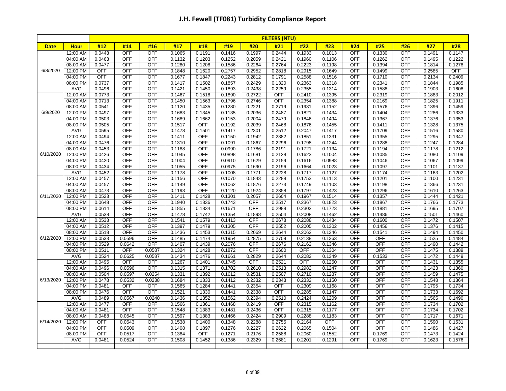| #12<br>#19<br>#20<br>#22<br>#23<br>#25<br>#14<br>#16<br>#17<br>#18<br>#21<br>#24<br>#26<br><b>Date</b><br><b>Hour</b><br>12:00 AM<br>0.0443<br>OFF<br><b>OFF</b><br>0.1065<br>0.1191<br>0.1416<br>0.1997<br>0.2444<br>0.1933<br>0.1013<br><b>OFF</b><br>0.1330<br>OFF<br><b>OFF</b><br><b>OFF</b><br>04:00 AM<br>0.0463<br>0.1203<br>0.1252<br>0.2059<br>0.2421<br>0.1960<br><b>OFF</b><br>0.1262<br><b>OFF</b><br>0.1132<br>0.1106<br>08:00 AM<br>0.0477<br>OFF<br><b>OFF</b><br>0.1586<br>0.2264<br>0.2223<br>OFF<br>0.1394<br>OFF<br>0.1280<br>0.1208<br>0.2764<br>0.1198<br><b>OFF</b><br>6/8/2020<br><b>OFF</b><br><b>OFF</b><br>0.2757<br>0.2952<br>0.2915<br><b>OFF</b><br><b>OFF</b><br>12:00 PM<br>0.1848<br>0.1620<br>0.2818<br>0.1649<br>0.1499 | #27<br>0.1491<br>0.1495<br>0.1814<br>0.2585<br>0.2134 | #28<br>0.1147<br>0.1222<br>0.1278 |
|------------------------------------------------------------------------------------------------------------------------------------------------------------------------------------------------------------------------------------------------------------------------------------------------------------------------------------------------------------------------------------------------------------------------------------------------------------------------------------------------------------------------------------------------------------------------------------------------------------------------------------------------------------------------------------------------------------------------------------------------------------|-------------------------------------------------------|-----------------------------------|
|                                                                                                                                                                                                                                                                                                                                                                                                                                                                                                                                                                                                                                                                                                                                                            |                                                       |                                   |
|                                                                                                                                                                                                                                                                                                                                                                                                                                                                                                                                                                                                                                                                                                                                                            |                                                       |                                   |
|                                                                                                                                                                                                                                                                                                                                                                                                                                                                                                                                                                                                                                                                                                                                                            |                                                       |                                   |
|                                                                                                                                                                                                                                                                                                                                                                                                                                                                                                                                                                                                                                                                                                                                                            |                                                       |                                   |
|                                                                                                                                                                                                                                                                                                                                                                                                                                                                                                                                                                                                                                                                                                                                                            |                                                       | OFF                               |
| <b>OFF</b><br><b>OFF</b><br>0.2243<br>0.2812<br>0.1710<br>04:00 PM<br>OFF<br>0.1677<br>0.1847<br>0.1791<br>0.2588<br>0.1516<br><b>OFF</b><br>OFF                                                                                                                                                                                                                                                                                                                                                                                                                                                                                                                                                                                                           |                                                       | 0.2409                            |
| 08:00 PM<br>0.0737<br>OFF<br><b>OFF</b><br>0.1502<br>0.1857<br>0.2429<br>0.1320<br>0.2363<br><b>OFF</b><br>0.2341<br>OFF<br>0.1417<br>0.1318                                                                                                                                                                                                                                                                                                                                                                                                                                                                                                                                                                                                               | 0.1844                                                | 0.1985                            |
| <b>OFF</b><br><b>OFF</b><br><b>OFF</b><br>AVG<br>0.0496<br>0.1450<br>0.1893<br>0.2438<br>0.2259<br>0.2355<br>0.1588<br><b>OFF</b><br>0.1421<br>0.1314                                                                                                                                                                                                                                                                                                                                                                                                                                                                                                                                                                                                      | 0.1903                                                | 0.1608                            |
| 12:00 AM<br>0.0773<br>OFF<br><b>OFF</b><br>0.1890<br>0.2722<br>OFF<br>OFF<br>0.2319<br>OFF<br>0.1467<br>0.1518<br>0.2410<br>0.1395                                                                                                                                                                                                                                                                                                                                                                                                                                                                                                                                                                                                                         | 0.1883                                                | 0.2012                            |
| 04:00 AM<br>0.0713<br>OFF<br><b>OFF</b><br>0.1563<br>0.1796<br>0.2746<br><b>OFF</b><br>0.2354<br><b>OFF</b><br>0.2169<br>OFF<br>0.1450<br>0.1388                                                                                                                                                                                                                                                                                                                                                                                                                                                                                                                                                                                                           | 0.1825                                                | 0.1911                            |
| 0.0541<br><b>OFF</b><br><b>OFF</b><br>0.1280<br>0.2221<br>0.1576<br>08:00 AM<br>0.1120<br>0.1435<br>0.2719<br>0.1931<br>0.1152<br>OFF<br>OFF                                                                                                                                                                                                                                                                                                                                                                                                                                                                                                                                                                                                               | 0.1396                                                | 0.1459                            |
| 6/9/2020<br>12:00 PM<br>0.0497<br>OFF<br><b>OFF</b><br>0.1345<br>0.1135<br>0.2036<br>0.2487<br>0.1821<br>0.1434<br><b>OFF</b><br>0.1404<br>OFF<br>0.1683                                                                                                                                                                                                                                                                                                                                                                                                                                                                                                                                                                                                   | 0.1286                                                | 0.1333                            |
| 04:00 PM<br>0.0503<br>OFF<br><b>OFF</b><br>0.1662<br>0.1153<br>0.2004<br>0.2479<br>0.1494<br><b>OFF</b><br>0.1367<br>OFF<br>0.1689<br>0.1846                                                                                                                                                                                                                                                                                                                                                                                                                                                                                                                                                                                                               | 0.1376                                                | 0.1353                            |
| 08:00 PM<br>0.0505<br><b>OFF</b><br><b>OFF</b><br><b>OFF</b><br>0.1192<br>0.2039<br>OFF<br><b>OFF</b><br>0.1517<br>0.2468<br>0.1876<br>0.1455<br>0.1411                                                                                                                                                                                                                                                                                                                                                                                                                                                                                                                                                                                                    | 0.1328                                                | 0.1375                            |
| <b>OFF</b><br>AVG<br>0.0595<br><b>OFF</b><br>0.1501<br>0.1417<br>0.2301<br>0.2512<br>0.2047<br>OFF<br>0.1709<br>OFF<br>0.1478<br>0.1417                                                                                                                                                                                                                                                                                                                                                                                                                                                                                                                                                                                                                    | 0.1516                                                | 0.1580                            |
| <b>OFF</b><br>12:00 AM<br>0.0494<br>OFF<br>0.1411<br>OFF<br>0.1150<br>0.1942<br>0.2382<br>0.1851<br>0.1331<br><b>OFF</b><br>0.1355<br>OFF                                                                                                                                                                                                                                                                                                                                                                                                                                                                                                                                                                                                                  | 0.1295                                                | 0.1347                            |
| 04:00 AM<br>0.0476<br>OFF<br><b>OFF</b><br>OFF<br>0.1091<br>0.1867<br>0.2296<br><b>OFF</b><br>0.1288<br>OFF<br>0.1310<br>0.1798<br>0.1244                                                                                                                                                                                                                                                                                                                                                                                                                                                                                                                                                                                                                  | 0.1247                                                | 0.1284                            |
| 08:00 AM<br>0.0453<br><b>OFF</b><br><b>OFF</b><br>0.1188<br>OFF<br>0.0990<br>0.1786<br>0.2191<br>0.1721<br>0.1134<br><b>OFF</b><br>0.1194<br>OFF                                                                                                                                                                                                                                                                                                                                                                                                                                                                                                                                                                                                           | 0.1178                                                | 0.1212                            |
| 0.0426<br><b>OFF</b><br><b>OFF</b><br><b>OFF</b><br>6/10/2020<br>12:00 PM<br>0.1045<br><b>OFF</b><br>0.0898<br>0.1681<br>0.2128<br>0.1623<br>0.1004<br>0.1085<br><b>OFF</b>                                                                                                                                                                                                                                                                                                                                                                                                                                                                                                                                                                                | 0.1080                                                | 0.1109                            |
| 04:00 PM<br>0.0420<br><b>OFF</b><br><b>OFF</b><br>OFF<br>0.0910<br>0.1629<br>0.2159<br><b>OFF</b><br><b>OFF</b><br>0.1004<br>0.1616<br>0.0988<br>0.1046                                                                                                                                                                                                                                                                                                                                                                                                                                                                                                                                                                                                    | 0.1067                                                | 0.1099                            |
| <b>OFF</b><br>08:00 PM<br>0.0434<br>OFF<br>0.1055<br><b>OFF</b><br>0.0975<br>0.1690<br>0.2196<br>0.1664<br>0.1023<br><b>OFF</b><br>0.1097<br>OFF                                                                                                                                                                                                                                                                                                                                                                                                                                                                                                                                                                                                           | 0.1101                                                | 0.1137                            |
| AVG<br>0.0452<br>OFF<br><b>OFF</b><br>OFF<br>0.1771<br>0.2228<br>0.1717<br><b>OFF</b><br>0.1178<br>0.1008<br>0.1127<br><b>OFF</b><br>0.1174                                                                                                                                                                                                                                                                                                                                                                                                                                                                                                                                                                                                                | 0.1163                                                | 0.1202                            |
| 12:00 AM<br>OFF<br>0.0457<br><b>OFF</b><br>0.1156<br><b>OFF</b><br>0.1070<br>0.1843<br>0.2288<br>0.1753<br>0.1113<br><b>OFF</b><br>0.1201<br><b>OFF</b>                                                                                                                                                                                                                                                                                                                                                                                                                                                                                                                                                                                                    | 0.1100                                                | 0.1231                            |
| <b>OFF</b><br><b>OFF</b><br>0.2273<br>OFF<br>04:00 AM<br>0.0457<br><b>OFF</b><br>0.1149<br>0.1062<br>0.1876<br>0.1749<br>0.1103<br>0.1198<br><b>OFF</b>                                                                                                                                                                                                                                                                                                                                                                                                                                                                                                                                                                                                    | 0.1366                                                | 0.1231                            |
| 0.0473<br><b>OFF</b><br><b>OFF</b><br>OFF<br>0.1924<br>0.2358<br>OFF<br><b>OFF</b><br>08:00 AM<br>0.1193<br>0.1120<br>0.1797<br>0.1423<br>0.1296                                                                                                                                                                                                                                                                                                                                                                                                                                                                                                                                                                                                           | 0.1610                                                | 0.1263                            |
| 6/11/2020<br>12:00 PM<br>0.0523<br><b>OFF</b><br><b>OFF</b><br><b>OFF</b><br>0.1411<br>0.1428<br>0.1301<br>0.2057<br>0.2604<br>0.1967<br>0.1357<br><b>OFF</b><br>0.1514                                                                                                                                                                                                                                                                                                                                                                                                                                                                                                                                                                                    | 0.1444                                                | 0.1421                            |
| 0.0648<br>OFF<br><b>OFF</b><br>0.1743<br><b>OFF</b><br><b>OFF</b><br>OFF<br>04:00 PM<br>0.1940<br>0.1836<br>0.2517<br>0.2367<br>0.1823<br>0.1867                                                                                                                                                                                                                                                                                                                                                                                                                                                                                                                                                                                                           | 0.1766                                                | 0.1773                            |
| OFF<br>0.1671<br><b>OFF</b><br>08:00 PM<br>0.0614<br><b>OFF</b><br>0.1834<br>0.2988<br>0.2302<br><b>OFF</b><br>0.1881<br><b>OFF</b><br>0.1855<br>0.1723                                                                                                                                                                                                                                                                                                                                                                                                                                                                                                                                                                                                    | 0.1695                                                | 0.1707                            |
| <b>AVG</b><br>0.0538<br><b>OFF</b><br><b>OFF</b><br>0.1354<br>0.2504<br><b>OFF</b><br>0.1478<br>0.1742<br>0.1898<br>0.2008<br>0.1462<br>0.1486<br>OFF                                                                                                                                                                                                                                                                                                                                                                                                                                                                                                                                                                                                      | 0.1501                                                | 0.1460                            |
| 12:00 AM<br>0.0538<br><b>OFF</b><br><b>OFF</b><br>0.1579<br>0.1413<br><b>OFF</b><br><b>OFF</b><br>OFF<br>0.1541<br>0.2678<br>0.2088<br>0.1434<br>0.1600<br><b>OFF</b>                                                                                                                                                                                                                                                                                                                                                                                                                                                                                                                                                                                      | 0.1472                                                | 0.1507                            |
| 0.0512<br><b>OFF</b><br><b>OFF</b><br>0.1305<br><b>OFF</b><br><b>OFF</b><br>04:00 AM<br>0.1479<br>0.2552<br>0.2005<br>0.1302<br>0.1456<br>0.1397<br><b>OFF</b><br><b>OFF</b><br>OFF                                                                                                                                                                                                                                                                                                                                                                                                                                                                                                                                                                        | 0.1376                                                | 0.1415                            |
| 0.0518<br><b>OFF</b><br>08:00 AM<br>0.1436<br>0.1453<br>0.1315<br>0.2069<br>0.2644<br>0.2062<br>0.1346<br>0.1541<br>6/12/2020<br>0.2875<br><b>OFF</b><br><b>OFF</b><br><b>OFF</b>                                                                                                                                                                                                                                                                                                                                                                                                                                                                                                                                                                          | 0.1494                                                | 0.1450                            |
| 12:00 PM<br>0.0533<br><b>OFF</b><br>0.1474<br>0.1954<br>0.2709<br>0.0596<br>0.1485<br>0.2138<br>0.1363<br>0.0529<br><b>OFF</b><br>0.2076<br><b>OFF</b><br><b>OFF</b><br><b>OFF</b><br>04:00 PM<br>0.0642<br>0.1407<br>0.1439<br>0.2676<br>0.2162<br>0.1346<br><b>OFF</b>                                                                                                                                                                                                                                                                                                                                                                                                                                                                                   | 0.1525<br>0.1490                                      | 0.1484<br>0.1442                  |
| <b>OFF</b><br>08:00 PM<br>0.0511<br>OFF<br>0.0587<br>0.1428<br>0.1872<br><b>OFF</b><br>0.2600<br>OFF<br><b>OFF</b><br>OFF                                                                                                                                                                                                                                                                                                                                                                                                                                                                                                                                                                                                                                  |                                                       | 0.1389                            |
| 0.1324<br>0.1304<br><b>AVG</b><br>0.0524<br>0.0625<br>0.1661<br>0.2829<br>0.2082<br><b>OFF</b><br><b>OFF</b><br>0.0587<br>0.1434<br>0.1476<br>0.2644<br>0.1349<br>0.1533                                                                                                                                                                                                                                                                                                                                                                                                                                                                                                                                                                                   | 0.1475<br>0.1472                                      | 0.1449                            |
| 0.0495<br><b>OFF</b><br><b>OFF</b><br>0.1745<br><b>OFF</b><br><b>OFF</b><br><b>OFF</b><br><b>OFF</b><br><b>OFF</b><br>12:00 AM<br>0.1267<br>0.1401<br>0.2521<br>0.1250                                                                                                                                                                                                                                                                                                                                                                                                                                                                                                                                                                                     | 0.1431                                                | 0.1355                            |
| 04:00 AM<br>0.0496<br>0.0596<br><b>OFF</b><br>0.1371<br>0.1702<br>0.2610<br>0.2513<br>0.2982<br>0.1247<br><b>OFF</b><br>OFF<br><b>OFF</b><br>0.1315                                                                                                                                                                                                                                                                                                                                                                                                                                                                                                                                                                                                        | 0.1423                                                | 0.1360                            |
| 0.1612<br>0.2531<br>08:00 AM<br>0.0504<br>0.0597<br>0.0254<br>0.1392<br>0.2507<br>0.2710<br><b>OFF</b><br><b>OFF</b><br><b>OFF</b><br>0.1331<br>0.1287                                                                                                                                                                                                                                                                                                                                                                                                                                                                                                                                                                                                     | 0.1459                                                | 0.1475                            |
| 6/13/2020<br>12:00 PM<br>0.0478<br>0.1412<br>0.2332<br>0.2343<br>0.2332<br><b>OFF</b><br><b>OFF</b><br>OFF<br>0.0532<br>0.0238<br>0.1684<br>0.1333<br>0.1150                                                                                                                                                                                                                                                                                                                                                                                                                                                                                                                                                                                               | 0.1548                                                | 0.1364                            |
| 04:00 PM<br>0.0481<br>OFF<br><b>OFF</b><br>0.1284<br>0.1441<br>0.2354<br><b>OFF</b><br>0.2309<br><b>OFF</b><br><b>OFF</b><br><b>OFF</b><br>0.1565<br>0.1168                                                                                                                                                                                                                                                                                                                                                                                                                                                                                                                                                                                                | 0.1795                                                | 0.1734                            |
| <b>OFF</b><br>0.0476<br><b>OFF</b><br><b>OFF</b><br>0.2338<br><b>OFF</b><br><b>OFF</b><br><b>OFF</b><br>08:00 PM<br>0.1521<br>0.1330<br>0.1441<br>0.2285<br>0.1147                                                                                                                                                                                                                                                                                                                                                                                                                                                                                                                                                                                         | 0.1733                                                | 0.1692                            |
| <b>OFF</b><br>AVG<br>0.0489<br>0.0240<br>0.1352<br>0.1562<br>0.2394<br>0.2424<br>OFF<br>OFF<br>0.0567<br>0.1436<br>0.2510<br>0.1209                                                                                                                                                                                                                                                                                                                                                                                                                                                                                                                                                                                                                        | 0.1565                                                | 0.1490                            |
| 12:00 AM<br>0.0477<br><b>OFF</b><br><b>OFF</b><br>0.1566<br>0.1361<br>0.1468<br>0.2419<br><b>OFF</b><br>0.2315<br><b>OFF</b><br><b>OFF</b><br><b>OFF</b><br>0.1162                                                                                                                                                                                                                                                                                                                                                                                                                                                                                                                                                                                         | 0.1734                                                | 0.1702                            |
| 0.0481<br><b>OFF</b><br><b>OFF</b><br>0.1481<br>0.2436<br><b>OFF</b><br><b>OFF</b><br><b>OFF</b><br>OFF<br>04:00 AM<br>0.1548<br>0.1383<br>0.2315<br>0.1177                                                                                                                                                                                                                                                                                                                                                                                                                                                                                                                                                                                                | 0.1734                                                | 0.1702                            |
| 08:00 AM<br>0.0488<br>0.0545<br><b>OFF</b><br>0.1597<br>0.1383<br>0.1466<br>0.2424<br>0.2909<br>0.2288<br>0.1183<br><b>OFF</b><br><b>OFF</b><br>OFF                                                                                                                                                                                                                                                                                                                                                                                                                                                                                                                                                                                                        | 0.1717                                                | 0.1671                            |
| 6/14/2020<br><b>OFF</b><br>12:00 PM<br><b>OFF</b><br>0.0543<br><b>OFF</b><br>0.1400<br>0.1348<br>0.2288<br>0.2755<br><b>OFF</b><br><b>OFF</b><br><b>OFF</b><br>0.1538<br>0.2164                                                                                                                                                                                                                                                                                                                                                                                                                                                                                                                                                                            | 0.1590                                                | 0.1531                            |
| <b>OFF</b><br><b>OFF</b><br>04:00 PM<br><b>OFF</b><br>0.2227<br><b>OFF</b><br>OFF<br>0.0509<br>0.1408<br>0.1897<br>0.1276<br>0.2622<br>0.2065<br>0.1504                                                                                                                                                                                                                                                                                                                                                                                                                                                                                                                                                                                                    | 0.1486                                                | 0.1427                            |
| <b>OFF</b><br><b>OFF</b><br>08:00 PM<br>0.0517<br>OFF<br>0.1271<br>0.2176<br>0.2588<br>0.2060<br>0.1552<br><b>OFF</b><br>0.1769<br><b>OFF</b><br>0.1384                                                                                                                                                                                                                                                                                                                                                                                                                                                                                                                                                                                                    | 0.1473                                                | 0.1424                            |
| <b>AVG</b><br>0.0481<br><b>OFF</b><br>0.1386<br>0.2329<br>0.2201<br><b>OFF</b><br>0.1769<br>0.0524<br>0.1508<br>0.1452<br>0.2681<br>0.1291<br><b>OFF</b>                                                                                                                                                                                                                                                                                                                                                                                                                                                                                                                                                                                                   | 0.1623                                                | 0.1576                            |
|                                                                                                                                                                                                                                                                                                                                                                                                                                                                                                                                                                                                                                                                                                                                                            |                                                       |                                   |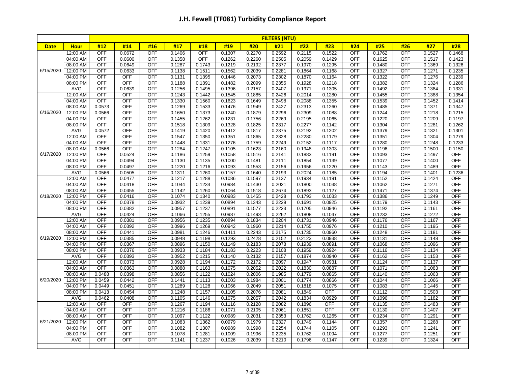|             |                      | <b>FILTERS (NTU)</b> |                   |                          |                  |                  |                  |                  |                  |                  |                  |                   |                  |                          |                  |                  |
|-------------|----------------------|----------------------|-------------------|--------------------------|------------------|------------------|------------------|------------------|------------------|------------------|------------------|-------------------|------------------|--------------------------|------------------|------------------|
| <b>Date</b> | <b>Hour</b>          | #12                  | #14               | #16                      | #17              | #18              | #19              | #20              | #21              | #22              | #23              | #24               | #25              | #26                      | #27              | #28              |
|             | 12:00 AM             | <b>OFF</b>           | 0.0672            | <b>OFF</b>               | 0.1406           | <b>OFF</b>       | 0.1307           | 0.2270           | 0.2592           | 0.2115           | 0.1522           | <b>OFF</b>        | 0.1762           | OFF                      | 0.1527           | 0.1468           |
|             | 04:00 AM             | <b>OFF</b>           | 0.0600            | <b>OFF</b>               | 0.1358           | <b>OFF</b>       | 0.1262           | 0.2260           | 0.2505           | 0.2059           | 0.1429           | <b>OFF</b>        | 0.1625           | <b>OFF</b>               | 0.1517           | 0.1423           |
|             | 08:00 AM             | OFF                  | 0.0649            | <b>OFF</b>               | 0.1287           | 0.1743           | 0.1219           | 0.2192           | 0.2377           | 0.1970           | 0.1295           | OFF               | 0.1480           | OFF                      | 0.1369           | 0.1326           |
| 6/15/2020   | 12:00 PM             | <b>OFF</b>           | 0.0633            | <b>OFF</b>               | 0.1138           | 0.1511           | 0.1562           | 0.2039           | 0.2281           | 0.1864           | 0.1168           | <b>OFF</b>        | 0.1327           | <b>OFF</b>               | 0.1271           | 0.1235           |
|             | 04:00 PM             | <b>OFF</b>           | <b>OFF</b>        | <b>OFF</b>               | 0.1131           | 0.1395           | 0.1446           | 0.2073           | 0.2302           | 0.1870           | 0.1164           | OFF               | 0.1322           | <b>OFF</b>               | 0.1276           | 0.1239           |
|             | 08:00 PM             | <b>OFF</b>           | <b>OFF</b>        | <b>OFF</b>               | 0.1188           | 0.1391           | 0.1482           | 0.2099           | 0.2355           | 0.1928           | 0.1218           | <b>OFF</b>        | 0.1382           | OFF                      | 0.1324           | 0.1286           |
|             | AVG                  | <b>OFF</b>           | 0.0639            | <b>OFF</b>               | 0.1256           | 0.1495           | 0.1396           | 0.2157           | 0.2407           | 0.1971           | 0.1305           | <b>OFF</b>        | 0.1492           | <b>OFF</b>               | 0.1384           | 0.1331           |
|             | 12:00 AM             | <b>OFF</b>           | <b>OFF</b>        | <b>OFF</b>               | 0.1243           | 0.1442           | 0.1545           | 0.1885           | 0.2426           | 0.2014           | 0.1280           | OFF               | 0.1455           | <b>OFF</b>               | 0.1388           | 0.1354           |
|             | 04:00 AM             | <b>OFF</b>           | <b>OFF</b>        | <b>OFF</b>               | 0.1330           | 0.1560           | 0.1623           | 0.1649           | 0.2498           | 0.2088           | 0.1355           | <b>OFF</b>        | 0.1539           | <b>OFF</b>               | 0.1452           | 0.1414           |
|             | 08:00 AM             | 0.0573               | <b>OFF</b>        | <b>OFF</b>               | 0.1269           | 0.1533           | 0.1476           | 0.1949           | 0.2427           | 0.2313           | 0.1260           | <b>OFF</b>        | 0.1485           | <b>OFF</b>               | 0.1371           | 0.1347           |
| 6/16/2020   | 12:00 PM             | 0.0566               | <b>OFF</b>        | <b>OFF</b>               | 0.1650           | 0.1373           | 0.1240           | 0.1879           | 0.2296           | 0.2309           | 0.1088           | <b>OFF</b>        | 0.1244           | <b>OFF</b>               | 0.1218           | 0.1215           |
|             | 04:00 PM             | <b>OFF</b>           | <b>OFF</b>        | <b>OFF</b>               | 0.1455           | 0.1262           | 0.1231           | 0.1756           | 0.2269           | 0.2195           | 0.1065           | <b>OFF</b>        | 0.1220           | <b>OFF</b>               | 0.1209           | 0.1197           |
|             | 08:00 PM             | <b>OFF</b>           | OFF               | <b>OFF</b>               | 0.1518           | 0.1309           | 0.1328           | 0.1825           | 0.2317           | 0.2277           | 0.1142           | <b>OFF</b>        | 0.1304           | OFF                      | 0.1281           | 0.1262           |
|             | AVG                  | 0.0572<br><b>OFF</b> | <b>OFF</b><br>OFF | <b>OFF</b>               | 0.1419           | 0.1420           | 0.1412<br>0.1351 | 0.1817           | 0.2375           | 0.2192           | 0.1202           | OFF<br><b>OFF</b> | 0.1379           | OFF                      | 0.1321           | 0.1301           |
|             | 12:00 AM             | <b>OFF</b>           | <b>OFF</b>        | <b>OFF</b>               | 0.1547           | 0.1350           | 0.1276           | 0.1865           | 0.2328           | 0.2280           | 0.1179           | <b>OFF</b>        | 0.1351           | <b>OFF</b><br><b>OFF</b> | 0.1304           | 0.1279           |
|             | 04:00 AM<br>08:00 AM | 0.0566               | <b>OFF</b>        | <b>OFF</b><br><b>OFF</b> | 0.1448<br>0.1284 | 0.1331<br>0.1247 | 0.1105           | 0.1759<br>0.1623 | 0.2249<br>0.2160 | 0.2152<br>0.1948 | 0.1117<br>0.1303 | OFF               | 0.1280<br>0.1196 | OFF                      | 0.1248<br>0.1500 | 0.1233<br>0.1150 |
| 6/17/2020   | 12:00 PM             | <b>OFF</b>           | 0.0524            | <b>OFF</b>               | 0.1186           | 0.1259           | 0.1058           | 0.1516           | 0.2141           | 0.1883           | 0.1191           | OFF               | 0.1093           | <b>OFF</b>               | 0.1497           | <b>OFF</b>       |
|             | 04:00 PM             | <b>OFF</b>           | 0.0494            | <b>OFF</b>               | 0.1130           | 0.1135           | 0.1000           | 0.1481           | 0.2111           | 0.1854           | 0.1139           | <b>OFF</b>        | 0.1077           | <b>OFF</b>               | 0.1400           | OFF              |
|             | 08:00 PM             | <b>OFF</b>           | 0.0497            | <b>OFF</b>               | 0.1220           | 0.1216           | 0.1093           | 0.1553           | 0.2156           | 0.1956           | 0.1220           | <b>OFF</b>        | 0.1143           | OFF                      | 0.1489           | <b>OFF</b>       |
|             | AVG                  | 0.0566               | 0.0505            | OFF                      | 0.1311           | 0.1260           | 0.1157           | 0.1640           | 0.2193           | 0.2024           | 0.1185           | <b>OFF</b>        | 0.1194           | OFF                      | 0.1401           | 0.1236           |
|             | 12:00 AM             | <b>OFF</b>           | 0.0477            | <b>OFF</b>               | 0.1217           | 0.1288           | 0.1086           | 0.1597           | 0.2137           | 0.1934           | 0.1191           | OFF               | 0.1152           | <b>OFF</b>               | 0.1424           | <b>OFF</b>       |
|             | 04:00 AM             | <b>OFF</b>           | 0.0418            | <b>OFF</b>               | 0.1044           | 0.1234           | 0.0984           | 0.1430           | 0.2021           | 0.1800           | 0.1038           | <b>OFF</b>        | 0.1062           | OFF                      | 0.1271           | <b>OFF</b>       |
|             | 08:00 AM             | <b>OFF</b>           | 0.0455            | <b>OFF</b>               | 0.1142           | 0.1260           | 0.1064           | 0.1518           | 0.2674           | 0.1893           | 0.1127           | <b>OFF</b>        | 0.1471           | <b>OFF</b>               | 0.1374           | <b>OFF</b>       |
| 6/18/2020   | 12:00 PM             | <b>OFF</b>           | 0.0416            | <b>OFF</b>               | 0.1074           | 0.1340           | 0.0983           | 0.1455           | 0.2428           | 0.1793           | 0.1033           | <b>OFF</b>        | 0.1386           | OFF                      | 0.1249           | <b>OFF</b>       |
|             | 04:00 PM             | <b>OFF</b>           | 0.0378            | <b>OFF</b>               | 0.0932           | 0.1239           | 0.0894           | 0.1343           | 0.2229           | 0.1691           | 0.0925           | <b>OFF</b>        | 0.1179           | OFF                      | 0.1143           | <b>OFF</b>       |
|             | 08:00 PM             | <b>OFF</b>           | 0.0382            | <b>OFF</b>               | 0.0957           | 0.1237           | 0.0891           | 0.1577           | 0.2223           | 0.1705           | 0.0946           | <b>OFF</b>        | 0.1192           | <b>OFF</b>               | 0.1161           | <b>OFF</b>       |
|             | AVG                  | <b>OFF</b>           | 0.0424            | <b>OFF</b>               | 0.1066           | 0.1255           | 0.0987           | 0.1493           | 0.2262           | 0.1808           | 0.1047           | <b>OFF</b>        | 0.1232           | OFF                      | 0.1272           | <b>OFF</b>       |
|             | 12:00 AM             | <b>OFF</b>           | 0.0381            | <b>OFF</b>               | 0.0956           | 0.1235           | 0.0894           | 0.1834           | 0.2204           | 0.1731           | 0.0946           | <b>OFF</b>        | 0.1176           | OFF                      | 0.1167           | <b>OFF</b>       |
|             | 04:00 AM             | <b>OFF</b>           | 0.0392            | <b>OFF</b>               | 0.0996           | 0.1269           | 0.0942           | 0.1960           | 0.2214           | 0.1755           | 0.0976           | OFF               | 0.1210           | <b>OFF</b>               | 0.1195           | OFF              |
|             | 08:00 AM             | <b>OFF</b>           | 0.0441            | <b>OFF</b>               | 0.0981           | 0.1246           | 0.1411           | 0.2243           | 0.2175           | 0.1735           | 0.0960           | <b>OFF</b>        | 0.1248           | OFF                      | 0.1181           | <b>OFF</b>       |
| 6/19/2020   | 12:00 PM             | <b>OFF</b>           | 0.0385            | <b>OFF</b>               | 0.0948           | 0.1198           | 0.1293           | 0.2428           | 0.2152           | 0.2123           | 0.0938           | <b>OFF</b>        | 0.1131           | OFF                      | 0.1148           | OFF              |
|             | 04:00 PM             | <b>OFF</b>           | 0.0367            | <b>OFF</b>               | 0.0896           | 0.1150           | 0.1149           | 0.2183           | 0.2078           | 0.1939           | 0.0891           | <b>OFF</b>        | 0.1068           | OFF                      | 0.1096           | <b>OFF</b>       |
|             | 08:00 PM             | <b>OFF</b>           | 0.0376            | <b>OFF</b>               | 0.0933           | 0.1184           | 0.1183           | 0.2223           | 0.2108           | 0.1959           | 0.0924           | <b>OFF</b>        | 0.1116           | OFF                      | 0.1134           | <b>OFF</b>       |
|             | AVG                  | <b>OFF</b>           | 0.0393            | <b>OFF</b>               | 0.0952           | 0.1215           | 0.1140           | 0.2132           | 0.2157           | 0.1874           | 0.0940           | <b>OFF</b>        | 0.1162           | <b>OFF</b>               | 0.1153           | <b>OFF</b>       |
|             | 12:00 AM             | <b>OFF</b>           | 0.0373            | <b>OFF</b>               | 0.0928           | 0.1194           | 0.1172           | 0.2172           | 0.2097           | 0.1947           | 0.0931           | <b>OFF</b>        | 0.1124           | <b>OFF</b>               | 0.1137           | <b>OFF</b>       |
|             | 04:00 AM             | <b>OFF</b>           | 0.0363            | <b>OFF</b>               | 0.0888           | 0.1163           | 0.1075           | 0.2052           | 0.2022           | 0.1830           | 0.0887           | <b>OFF</b>        | 0.1071           | <b>OFF</b>               | 0.1083           | <b>OFF</b>       |
|             | 08:00 AM             | 0.0488               | 0.0398            | <b>OFF</b>               | 0.0856           | 0.1122           | 0.1024           | 0.2006           | 0.1985           | 0.1779           | 0.0865           | <b>OFF</b>        | 0.1140           | <b>OFF</b>               | 0.1063           | <b>OFF</b>       |
| 6/20/2020   | 12:00 PM             | 0.0459               | 0.0442            | <b>OFF</b>               | 0.1441           | 0.1113           | 0.1003           | 0.1984           | 0.2001           | 0.1774           | 0.0866           | <b>OFF</b>        | 0.1044           | OFF                      | 0.1066           | <b>OFF</b>       |
|             | 04:00 PM             | 0.0449               | 0.0451            | <b>OFF</b>               | 0.1289           | 0.1128           | 0.1066           | 0.2049           | 0.2051           | 0.1818           | 0.1075           | OFF               | 0.1083           | <b>OFF</b>               | 0.1445           | <b>OFF</b>       |
|             | 08:00 PM             | 0.0413               | 0.0454            | <b>OFF</b>               | 0.1248           | 0.1157           | 0.1105           | 0.2076           | 0.2081           | 0.1849           | <b>OFF</b>       | <b>OFF</b>        | 0.1112           | <b>OFF</b>               | 0.1503           | OFF              |
|             | AVG                  | 0.0462               | 0.0408            | <b>OFF</b>               | 0.1105           | 0.1146           | 0.1075           | 0.2057           | 0.2042           | 0.1834           | 0.0929           | <b>OFF</b>        | 0.1096           | OFF                      | 0.1182           | <b>OFF</b>       |
|             | 12:00 AM             | <b>OFF</b>           | OFF               | <b>OFF</b>               | 0.1267           | 0.1194           | 0.1116           | 0.2128           | 0.2082           | 0.1896           | <b>OFF</b>       | <b>OFF</b>        | 0.1135           | OFF                      | 0.1483           | <b>OFF</b>       |
|             | 04:00 AM             | <b>OFF</b>           | <b>OFF</b>        | <b>OFF</b>               | 0.1216           | 0.1186           | 0.1071           | 0.2105           | 0.2061           | 0.1851           | <b>OFF</b>       | OFF               | 0.1130           | <b>OFF</b>               | 0.1407           | <b>OFF</b>       |
|             | 08:00 AM             | <b>OFF</b>           | OFF               | <b>OFF</b>               | 0.1097           | 0.1122           | 0.0989           | 0.2031           | 0.2353           | 0.1762           | 0.1265           | <b>OFF</b>        | 0.1234           | OFF                      | 0.1291           | <b>OFF</b>       |
| 6/21/2020   | 12:00 PM             | <b>OFF</b>           | <b>OFF</b>        | <b>OFF</b>               | 0.1083           | 0.1362           | 0.0979           | 0.1979           | 0.2327           | 0.1749           | 0.1144           | <b>OFF</b>        | 0.1357           | <b>OFF</b>               | 0.1268           | <b>OFF</b>       |
|             | 04:00 PM             | <b>OFF</b>           | OFF               | <b>OFF</b>               | 0.1082           | 0.1307           | 0.0989           | 0.1998           | 0.2254           | 0.1744           | 0.1105           | OFF               | 0.1293           | OFF                      | 0.1241           | <b>OFF</b>       |
|             | 08:00 PM             | <b>OFF</b>           | OFF               | <b>OFF</b>               | 0.1078           | 0.1281           | 0.1009           | 0.1996           | 0.2235           | 0.1762           | 0.1094           | <b>OFF</b>        | 0.1277           | OFF                      | 0.1251           | <b>OFF</b>       |
|             | <b>AVG</b>           | OFF                  | <b>OFF</b>        | <b>OFF</b>               | 0.1141           | 0.1237           | 0.1026           | 0.2039           | 0.2210           | 0.1796           | 0.1147           | OFF               | 0.1239           | OFF                      | 0.1324           | OFF              |
|             |                      |                      |                   |                          |                  |                  |                  |                  |                  |                  |                  |                   |                  |                          |                  |                  |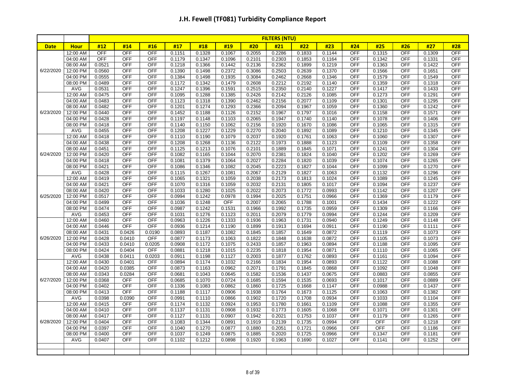|             |                      | <b>FILTERS (NTU)</b> |                      |                          |                  |                  |                  |                  |                  |                  |                  |                          |                  |                   |                  |                          |
|-------------|----------------------|----------------------|----------------------|--------------------------|------------------|------------------|------------------|------------------|------------------|------------------|------------------|--------------------------|------------------|-------------------|------------------|--------------------------|
| <b>Date</b> | <b>Hour</b>          | #12                  | #14                  | #16                      | #17              | #18              | #19              | #20              | #21              | #22              | #23              | #24                      | #25              | #26               | #27              | #28                      |
|             | 12:00 AM             | <b>OFF</b>           | <b>OFF</b>           | <b>OFF</b>               | 0.1151           | 0.1328           | 0.1067           | 0.2055           | 0.2286           | 0.1833           | 0.1144           | OFF                      | 0.1315           | <b>OFF</b>        | 0.1309           | <b>OFF</b>               |
|             | 04:00 AM             | <b>OFF</b>           | OFF                  | <b>OFF</b>               | 0.1179           | 0.1347           | 0.1096           | 0.2101           | 0.2303           | 0.1853           | 0.1164           | <b>OFF</b>               | 0.1342           | <b>OFF</b>        | 0.1331           | <b>OFF</b>               |
|             | 08:00 AM             | 0.0521               | OFF                  | <b>OFF</b>               | 0.1218           | 0.1366           | 0.1442           | 0.2136           | 0.2362           | 0.1899           | 0.1219           | <b>OFF</b>               | 0.1363           | OFF               | 0.1422           | <b>OFF</b>               |
| 6/22/2020   | 12:00 PM             | 0.0560               | <b>OFF</b>           | <b>OFF</b>               | 0.1390           | 0.1498           | 0.2372           | 0.3086           | 0.2503           | 0.2639           | 0.1370           | OFF                      | 0.1566           | <b>OFF</b>        | 0.1651           | <b>OFF</b>               |
|             | 04:00 PM             | 0.0555               | <b>OFF</b>           | <b>OFF</b>               | 0.1384           | 0.1498           | 0.1935           | 0.3084           | 0.2462           | 0.2668           | 0.1346           | <b>OFF</b>               | 0.1579           | <b>OFF</b>        | 0.1549           | OFF                      |
|             | 08:00 PM             | 0.0489               | <b>OFF</b>           | OFF                      | 0.1172           | 0.1342           | 0.1479           | 0.2608           | 0.2212           | 0.2192           | 0.1140           | <b>OFF</b>               | 0.1359           | <b>OFF</b>        | 0.1318           | <b>OFF</b>               |
|             | AVG                  | 0.0531               | <b>OFF</b>           | <b>OFF</b>               | 0.1247           | 0.1396           | 0.1591           | 0.2515           | 0.2350           | 0.2140           | 0.1227           | OFF                      | 0.1417           | <b>OFF</b>        | 0.1433           | <b>OFF</b>               |
|             | 12:00 AM             | 0.0475               | <b>OFF</b>           | <b>OFF</b>               | 0.1095           | 0.1288           | 0.1385           | 0.2426           | 0.2142           | 0.2126           | 0.1085           | OFF                      | 0.1273           | OFF               | 0.1291           | <b>OFF</b>               |
|             | 04:00 AM             | 0.0483               | <b>OFF</b>           | <b>OFF</b>               | 0.1123           | 0.1318           | 0.1390           | 0.2462           | 0.2156           | 0.2077           | 0.1109           | OFF                      | 0.1301           | <b>OFF</b>        | 0.1295           | <b>OFF</b>               |
|             | 08:00 AM             | 0.0482               | OFF                  | <b>OFF</b>               | 0.1201           | 0.1274           | 0.1293           | 0.2366           | 0.2094           | 0.1967           | 0.1059           | OFF                      | 0.1360           | OFF               | 0.1242           | <b>OFF</b>               |
| 6/23/2020   | 12:00 PM             | 0.0440               | OFF                  | <b>OFF</b>               | 0.1452           | 0.1188           | 0.1126           | 0.2152           | 0.1967           | 0.1797           | 0.1016           | <b>OFF</b>               | 0.1158           | OFF               | 0.1571           | <b>OFF</b>               |
|             | 04:00 PM             | 0.0428               | OFF                  | <b>OFF</b>               | 0.1197           | 0.1148           | 0.1103           | 0.2065           | 0.1947           | 0.1740           | 0.1140           | OFF                      | 0.1078           | OFF               | 0.1406           | <b>OFF</b>               |
|             | 08:00 PM             | 0.0418               | OFF                  | <b>OFF</b>               | 0.1140           | 0.1150           | 0.1062           | 0.2156           | 0.1920           | 0.1670           | 0.1086           | <b>OFF</b>               | 0.1065           | OFF               | 0.1315           | <b>OFF</b>               |
|             | AVG                  | 0.0455               | <b>OFF</b>           | OFF                      | 0.1208           | 0.1227           | 0.1229           | 0.2270           | 0.2040           | 0.1892           | 0.1089           | OFF                      | 0.1210           | <b>OFF</b>        | 0.1345           | <b>OFF</b>               |
|             | 12:00 AM             | 0.0418               | OFF                  | <b>OFF</b>               | 0.1110           | 0.1190           | 0.1079           | 0.2037           | 0.1920           | 0.1761           | 0.1063           | OFF                      | 0.1060           | OFF               | 0.1307           | <b>OFF</b>               |
|             | 04:00 AM             | 0.0438               | OFF                  | <b>OFF</b>               | 0.1208           | 0.1268           | 0.1136           | 0.2122           | 0.1973           | 0.1888           | 0.1123           | <b>OFF</b>               | 0.1109           | OFF               | 0.1358           | <b>OFF</b>               |
|             | 08:00 AM             | 0.0451               | OFF                  | <b>OFF</b>               | 0.1125           | 0.1213           | 0.1076           | 0.2101           | 0.1889           | 0.1845           | 0.1071           | OFF                      | 0.1241           | <b>OFF</b>        | 0.1304           | <b>OFF</b>               |
| 6/24/2020   | 12:00 PM             | 0.0420               | OFF                  | <b>OFF</b>               | 0.1082           | 0.1165           | 0.1044           | 0.2070           | 0.2381           | 0.1824           | 0.1040           | <b>OFF</b>               | 0.1202           | <b>OFF</b>        | 0.1269           | OFF                      |
|             | 04:00 PM             | 0.0418               | OFF                  | <b>OFF</b>               | 0.1081           | 0.1379           | 0.1064           | 0.2027           | 0.2284           | 0.1820           | 0.1039           | <b>OFF</b>               | 0.1074           | <b>OFF</b>        | 0.1265           | OFF                      |
|             | 08:00 PM             | 0.0421               | OFF                  | <b>OFF</b>               | 0.1086           | 0.1346           | 0.1082           | 0.2045           | 0.2223           | 0.1827           | 0.1044           | <b>OFF</b>               | 0.1099           | <b>OFF</b>        | 0.1270           | <b>OFF</b>               |
|             | AVG                  | 0.0428               | <b>OFF</b>           | OFF                      | 0.1115           | 0.1267           | 0.1081           | 0.2067           | 0.2129           | 0.1827           | 0.1063           | <b>OFF</b>               | 0.1132           | <b>OFF</b>        | 0.1296           | <b>OFF</b>               |
|             | 12:00 AM             | 0.0419               | <b>OFF</b>           | OFF                      | 0.1065           | 0.1321           | 0.1059           | 0.2038           | 0.2173           | 0.1813           | 0.1024           | <b>OFF</b>               | 0.1089           | <b>OFF</b>        | 0.1245           | OFF                      |
|             | 04:00 AM             | 0.0421               | OFF                  | <b>OFF</b>               | 0.1070           | 0.1316           | 0.1059           | 0.2032           | 0.2131           | 0.1805           | 0.1017           | OFF                      | 0.1094           | <b>OFF</b>        | 0.1237           | <b>OFF</b>               |
|             | 08:00 AM             | 0.0420               | OFF                  | <b>OFF</b>               | 0.1033           | 0.1280           | 0.1025           | 0.2022           | 0.2073           | 0.1772           | 0.0993           | <b>OFF</b>               | 0.1142           | <b>OFF</b>        | 0.1207           | <b>OFF</b>               |
| 6/25/2020   | 12:00 PM             | 0.0517               | OFF                  | <b>OFF</b>               | 0.0994           | 0.1242           | 0.0978           | 0.1994           | 0.2025           | 0.1751           | 0.0966           | OFF                      | 0.1369           | <b>OFF</b>        | 0.1179           | <b>OFF</b>               |
|             | 04:00 PM             | 0.0499               | OFF                  | <b>OFF</b>               | 0.1036           | 0.1248           | OFF              | 0.2007           | 0.2065           | 0.1788           | 0.1001           | <b>OFF</b>               | 0.1434           | <b>OFF</b>        | 0.1222           | OFF                      |
|             | 08:00 PM             | 0.0474               | OFF                  | <b>OFF</b>               | 0.0987           | 0.1242           | 0.1531           | 0.1966           | 0.1992           | 0.1735           | 0.0959           | <b>OFF</b>               | 0.1309           | <b>OFF</b>        | 0.1166           | <b>OFF</b>               |
|             | AVG                  | 0.0453               | <b>OFF</b>           | <b>OFF</b>               | 0.1031           | 0.1276           | 0.1123           | 0.2011           | 0.2079           | 0.1779           | 0.0994           | <b>OFF</b>               | 0.1244           | <b>OFF</b>        | 0.1209           | <b>OFF</b>               |
|             | 12:00 AM             | 0.0460               | <b>OFF</b>           | <b>OFF</b>               | 0.0963           | 0.1226           | 0.1333           | 0.1936           | 0.1963           | 0.1731           | 0.0940           | OFF                      | 0.1249           | <b>OFF</b>        | 0.1148           | <b>OFF</b>               |
|             | 04:00 AM             | 0.0446               | OFF                  | <b>OFF</b>               | 0.0936           | 0.1214           | 0.1190           | 0.1899           | 0.1913           | 0.1694           | 0.0911           | OFF                      | 0.1190           | OFF               | 0.1111           | <b>OFF</b>               |
|             | 08:00 AM             | 0.0431               | 0.0426               | 0.0190                   | 0.0893           | 0.1187           | 0.1082           | 0.1845           | 0.1857           | 0.1649           | 0.0872           | <b>OFF</b>               | 0.1119           | <b>OFF</b>        | 0.1073           | OFF                      |
| 6/26/2020   | 12:00 PM             | 0.0428               | 0.0410               | <b>OFF</b>               | 0.0877           | 0.1173           | 0.1063           | 0.1822           | 0.1848           | 0.1638           | 0.0872           | OFF                      | 0.1105           | <b>OFF</b>        | 0.1073           | <b>OFF</b>               |
|             | 04:00 PM             | 0.0433               | 0.0410               | 0.0205                   | 0.0908           | 0.1172           | 0.1075           | 0.2433           | 0.1857           | 0.1963           | 0.0894           | <b>OFF</b>               | 0.1188           | <b>OFF</b>        | 0.1095           | <b>OFF</b>               |
|             | 08:00 PM             | 0.0424               | 0.0404               | <b>OFF</b>               | 0.0881           | 0.1218           | 0.1015           | 0.2235           | 0.1818           | 0.1954           | 0.0871           | <b>OFF</b>               | 0.1110           | <b>OFF</b>        | 0.1065           | <b>OFF</b>               |
|             | <b>AVG</b>           | 0.0438               | 0.0411               | 0.0203                   | 0.0911           | 0.1198           | 0.1127           | 0.2003           | 0.1877           | 0.1762           | 0.0893           | <b>OFF</b>               | 0.1161           | <b>OFF</b>        | 0.1094           | <b>OFF</b>               |
|             | 12:00 AM             | 0.0430               | 0.0401               | <b>OFF</b>               | 0.0894           | 0.1174           | 0.1032           | 0.2166           | 0.1834           | 0.1954           | 0.0893           | <b>OFF</b><br><b>OFF</b> | 0.1122           | <b>OFF</b>        | 0.1088           | <b>OFF</b><br><b>OFF</b> |
|             | 04:00 AM             | 0.0420               | 0.0385               | <b>OFF</b>               | 0.0873           | 0.1163           | 0.0962           | 0.2071           | 0.1791           | 0.1845           | 0.0868           | <b>OFF</b>               | 0.1092           | OFF               | 0.1048           |                          |
|             | 08:00 AM             | 0.0343               | 0.0284<br><b>OFF</b> | <b>OFF</b>               | 0.0681           | 0.1043           | 0.0645           | 0.1582           | 0.1536           | 0.1437           | 0.0675           |                          | 0.0883           | <b>OFF</b>        | 0.0855           | <b>OFF</b><br>OFF        |
| 6/27/2020   | 12:00 PM             | 0.0368<br>0.0402     | OFF                  | <b>OFF</b><br><b>OFF</b> | 0.0685           | 0.1070           | 0.0724           | 0.1685           | 0.1594           | 0.1535           | 0.0693           | <b>OFF</b><br><b>OFF</b> | 0.1017           | OFF<br><b>OFF</b> | 0.0889           | <b>OFF</b>               |
|             | 04:00 PM             |                      | <b>OFF</b>           |                          | 0.1336           | 0.1083           | 0.0862           | 0.1860           | 0.1725           | 0.1668           | 0.1147           |                          | 0.0988           | <b>OFF</b>        | 0.1437           |                          |
|             | 08:00 PM             | 0.0413               |                      | <b>OFF</b>               | 0.1188           | 0.1117           | 0.0906           | 0.1938           | 0.1764           | 0.1673           | 0.1125           | OFF<br>OFF               | 0.1063           | OFF               | 0.1382           | <b>OFF</b>               |
|             | AVG<br>12:00 AM      | 0.0398<br>0.0415     | 0.0390<br>OFF        | <b>OFF</b><br>OFF        | 0.0991<br>0.1174 | 0.1110<br>0.1132 | 0.0866<br>0.0924 | 0.1902<br>0.1953 | 0.1720<br>0.1780 | 0.1708<br>0.1661 | 0.0934<br>0.1109 | OFF                      | 0.1033<br>0.1088 | <b>OFF</b>        | 0.1104<br>0.1355 | <b>OFF</b><br><b>OFF</b> |
|             |                      |                      | OFF                  | OFF                      |                  |                  |                  |                  |                  |                  |                  | OFF                      |                  |                   |                  | <b>OFF</b>               |
|             | 04:00 AM             | 0.0410<br>0.0417     | OFF                  | <b>OFF</b>               | 0.1137           | 0.1131           | 0.0908           | 0.1932<br>0.1942 | 0.1773<br>0.2021 | 0.1605           | 0.1068           | <b>OFF</b>               | 0.1071<br>0.1179 | <b>OFF</b><br>OFF | 0.1301           | <b>OFF</b>               |
| 6/28/2020   | 08:00 AM<br>12:00 PM | 0.0404               | OFF                  | <b>OFF</b>               | 0.1127<br>0.1083 | 0.1131<br>0.1344 | 0.0907<br>0.0891 | 0.1919           | 0.2139           | 0.1753<br>0.1735 | 0.1037<br>0.0994 | OFF                      | <b>OFF</b>       | OFF               | 0.1265<br>0.1218 | <b>OFF</b>               |
|             | 04:00 PM             | 0.0397               | <b>OFF</b>           | OFF                      | 0.1040           | 0.1270           | 0.0877           | 0.1880           | 0.2051           | 0.1721           | 0.0966           | OFF                      | OFF              | <b>OFF</b>        | 0.1186           | OFF                      |
|             | 08:00 PM             | 0.0400               | <b>OFF</b>           | <b>OFF</b>               | 0.1037           | 0.1249           | 0.0875           | 0.1885           | 0.2020           | 0.1725           | 0.0966           | <b>OFF</b>               | 0.1347           | <b>OFF</b>        |                  | <b>OFF</b>               |
|             |                      | 0.0407               | <b>OFF</b>           | <b>OFF</b>               |                  |                  | 0.0898           | 0.1920           | 0.1963           |                  |                  | <b>OFF</b>               |                  | OFF               | 0.1181<br>0.1252 | <b>OFF</b>               |
|             | AVG                  |                      |                      |                          | 0.1102           | 0.1212           |                  |                  |                  | 0.1690           | 0.1027           |                          | 0.1141           |                   |                  |                          |
|             |                      |                      |                      |                          |                  |                  |                  |                  |                  |                  |                  |                          |                  |                   |                  |                          |
|             |                      |                      |                      |                          |                  |                  |                  |                  |                  |                  |                  |                          |                  |                   |                  |                          |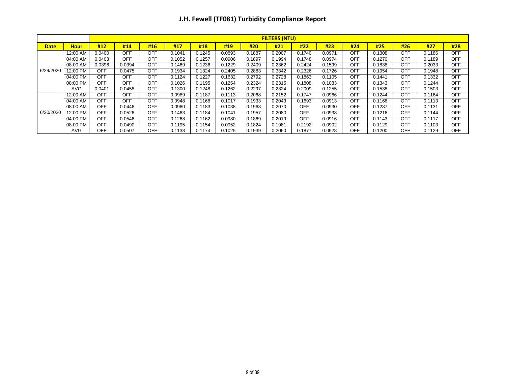|             |             |            | <b>FILTERS (NTU)</b> |            |        |        |        |        |        |            |        |            |        |            |        |            |
|-------------|-------------|------------|----------------------|------------|--------|--------|--------|--------|--------|------------|--------|------------|--------|------------|--------|------------|
| <b>Date</b> | <b>Hour</b> | #12        | #14                  | #16        | #17    | #18    | #19    | #20    | #21    | #22        | #23    | #24        | #25    | #26        | #27    | #28        |
|             | 12:00 AM    | 0.0400     | <b>OFF</b>           | OFF        | 0.1041 | 0.1245 | 0.0893 | 0.1887 | 0.2007 | 0.1740     | 0.0971 | OFF        | 0.1308 | <b>OFF</b> | 0.1186 | <b>OFF</b> |
|             | 04:00 AM    | 0.0403     | <b>OFF</b>           | OFF        | 0.1052 | 0.1257 | 0.0906 | 0.1897 | 0.1994 | 0.1748     | 0.0974 | <b>OFF</b> | 0.1270 | <b>OFF</b> | 0.1189 | <b>OFF</b> |
| 6/29/2020   | 08:00 AM    | 0.0396     | 0.0394               | <b>OFF</b> | 0.1469 | 0.1236 | 0.1229 | 0.2409 | 0.2362 | 0.2424     | 0.1599 | <b>OFF</b> | 0.1838 | <b>OFF</b> | 0.2033 | <b>OFF</b> |
|             | 12:00 PM    | <b>OFF</b> | 0.0475               | <b>OFF</b> | 0.1934 | 0.1324 | 0.2405 | 0.2883 | 0.3342 | 0.2326     | 0.1726 | <b>OFF</b> | 0.1954 | <b>OFF</b> | 0.1948 | <b>OFF</b> |
|             | 04:00 PM    | <b>OFF</b> | <b>OFF</b>           | <b>OFF</b> | 0.1124 | 0.1227 | 0.1632 | 0.2792 | 0.2728 | 0.1863     | 0.1105 | <b>OFF</b> | 0.1441 | <b>OFF</b> | 0.1332 | <b>OFF</b> |
|             | 08:00 PM    | OFF        | <b>OFF</b>           | <b>OFF</b> | 0.1026 | 0.1195 | 0.1254 | 0.2324 | 0.2315 | 0.1808     | 0.1033 | <b>OFF</b> | 0.1343 | <b>OFF</b> | 0.1244 | <b>OFF</b> |
|             | <b>AVG</b>  | 0.0401     | 0.0458               | <b>OFF</b> | 0.1300 | 0.1248 | 0.1262 | 0.2297 | 0.2324 | 0.2009     | 0.1255 | <b>OFF</b> | 0.1538 | <b>OFF</b> | 0.1503 | <b>OFF</b> |
|             | 12:00 AM    | <b>OFF</b> | <b>OFF</b>           | <b>OFF</b> | 0.0989 | 0.1187 | 0.1113 | 0.2068 | 0.2152 | 0.1747     | 0.0966 | <b>OFF</b> | 0.1244 | <b>OFF</b> | 0.1164 | <b>OFF</b> |
|             | 04:00 AM    | <b>OFF</b> | <b>OFF</b>           | <b>OFF</b> | 0.0948 | 0.1168 | 0.1017 | 0.1933 | 0.2043 | 0.1693     | 0.0913 | <b>OFF</b> | 0.1166 | <b>OFF</b> | 0.1113 | <b>OFF</b> |
|             | 08:00 AM    | <b>OFF</b> | 0.0446               | <b>OFF</b> | 0.0960 | 0.1183 | 0.1038 | 0.1963 | 0.2070 | <b>OFF</b> | 0.0930 | <b>OFF</b> | 0.1287 | <b>OFF</b> | 0.1131 | <b>OFF</b> |
| 6/30/2020   | 12:00 PM    | OFF        | 0.0526               | <b>OFF</b> | 0.1463 | 0.1184 | 0.1041 | 0.1957 | 0.2080 | <b>OFF</b> | 0.0938 | <b>OFF</b> | 0.1216 | <b>OFF</b> | 0.1144 | <b>OFF</b> |
|             | 04:00 PM    | <b>OFF</b> | 0.0546               | <b>OFF</b> | 0.1268 | 0.1162 | 0.0980 | 0.1869 | 0.2019 | <b>OFF</b> | 0.0916 | <b>OFF</b> | 0.1143 | <b>OFF</b> | 0.1117 | <b>OFF</b> |
|             | 08:00 PM    | <b>OFF</b> | 0.0490               | <b>OFF</b> | 0.1195 | 0.1154 | 0.0952 | 0.1824 | 0.1981 | 0.2192     | 0.0902 | <b>OFF</b> | 0.1129 | <b>OFF</b> | 0.1103 | <b>OFF</b> |
|             | <b>AVG</b>  | <b>OFF</b> | 0.0507               | <b>OFF</b> | 0.1133 | 0.1174 | 0.1025 | 0.1939 | 0.2060 | 0.1877     | 0.0928 | <b>OFF</b> | 0.1200 | <b>OFF</b> | 0.1129 | <b>OFF</b> |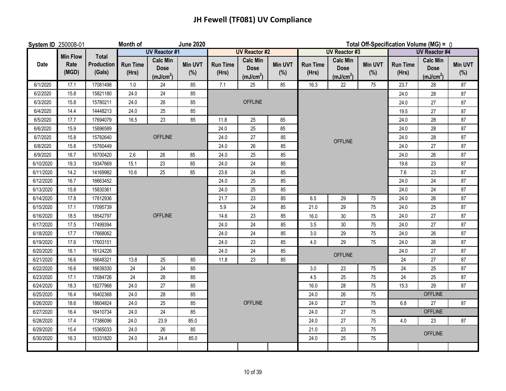## **JH Fewell (TF081) UV Compliance**

| System ID 250008-01 |                 |                             | Month of                 |                                                         | <b>June 2020</b>      |                          | Total Off-Specification Volume (MG) = 0                 |                       |                          |                                                         |                       |                          |                                                         |                       |
|---------------------|-----------------|-----------------------------|--------------------------|---------------------------------------------------------|-----------------------|--------------------------|---------------------------------------------------------|-----------------------|--------------------------|---------------------------------------------------------|-----------------------|--------------------------|---------------------------------------------------------|-----------------------|
|                     | <b>Min Flow</b> | <b>Total</b>                |                          | <b>UV Reactor #1</b>                                    |                       |                          | <b>UV Reactor #2</b>                                    |                       |                          | <b>UV Reactor #3</b>                                    |                       |                          | <b>UV Reactor #4</b>                                    |                       |
| Date                | Rate<br>(MGD)   | <b>Production</b><br>(Gals) | <b>Run Time</b><br>(Hrs) | <b>Calc Min</b><br><b>Dose</b><br>(mJ/cm <sup>2</sup> ) | <b>Min UVT</b><br>(%) | <b>Run Time</b><br>(Hrs) | <b>Calc Min</b><br><b>Dose</b><br>(mJ/cm <sup>2</sup> ) | <b>Min UVT</b><br>(%) | <b>Run Time</b><br>(Hrs) | <b>Calc Min</b><br><b>Dose</b><br>(mJ/cm <sup>2</sup> ) | <b>Min UVT</b><br>(%) | <b>Run Time</b><br>(Hrs) | <b>Calc Min</b><br><b>Dose</b><br>(mJ/cm <sup>2</sup> ) | <b>Min UVT</b><br>(%) |
| 6/1/2020            | 17.1            | 17081498                    | 1.0                      | 24                                                      | 85                    | 7.1                      | 25                                                      | 85                    | 16.3                     | 22                                                      | 75                    | 23.7                     | 28                                                      | 87                    |
| 6/2/2020            | 15.8            | 15821180                    | 24.0                     | 24                                                      | 85                    |                          |                                                         |                       |                          |                                                         |                       | 24.0                     | 28                                                      | 87                    |
| 6/3/2020            | 15.8            | 15780211                    | 24.0                     | 26                                                      | 85                    |                          | <b>OFFLINE</b>                                          |                       |                          |                                                         |                       | 24.0                     | 27                                                      | 87                    |
| 6/4/2020            | 14.4            | 14448213                    | 24.0                     | 25                                                      | 85                    |                          |                                                         |                       |                          |                                                         |                       | 19.5                     | 27                                                      | 87                    |
| 6/5/2020            | 17.7            | 17694079                    | 16.5                     | 23                                                      | 85                    | 11.8                     | 25                                                      | 85                    |                          |                                                         |                       | 24.0                     | 28                                                      | 87                    |
| 6/6/2020            | 15.9            | 15896589                    |                          |                                                         |                       | 24.0                     | 25                                                      | 85                    |                          |                                                         |                       | 24.0                     | 28                                                      | 87                    |
| 6/7/2020            | 15.8            | 15782640                    |                          | <b>OFFLINE</b>                                          |                       | 24.0                     | $27\,$                                                  | 85                    |                          | <b>OFFLINE</b>                                          |                       | 24.0                     | 28                                                      | 87                    |
| 6/8/2020            | 15.8            | 15760449                    |                          |                                                         |                       | 24.0                     | 26                                                      | 85                    |                          |                                                         |                       | 24.0                     | 27                                                      | 87                    |
| 6/9/2020            | 16.7            | 16700420                    | 2.6                      | 28                                                      | 85                    | 24.0                     | 25                                                      | 85                    |                          |                                                         |                       | 24.0                     | 26                                                      | 87                    |
| 6/10/2020           | 19.3            | 19347669                    | 15.1                     | 23                                                      | 85                    | 24.0                     | 24                                                      | 85                    |                          |                                                         |                       | 19.6                     | 23                                                      | 87                    |
| 6/11/2020           | 14.2            | 14169982                    | 10.6                     | 25                                                      | 85                    | 23.6                     | 24                                                      | 85                    |                          |                                                         |                       | 7.6                      | 23                                                      | 87                    |
| 6/12/2020           | 16.7            | 16663452                    |                          |                                                         |                       | 24.0                     | 25                                                      | 85                    |                          |                                                         |                       | 24.0                     | 24                                                      | 87                    |
| 6/13/2020           | 15.8            | 15830361                    |                          |                                                         |                       | 24.0                     | 25                                                      | 85                    |                          |                                                         |                       | 24.0                     | 24                                                      | 87                    |
| 6/14/2020           | 17.8            | 17812936                    |                          |                                                         |                       | 21.7                     | 23                                                      | 85                    | 6.5                      | 29                                                      | 75                    | 24.0                     | 26                                                      | 87                    |
| 6/15/2020           | 17.1            | 17095739                    |                          |                                                         |                       | 5.9                      | 24                                                      | 85                    | 21.0                     | 29                                                      | 75                    | 24.0                     | 25                                                      | 87                    |
| 6/16/2020           | 18.5            | 18542797                    |                          | <b>OFFLINE</b>                                          |                       | 14.6                     | 23                                                      | 85                    | 16.0                     | 30                                                      | 75                    | 24.0                     | 27                                                      | 87                    |
| 6/17/2020           | 17.5            | 17499394                    |                          |                                                         |                       | 24.0                     | 24                                                      | 85                    | 3.5                      | 30                                                      | 75                    | 24.0                     | 27                                                      | 87                    |
| 6/18/2020           | 17.7            | 17668062                    |                          |                                                         |                       | 24.0                     | 24                                                      | 85                    | 3.0                      | 29                                                      | 75                    | 24.0                     | 26                                                      | 87                    |
| 6/19/2020           | 17.6            | 17603151                    |                          |                                                         |                       | 24.0                     | 23                                                      | 85                    | 4.0                      | 29                                                      | 75                    | 24.0                     | 26                                                      | 87                    |
| 6/20/2020           | 16.1            | 16124226                    |                          |                                                         |                       | 24.0                     | 24                                                      | 85                    |                          | <b>OFFLINE</b>                                          |                       | 24.0                     | 27                                                      | 87                    |
| 6/21/2020           | 16.6            | 16648321                    | 13.8                     | 25                                                      | 85                    | 11.8                     | 23                                                      | 85                    |                          |                                                         |                       | 24                       | 27                                                      | 87                    |
| 6/22/2020           | 16.6            | 16639330                    | 24                       | 24                                                      | 85                    |                          |                                                         |                       | 3.0                      | 23                                                      | 75                    | 24                       | 25                                                      | 87                    |
| 6/23/2020           | 17.1            | 17084726                    | 24                       | 28                                                      | 85                    |                          |                                                         |                       | 4.5                      | 25                                                      | 75                    | 24                       | 25                                                      | 87                    |
| 6/24/2020           | 18.3            | 18277968                    | 24.0                     | 27                                                      | 85                    |                          |                                                         |                       | 16.0                     | 28                                                      | 75                    | 15.3                     | 29                                                      | 87                    |
| 6/25/2020           | 16.4            | 16402368                    | 24.0                     | 28                                                      | 85                    |                          |                                                         |                       | 24.0                     | 26                                                      | 75                    |                          | <b>OFFLINE</b>                                          |                       |
| 6/26/2020           | 18.6            | 18604824                    | 24.0                     | 25                                                      | 85                    |                          | <b>OFFLINE</b>                                          |                       | 24.0                     | 27                                                      | 75                    | 6.8                      | 27                                                      | 87                    |
| 6/27/2020           | 16.4            | 16410734                    | 24.0                     | 24                                                      | 85                    |                          |                                                         |                       | 24.0                     | 27                                                      | 75                    |                          | <b>OFFLINE</b>                                          |                       |
| 6/28/2020           | 17.4            | 17386096                    | 24.0                     | 23.9                                                    | 85.0                  |                          |                                                         |                       | 24.0                     | 27                                                      | 75                    | 4.0                      | 23                                                      | 87                    |
| 6/29/2020           | 15.4            | 15365033                    | 24.0                     | 26                                                      | 85                    |                          |                                                         |                       | 21.0                     | 23                                                      | 75                    |                          | <b>OFFLINE</b>                                          |                       |
| 6/30/2020           | 16.3            | 16331820                    | 24.0                     | 24.4                                                    | 85.0                  |                          |                                                         |                       | 24.0                     | 25                                                      | 75                    |                          |                                                         |                       |
|                     |                 |                             |                          |                                                         |                       |                          |                                                         |                       |                          |                                                         |                       |                          |                                                         |                       |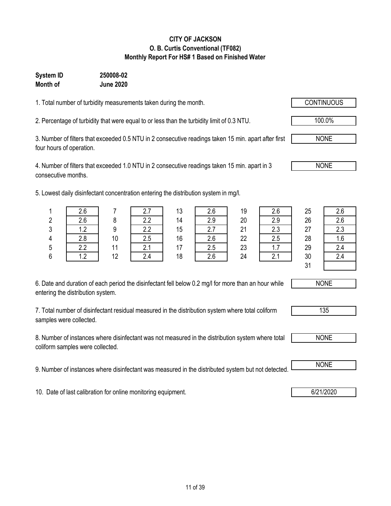#### **CITY OF JACKSON O. B. Curtis Conventional (TF082) Monthly Report For HS# 1 Based on Finished Water**

### **System ID 250008-02 Month of June 2020**

1. Total number of turbidity measurements taken during the month.

2. Percentage of turbidity that were equal to or less than the turbidity limit of 0.3 NTU.

3. Number of filters that exceeded 0.5 NTU in 2 consecutive readings taken 15 min. apart after first four hours of operation.

4. Number of filters that exceeded 1.0 NTU in 2 consecutive readings taken 15 min. apart in 3 consecutive months.

5. Lowest daily disinfectant concentration entering the distribution system in mg/l.

| 6. Date and duration of each period the disinfectant fell below 0.2 mg/l for more than an hour while |  |
|------------------------------------------------------------------------------------------------------|--|
| entering the distribution system.                                                                    |  |

7. Total number of disinfectant residual measured in the distribution system where total coliform samples were collected.

8. Number of instances where disinfectant was not measured in the distribution system where total coliform samples were collected.

9. Number of instances where disinfectant was measured in the distributed system but not detected. NONE

10. Date of last calibration for online monitoring equipment. **6/21/2020 6/21/2020** 

|   | 2.6 |    | 2.7 | 13 | 2.6 | 19 | 2.6 | 25            | 2.6 |
|---|-----|----|-----|----|-----|----|-----|---------------|-----|
| 2 | 2.6 | O  | 2.2 | 14 | 2.9 | 20 | 2.9 | 26            | 2.6 |
| 3 | 1.2 | q  | 2.2 | 15 | 2.7 | 21 | 2.3 | 27            | 2.3 |
| 4 | 2.8 | 10 | 2.5 | 16 | 2.6 | 22 | 2.5 | 28            | 1.6 |
| 5 | 2.2 | 11 | 2.1 | 17 | 2.5 | 23 | 1.7 | 29            | 2.4 |
| 6 | 1.2 | 12 | 2.4 | 18 | 2.6 | 24 | 2.1 | 30            | 2.4 |
|   |     |    |     |    |     |    |     | 24<br>$\cdot$ |     |



NONE

135



100.0%

NONE

NONE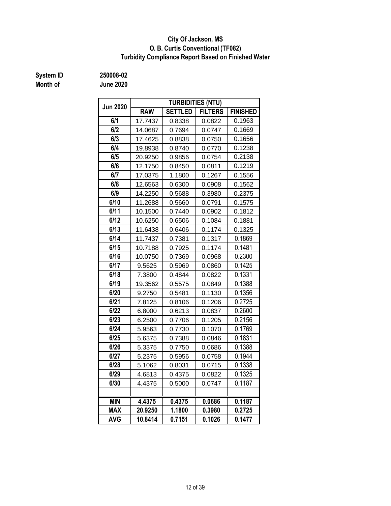#### **Turbidity Compliance Report Based on Finished Water O. B. Curtis Conventional (TF082) City Of Jackson, MS**

**System ID 250008-02**

**Month of June 2020**

| <b>Jun 2020</b> |            |                | <b>TURBIDITIES (NTU)</b> |                 |  |  |  |  |
|-----------------|------------|----------------|--------------------------|-----------------|--|--|--|--|
|                 | <b>RAW</b> | <b>SETTLED</b> | <b>FILTERS</b>           | <b>FINISHED</b> |  |  |  |  |
| 6/1             | 17.7437    | 0.8338         | 0.0822                   | 0.1963          |  |  |  |  |
| 6/2             | 14.0687    | 0.7694         | 0.0747                   | 0.1669          |  |  |  |  |
| 6/3             | 17.4625    | 0.8838         | 0.0750                   | 0.1656          |  |  |  |  |
| 6/4             | 19.8938    | 0.8740         | 0.0770                   | 0.1238          |  |  |  |  |
| 6/5             | 20.9250    | 0.9856         | 0.0754                   | 0.2138          |  |  |  |  |
| 6/6             | 12.1750    | 0.8450         | 0.0811                   | 0.1219          |  |  |  |  |
| 6/7             | 17.0375    | 1.1800         | 0.1267                   | 0.1556          |  |  |  |  |
| 6/8             | 12.6563    | 0.6300         | 0.0908                   | 0.1562          |  |  |  |  |
| 6/9             | 14.2250    | 0.5688         | 0.3980                   | 0.2375          |  |  |  |  |
| 6/10            | 11.2688    | 0.5660         | 0.0791                   | 0.1575          |  |  |  |  |
| 6/11            | 10.1500    | 0.7440         | 0.0902                   | 0.1812          |  |  |  |  |
| 6/12            | 10.6250    | 0.6506         | 0.1084                   | 0.1881          |  |  |  |  |
| 6/13            | 11.6438    | 0.6406         | 0.1174                   | 0.1325          |  |  |  |  |
| 6/14            | 11.7437    | 0.7381         | 0.1317                   | 0.1869          |  |  |  |  |
| 6/15            | 10.7188    | 0.7925         | 0.1174                   | 0.1481          |  |  |  |  |
| 6/16            | 10.0750    | 0.7369         | 0.0968                   | 0.2300          |  |  |  |  |
| 6/17            | 9.5625     | 0.5969         | 0.0860                   | 0.1425          |  |  |  |  |
| 6/18            | 7.3800     | 0.4844         | 0.0822                   | 0.1331          |  |  |  |  |
| 6/19            | 19.3562    | 0.5575         | 0.0849                   | 0.1388          |  |  |  |  |
| 6/20            | 9.2750     | 0.5481         | 0.1130                   | 0.1356          |  |  |  |  |
| 6/21            | 7.8125     | 0.8106         | 0.1206                   | 0.2725          |  |  |  |  |
| 6/22            | 6.8000     | 0.6213         | 0.0837                   | 0.2600          |  |  |  |  |
| 6/23            | 6.2500     | 0.7706         | 0.1205                   | 0.2156          |  |  |  |  |
| 6/24            | 5.9563     | 0.7730         | 0.1070                   | 0.1769          |  |  |  |  |
| 6/25            | 5.6375     | 0.7388         | 0.0846                   | 0.1831          |  |  |  |  |
| 6/26            | 5.3375     | 0.7750         | 0.0686                   | 0.1388          |  |  |  |  |
| 6/27            | 5.2375     | 0.5956         | 0.0758                   | 0.1944          |  |  |  |  |
| 6/28            | 5.1062     | 0.8031         | 0.0715                   | 0.1338          |  |  |  |  |
| 6/29            | 4.6813     | 0.4375         | 0.0822                   | 0.1325          |  |  |  |  |
| 6/30            | 4.4375     | 0.5000         | 0.0747                   | 0.1187          |  |  |  |  |
|                 |            |                |                          |                 |  |  |  |  |
| <b>MIN</b>      | 4.4375     | 0.4375         | 0.0686                   | 0.1187          |  |  |  |  |
| <b>MAX</b>      | 20.9250    | 1.1800         | 0.3980                   | 0.2725          |  |  |  |  |
| <b>AVG</b>      | 10.8414    | 0.7151         | 0.1026                   | 0.1477          |  |  |  |  |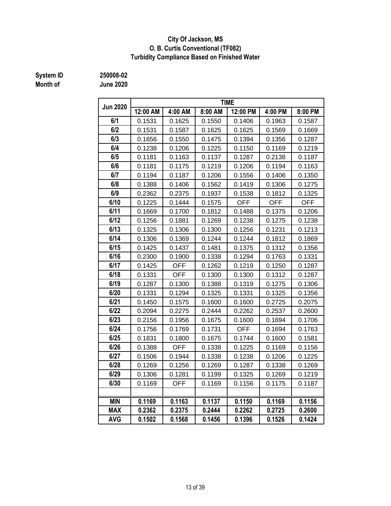#### **Turbidity Compliance Based on Finished Water City Of Jackson, MS O. B. Curtis Conventional (TF082)**

# **Month of June 2020**

**System ID 250008-02**

| <b>Jun 2020</b> |          |            |         | <b>TIME</b> |            |            |
|-----------------|----------|------------|---------|-------------|------------|------------|
|                 | 12:00 AM | 4:00 AM    | 8:00 AM | 12:00 PM    | 4:00 PM    | 8:00 PM    |
| 6/1             | 0.1531   | 0.1625     | 0.1550  | 0.1406      | 0.1963     | 0.1587     |
| 6/2             | 0.1531   | 0.1587     | 0.1625  | 0.1625      | 0.1569     | 0.1669     |
| 6/3             | 0.1656   | 0.1550     | 0.1475  | 0.1394      | 0.1356     | 0.1287     |
| 6/4             | 0.1238   | 0.1206     | 0.1225  | 0.1150      |            | 0.1219     |
| 6/5             | 0.1181   | 0.1163     | 0.1137  | 0.1287      | 0.2138     | 0.1187     |
| 6/6             | 0.1181   | 0.1175     | 0.1219  | 0.1206      | 0.1194     | 0.1163     |
| 6/7             | 0.1194   | 0.1187     | 0.1206  | 0.1556      | 0.1406     | 0.1350     |
| 6/8             | 0.1388   | 0.1406     | 0.1562  | 0.1419      | 0.1306     | 0.1275     |
| 6/9             | 0.2362   | 0.2375     | 0.1937  | 0.1538      | 0.1812     | 0.1325     |
| 6/10            | 0.1225   | 0.1444     | 0.1575  | <b>OFF</b>  | <b>OFF</b> | <b>OFF</b> |
| 6/11            | 0.1669   | 0.1700     | 0.1812  | 0.1488      | 0.1375     | 0.1206     |
| 6/12            | 0.1256   | 0.1881     | 0.1269  | 0.1238      | 0.1275     | 0.1238     |
| 6/13            | 0.1325   | 0.1306     | 0.1300  | 0.1256      | 0.1231     | 0.1213     |
| 6/14            | 0.1306   | 0.1369     | 0.1244  | 0.1244      | 0.1812     | 0.1869     |
| 6/15            | 0.1425   | 0.1437     | 0.1481  | 0.1375      | 0.1312     | 0.1356     |
| 6/16            | 0.2300   | 0.1900     | 0.1338  | 0.1294      | 0.1763     | 0.1331     |
| 6/17            | 0.1425   | <b>OFF</b> | 0.1262  | 0.1219      | 0.1250     | 0.1287     |
| 6/18            | 0.1331   | <b>OFF</b> | 0.1300  | 0.1300      | 0.1312     | 0.1287     |
| 6/19            | 0.1287   | 0.1300     | 0.1388  | 0.1319      | 0.1275     | 0.1306     |
| 6/20            | 0.1331   | 0.1294     | 0.1325  | 0.1331      | 0.1325     | 0.1356     |
| 6/21            | 0.1450   | 0.1575     | 0.1600  | 0.1600      | 0.2725     | 0.2075     |
| 6/22            | 0.2094   | 0.2275     | 0.2444  | 0.2262      | 0.2537     | 0.2600     |
| 6/23            | 0.2156   | 0.1956     | 0.1675  | 0.1600      | 0.1694     | 0.1706     |
| 6/24            | 0.1756   | 0.1769     | 0.1731  | <b>OFF</b>  | 0.1694     | 0.1763     |
| 6/25            | 0.1831   | 0.1800     | 0.1675  | 0.1744      | 0.1600     | 0.1581     |
| 6/26            | 0.1388   | <b>OFF</b> | 0.1338  | 0.1225      | 0.1169     | 0.1156     |
| 6/27            | 0.1506   | 0.1944     | 0.1338  | 0.1238      | 0.1206     | 0.1225     |
| 6/28            | 0.1269   | 0.1256     | 0.1269  | 0.1287      | 0.1338     | 0.1269     |
| 6/29            | 0.1306   | 0.1281     | 0.1199  | 0.1325      | 0.1269     | 0.1219     |
| 6/30            | 0.1169   | <b>OFF</b> | 0.1169  | 0.1156      | 0.1175     | 0.1187     |
|                 |          |            |         |             |            |            |
| <b>MIN</b>      | 0.1169   | 0.1163     | 0.1137  | 0.1150      | 0.1169     | 0.1156     |
| <b>MAX</b>      | 0.2362   | 0.2375     | 0.2444  | 0.2262      | 0.2725     | 0.2600     |
| <b>AVG</b>      | 0.1502   | 0.1568     | 0.1456  | 0.1396      | 0.1526     | 0.1424     |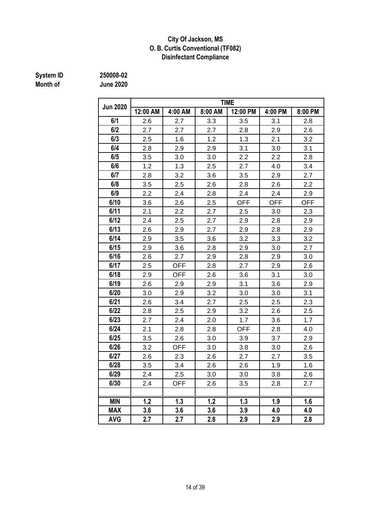#### **City Of Jackson, MS O. B. Curtis Conventional (TF082) Disinfectant Compliance**

# **Month of June 2020**

**System ID 250008-02**

|                 | <b>TIME</b> |            |            |            |            |            |  |  |  |  |  |
|-----------------|-------------|------------|------------|------------|------------|------------|--|--|--|--|--|
| <b>Jun 2020</b> | 12:00 AM    | 4:00 AM    | 8:00 AM    | 12:00 PM   | 4:00 PM    | 8:00 PM    |  |  |  |  |  |
| 6/1             | 2.6         | 2.7        | 3.3        | 3.5        | 3.1        | 2.8        |  |  |  |  |  |
| 6/2             | 2.7         | 2.7        | 2.7        | 2.8        | 2.9        | 2.6        |  |  |  |  |  |
| 6/3             | 2.5         | 1.6        | 1.2        | 1.3        | 2.1        | 3.2        |  |  |  |  |  |
| 6/4             | 2.8         | 2.9        | 2.9        | 3.1        | 3.0        | 3.1        |  |  |  |  |  |
| 6/5             | 3.5         | 3.0        | 2.2<br>3.0 |            | 2.2        | 2.8        |  |  |  |  |  |
| 6/6             | 1.2         | 1.3        | 2.5        | 2.7        | 4.0        | 3.4        |  |  |  |  |  |
| 6/7             | 2.8         | 3.2        | 3.6        | 3.5        | 2.9        | 2.7        |  |  |  |  |  |
| 6/8             | 3.5         | 2.5        | 2.6        | 2.8<br>2.6 |            | 2.2        |  |  |  |  |  |
| 6/9             | 2.2         | 2.4        | 2.8        | 2.4        | 2.4        | 2.9        |  |  |  |  |  |
| 6/10            | 3.6         | 2.6        | 2.5        | <b>OFF</b> | <b>OFF</b> | <b>OFF</b> |  |  |  |  |  |
| 6/11            | 2.1         | 2.2        | 2.7        | 2.5        | 3.0        | 2.3        |  |  |  |  |  |
| 6/12            | 2.4         | 2.5        | 2.7        | 2.9        | 2.8        | 2.9        |  |  |  |  |  |
| 6/13            | 2.6         | 2.9        | 2.7        | 2.9        | 2.8        | 2.9        |  |  |  |  |  |
| 6/14            | 2.9         | 3.5        | 3.6        | 3.2        | 3.3        | 3.2        |  |  |  |  |  |
| 6/15            | 2.9         | 3.6        | 2.8        | 2.9<br>3.0 |            | 2.7        |  |  |  |  |  |
| 6/16            | 2.6         | 2.7        | 2.9        | 2.9<br>2.8 |            | 3.0        |  |  |  |  |  |
| 6/17            | 2.5         | <b>OFF</b> | 2.8        | 2.7        | 2.9        | 2.6        |  |  |  |  |  |
| 6/18            | 2.9         | <b>OFF</b> | 2.6        | 3.6        | 3.1        | 3.0        |  |  |  |  |  |
| 6/19            | 2.6         | 2.9        | 2.9        | 3.1        | 3.6        | 2.9        |  |  |  |  |  |
| 6/20            | 3.0         | 2.9        | 3.2        | 3.0        | 3.0        | 3.1        |  |  |  |  |  |
| 6/21            | 2.6         | 3.4        | 2.7        | 2.5        | 2.5        | 2.3        |  |  |  |  |  |
| 6/22            | 2.8         | 2.5        | 2.9        | 3.2        | 2.6        | 2.5        |  |  |  |  |  |
| 6/23            | 2.7         | 2.4        | 2.0        | 1.7        | 3.6        | 1.7        |  |  |  |  |  |
| 6/24            | 2.1         | 2.8        | 2.8        | <b>OFF</b> | 2.8        | 4.0        |  |  |  |  |  |
| 6/25            | 3.5         | 2.6        | 3.0        | 3.9        | 3.7        | 2.9        |  |  |  |  |  |
| 6/26            | 3.2         | <b>OFF</b> | 3.0        | 3.8        | 3.0        | 2.6        |  |  |  |  |  |
| 6/27            | 2.6         | 2.3        | 2.6        | 2.7        | 2.7        | 3.5        |  |  |  |  |  |
| 6/28            | 3.5         | 3.4        | 2.6        | 2.6        | 1.9        | 1.6        |  |  |  |  |  |
| 6/29            | 2.4         | 2.5        | 3.0        | 3.0        | 3.8        | 2.6        |  |  |  |  |  |
| 6/30            | 2.4         | OFF        | 2.6        | 3.5        | 2.8        | 2.7        |  |  |  |  |  |
|                 |             |            |            |            |            |            |  |  |  |  |  |
| <b>MIN</b>      | 1.2         | 1.3        | 1.2        | 1.3        | 1.9        | 1.6        |  |  |  |  |  |
| <b>MAX</b>      | 3.6         | 3.6        | 3.6        | 3.9        | 4.0        | 4.0        |  |  |  |  |  |
| <b>AVG</b>      | 2.7         | 2.7        | 2.8        | 2.9        | 2.9        | 2.8        |  |  |  |  |  |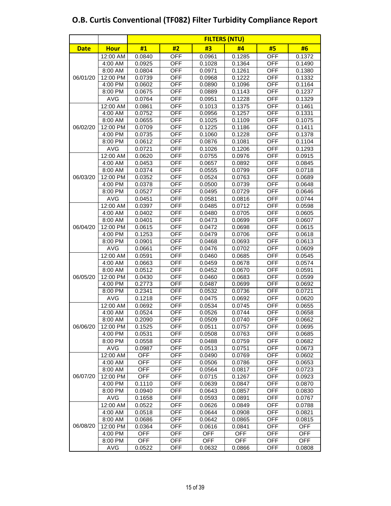|             |             |                      |            | <b>FILTERS (NTU)</b> |        |            |            |  |  |  |
|-------------|-------------|----------------------|------------|----------------------|--------|------------|------------|--|--|--|
| <b>Date</b> | <b>Hour</b> | #1                   | #2         | #3                   | #4     | #5         | #6         |  |  |  |
|             | 12:00 AM    | 0.0840               | <b>OFF</b> | 0.0961               | 0.1285 | <b>OFF</b> | 0.1372     |  |  |  |
|             | 4:00 AM     | 0.0925               | <b>OFF</b> | 0.1028               | 0.1364 | <b>OFF</b> | 0.1490     |  |  |  |
| 06/01/20    | 8:00 AM     | 0.0804               | <b>OFF</b> | 0.0971               | 0.1261 | <b>OFF</b> | 0.1380     |  |  |  |
|             | 12:00 PM    | 0.0739               | <b>OFF</b> | 0.0968               | 0.1222 | OFF        | 0.1332     |  |  |  |
|             | 4:00 PM     | 0.0602               | OFF        | 0.0890               | 0.1096 | <b>OFF</b> | 0.1164     |  |  |  |
|             | 8:00 PM     | 0.0675               | OFF        | 0.0889               | 0.1143 | <b>OFF</b> | 0.1237     |  |  |  |
|             | <b>AVG</b>  | 0.0764               | <b>OFF</b> | 0.0951               | 0.1228 | <b>OFF</b> | 0.1329     |  |  |  |
|             | 12:00 AM    | 0.0861               | <b>OFF</b> | 0.1013               | 0.1375 | <b>OFF</b> | 0.1461     |  |  |  |
|             | 4:00 AM     | 0.0752               | <b>OFF</b> | 0.0956               | 0.1257 | <b>OFF</b> | 0.1331     |  |  |  |
|             | 8:00 AM     | 0.0655               | <b>OFF</b> | 0.1025               | 0.1109 | <b>OFF</b> | 0.1075     |  |  |  |
| 06/02/20    | 12:00 PM    | 0.0709               | <b>OFF</b> | 0.1225               | 0.1186 | <b>OFF</b> | 0.1411     |  |  |  |
|             | 4:00 PM     | 0.0735               | OFF        | 0.1060               | 0.1228 | OFF        | 0.1378     |  |  |  |
|             | 8:00 PM     | 0.0612               | <b>OFF</b> | 0.0876               | 0.1081 | <b>OFF</b> | 0.1104     |  |  |  |
|             | <b>AVG</b>  | 0.0721               | <b>OFF</b> | 0.1026               | 0.1206 | <b>OFF</b> | 0.1293     |  |  |  |
|             | 12:00 AM    | 0.0620               | <b>OFF</b> | 0.0755               | 0.0976 | <b>OFF</b> | 0.0915     |  |  |  |
|             | 4:00 AM     | 0.0453               | <b>OFF</b> | 0.0657               | 0.0892 | <b>OFF</b> | 0.0845     |  |  |  |
|             | 8:00 AM     | 0.0374               | <b>OFF</b> | 0.0555               | 0.0799 | <b>OFF</b> | 0.0718     |  |  |  |
| 06/03/20    | 12:00 PM    | 0.0352               | <b>OFF</b> | 0.0524               | 0.0763 | <b>OFF</b> | 0.0689     |  |  |  |
|             | 4:00 PM     | 0.0378               | OFF        | 0.0500               | 0.0739 | <b>OFF</b> | 0.0648     |  |  |  |
|             | 8:00 PM     | 0.0527               | OFF        | 0.0495               | 0.0729 | <b>OFF</b> | 0.0646     |  |  |  |
|             | <b>AVG</b>  | 0.0451               | <b>OFF</b> | 0.0581               | 0.0816 | <b>OFF</b> | 0.0744     |  |  |  |
|             | 12:00 AM    | 0.0397               | <b>OFF</b> | 0.0485               | 0.0712 | <b>OFF</b> | 0.0598     |  |  |  |
| 06/04/20    | 4:00 AM     | <b>OFF</b><br>0.0402 |            | 0.0480               | 0.0705 | <b>OFF</b> | 0.0605     |  |  |  |
|             | 8:00 AM     | 0.0401               | <b>OFF</b> | 0.0473               | 0.0699 | <b>OFF</b> | 0.0607     |  |  |  |
|             | 12:00 PM    | 0.0615               | <b>OFF</b> | 0.0472               | 0.0698 | <b>OFF</b> | 0.0615     |  |  |  |
|             | 4:00 PM     | 0.1253               | OFF        | 0.0479               | 0.0706 | <b>OFF</b> | 0.0618     |  |  |  |
|             | 8:00 PM     | 0.0901               | OFF        | 0.0468               | 0.0693 | <b>OFF</b> | 0.0613     |  |  |  |
|             | <b>AVG</b>  | 0.0661               | <b>OFF</b> | 0.0476               | 0.0702 | <b>OFF</b> | 0.0609     |  |  |  |
|             | 12:00 AM    | 0.0591               | <b>OFF</b> | 0.0460               | 0.0685 | <b>OFF</b> | 0.0545     |  |  |  |
|             | 4:00 AM     | 0.0663               | <b>OFF</b> | 0.0459               | 0.0678 | <b>OFF</b> | 0.0574     |  |  |  |
|             | 8:00 AM     | 0.0512               | <b>OFF</b> | 0.0452               | 0.0670 | <b>OFF</b> | 0.0591     |  |  |  |
| 06/05/20    | 12:00 PM    | 0.0430               | <b>OFF</b> | 0.0460               | 0.0683 | <b>OFF</b> | 0.0599     |  |  |  |
|             | 4:00 PM     | 0.2773               | OFF        | 0.0487               | 0.0699 | <b>OFF</b> | 0.0692     |  |  |  |
|             | 8:00 PM     | 0.2341               | OFF        | 0.0532               | 0.0736 | <b>OFF</b> | 0.0721     |  |  |  |
|             | <b>AVG</b>  | 0.1218               | <b>OFF</b> | 0.0475               | 0.0692 | <b>OFF</b> | 0.0620     |  |  |  |
|             | 12:00 AM    | 0.0692               | <b>OFF</b> | 0.0534               | 0.0745 | <b>OFF</b> | 0.0655     |  |  |  |
|             | 4:00 AM     | 0.0524               | <b>OFF</b> | 0.0526               | 0.0744 | <b>OFF</b> | 0.0658     |  |  |  |
|             | 8:00 AM     | 0.2090               | OFF        | 0.0509               | 0.0740 | <b>OFF</b> | 0.0662     |  |  |  |
|             | 12:00 PM    | 0.1525               | OFF        | 0.0511               | 0.0757 | OFF        | 0.0695     |  |  |  |
|             | 4:00 PM     | 0.0531               | OFF        | 0.0508               | 0.0763 | <b>OFF</b> | 0.0685     |  |  |  |
| 06/06/20    | 8:00 PM     | 0.0558               | OFF        | 0.0488               | 0.0759 | <b>OFF</b> | 0.0682     |  |  |  |
|             | <b>AVG</b>  | 0.0987               | <b>OFF</b> | 0.0513               | 0.0751 | <b>OFF</b> | 0.0673     |  |  |  |
|             | 12:00 AM    | <b>OFF</b>           | <b>OFF</b> | 0.0490               | 0.0769 | <b>OFF</b> | 0.0602     |  |  |  |
|             | 4:00 AM     | <b>OFF</b>           | OFF        | 0.0506               | 0.0786 | <b>OFF</b> | 0.0653     |  |  |  |
|             | 8:00 AM     | <b>OFF</b>           | OFF        | 0.0564               | 0.0817 | <b>OFF</b> | 0.0723     |  |  |  |
| 06/07/20    | 12:00 PM    | <b>OFF</b>           | OFF        | 0.0715               | 0.1267 | OFF        | 0.0923     |  |  |  |
|             | 4:00 PM     | 0.1110               | OFF        | 0.0639               | 0.0847 | <b>OFF</b> | 0.0870     |  |  |  |
|             | 8:00 PM     | 0.0940               | OFF        | 0.0643               | 0.0857 | OFF        | 0.0830     |  |  |  |
|             | <b>AVG</b>  | 0.1658               | OFF        | 0.0593               | 0.0891 | OFF        | 0.0767     |  |  |  |
|             | 12:00 AM    | 0.0522               | OFF        | 0.0626               | 0.0849 | <b>OFF</b> | 0.0788     |  |  |  |
|             | 4:00 AM     | 0.0518               | OFF        | 0.0644               | 0.0908 | <b>OFF</b> | 0.0821     |  |  |  |
|             | 8:00 AM     | 0.0686               | OFF        | 0.0642               | 0.0865 | OFF        | 0.0815     |  |  |  |
| 06/08/20    | 12:00 PM    | 0.0364               | OFF        | 0.0616               | 0.0841 | OFF        | OFF        |  |  |  |
|             | 4:00 PM     | OFF                  | OFF        | <b>OFF</b>           | OFF    | OFF        | OFF        |  |  |  |
|             | 8:00 PM     | OFF                  | OFF        | <b>OFF</b>           | OFF    | OFF        | <b>OFF</b> |  |  |  |
|             | <b>AVG</b>  | 0.0522               | <b>OFF</b> | 0.0632               | 0.0866 | OFF        | 0.0808     |  |  |  |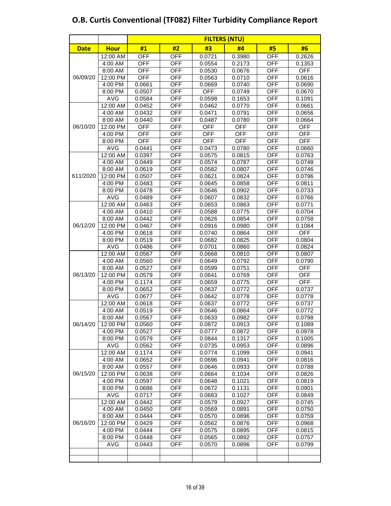|             |                     |                  |            | <b>FILTERS (NTU)</b> |                  |                          |                  |
|-------------|---------------------|------------------|------------|----------------------|------------------|--------------------------|------------------|
| <b>Date</b> | <b>Hour</b>         | #1               | #2         | #3                   | #4               | #5                       | #6               |
|             | 12:00 AM            | <b>OFF</b>       | <b>OFF</b> | 0.0721               | 0.3980           | <b>OFF</b>               | 0.2626           |
|             | 4:00 AM             | <b>OFF</b>       | <b>OFF</b> | 0.0554               | 0.2173           | <b>OFF</b>               | 0.1353           |
|             | 8:00 AM             | <b>OFF</b>       | <b>OFF</b> | 0.0530               | 0.0676           | <b>OFF</b>               | <b>OFF</b>       |
| 06/09/20    | 12:00 PM            | OFF              | <b>OFF</b> | 0.0563               | 0.0710           | OFF                      | 0.0616           |
|             | 4:00 PM             | 0.0661           | OFF        | 0.0669               | 0.0740           | <b>OFF</b>               | 0.0690           |
|             | 8:00 PM             | 0.0507           | OFF        | <b>OFF</b>           | 0.0749           | <b>OFF</b>               | 0.0670           |
|             | <b>AVG</b>          | 0.0584           | <b>OFF</b> | 0.0598               | 0.1653           | <b>OFF</b>               | 0.1091           |
|             | 12:00 AM            | 0.0452           | <b>OFF</b> | 0.0462               | 0.0770           | <b>OFF</b>               | 0.0661           |
|             | 4:00 AM             | 0.0432           | OFF        | 0.0471               | 0.0791           | <b>OFF</b>               | 0.0656           |
|             | 8:00 AM             | 0.0440           | <b>OFF</b> | 0.0487               | 0.0780           | <b>OFF</b>               | 0.0664           |
| 06/10/20    | 12:00 PM            | OFF              | OFF        | <b>OFF</b>           | <b>OFF</b>       | <b>OFF</b>               | OFF              |
|             | 4:00 PM             | OFF              | <b>OFF</b> | <b>OFF</b>           | <b>OFF</b>       | <b>OFF</b>               | <b>OFF</b>       |
|             | 8:00 PM             | <b>OFF</b>       | <b>OFF</b> | <b>OFF</b>           | <b>OFF</b>       | <b>OFF</b>               | <b>OFF</b>       |
|             | <b>AVG</b>          | 0.0441           | <b>OFF</b> | 0.0473               | 0.0780           | <b>OFF</b>               | 0.0660           |
|             | 12:00 AM            | 0.0397           | <b>OFF</b> | 0.0575               | 0.0815           | <b>OFF</b>               | 0.0763           |
|             | 4:00 AM             | 0.0449           | <b>OFF</b> | 0.0574               | 0.0787           | <b>OFF</b>               | 0.0748           |
|             | 8:00 AM             | 0.0619           | <b>OFF</b> | 0.0582               | 0.0807           | <b>OFF</b>               | 0.0746           |
| 611/2020    | 12:00 PM            | 0.0507           | OFF        | 0.0621               | 0.0824           | <b>OFF</b>               | 0.0796           |
|             | 4:00 PM             | 0.0483           | <b>OFF</b> | 0.0645               | 0.0858           | <b>OFF</b>               | 0.0811           |
|             | 8:00 PM             | 0.0478           | <b>OFF</b> | 0.0646               | 0.0902           | <b>OFF</b>               | 0.0733           |
|             | <b>AVG</b>          | 0.0489           | <b>OFF</b> | 0.0607               | 0.0832           | <b>OFF</b>               | 0.0766           |
|             | 12:00 AM            | 0.0463           | <b>OFF</b> | 0.0653               | 0.0863           | <b>OFF</b>               | 0.0771           |
|             | 4:00 AM             | 0.0410           | OFF        | 0.0588               | 0.0775           | OFF                      | 0.0704           |
| 06/12/20    | 8:00 AM             | 0.0442           | OFF        | 0.0626               | 0.0854           | <b>OFF</b>               | 0.0758           |
|             | 12:00 PM            | 0.0467           | <b>OFF</b> | 0.0916               | 0.0980           | <b>OFF</b>               | 0.1084           |
|             | 4:00 PM             | 0.0618           | <b>OFF</b> | 0.0740               | 0.0864           | <b>OFF</b>               | <b>OFF</b>       |
|             | 8:00 PM             | 0.0519           | <b>OFF</b> | 0.0682               | 0.0825           | <b>OFF</b>               | 0.0804           |
|             | <b>AVG</b>          | 0.0486           | OFF        | 0.0701               | 0.0860           | <b>OFF</b>               | 0.0824           |
|             | 12:00 AM            | 0.0567           | OFF        | 0.0668               | 0.0810           | <b>OFF</b>               | 0.0807           |
| 06/13/20    | 4:00 AM             | 0.0560           | OFF        | 0.0649               | 0.0792           | <b>OFF</b>               | 0.0790           |
|             | 8:00 AM             | 0.0527           | OFF        | 0.0599               | 0.0751           | <b>OFF</b>               | <b>OFF</b>       |
|             | 12:00 PM            | 0.0579           | <b>OFF</b> | 0.0641               | 0.0769           | <b>OFF</b>               | <b>OFF</b>       |
|             | 4:00 PM             | 0.1174           | OFF        | 0.0659               | 0.0775           | <b>OFF</b>               | <b>OFF</b>       |
|             | 8:00 PM             | 0.0652           | <b>OFF</b> | 0.0637               | 0.0772           | <b>OFF</b>               | 0.0737           |
|             | <b>AVG</b>          | 0.0677           | <b>OFF</b> | 0.0642               | 0.0778           | <b>OFF</b>               | 0.0778           |
|             | 12:00 AM            | 0.0618           | OFF        | 0.0637               | 0.0772           | <b>OFF</b>               | 0.0737           |
|             | 4:00 AM             | 0.0519           | OFF        | 0.0646               | 0.0864           | <b>OFF</b>               | 0.0772           |
|             | 8:00 AM             | 0.0567           | OFF        | 0.0633               | 0.0982           | <b>OFF</b>               | 0.0798           |
| 06/14/20    | 12:00 PM            | 0.0560           | <b>OFF</b> | 0.0872               | 0.0913           | <b>OFF</b>               | 0.1089           |
|             | 4:00 PM             | 0.0527           | <b>OFF</b> | 0.0777               | 0.0872           | <b>OFF</b>               | 0.0978           |
|             | 8:00 PM             | 0.0579           | <b>OFF</b> | 0.0844               | 0.1317           | <b>OFF</b>               | 0.1005           |
|             | <b>AVG</b>          | 0.0562           | OFF        | 0.0735               | 0.0953           | OFF                      | 0.0896           |
|             | 12:00 AM            | 0.1174           | OFF        | 0.0774               | 0.1099           | <b>OFF</b>               | 0.0941           |
|             | 4:00 AM             | 0.0652           | OFF        | 0.0696               | 0.0941           | <b>OFF</b>               | 0.0816           |
|             | 8:00 AM<br>12:00 PM | 0.0557<br>0.0638 | OFF<br>OFF | 0.0646<br>0.0664     | 0.0933<br>0.1034 | <b>OFF</b><br><b>OFF</b> | 0.0788<br>0.0826 |
| 06/15/20    |                     | 0.0597           | OFF        | 0.0648               |                  | <b>OFF</b>               |                  |
|             | 4:00 PM<br>8:00 PM  | 0.0686           | OFF        | 0.0672               | 0.1021<br>0.1131 | <b>OFF</b>               | 0.0819<br>0.0901 |
|             | <b>AVG</b>          | 0.0717           | OFF        | 0.0683               | 0.1027           | <b>OFF</b>               | 0.0849           |
|             | 12:00 AM            | 0.0442           | <b>OFF</b> | 0.0579               | 0.0927           | <b>OFF</b>               | 0.0745           |
|             | 4:00 AM             | 0.0450           | OFF        | 0.0569               | 0.0891           | <b>OFF</b>               | 0.0750           |
|             | 8:00 AM             | 0.0444           | OFF        | 0.0570               | 0.0896           | <b>OFF</b>               | 0.0759           |
| 06/16/20    | 12:00 PM            | 0.0429           | OFF        | 0.0562               | 0.0876           | <b>OFF</b>               | 0.0968           |
|             | $4:00$ PM           | 0.0444           | OFF        | 0.0575               | 0.0895           | OFF                      | 0.0815           |
|             | 8:00 PM             | 0.0448           | OFF        | 0.0565               | 0.0892           | OFF                      | 0.0757           |
|             | <b>AVG</b>          | 0.0443           | OFF        | 0.0570               | 0.0896           | OFF                      | 0.0799           |
|             |                     |                  |            |                      |                  |                          |                  |
|             |                     |                  |            |                      |                  |                          |                  |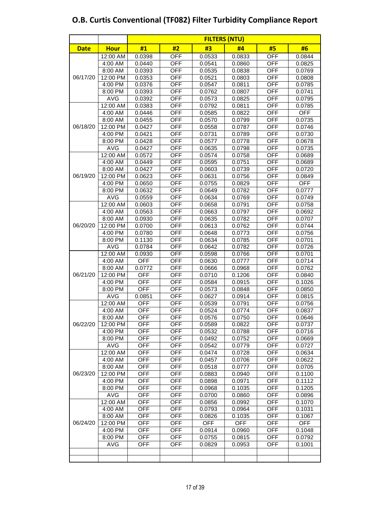| <b>Date</b> | <b>Hour</b>        | #1                | #2                | #3               | #4               | #5                       | #6               |
|-------------|--------------------|-------------------|-------------------|------------------|------------------|--------------------------|------------------|
|             | 12:00 AM           | 0.0398            | <b>OFF</b>        | 0.0533           | 0.0833           | <b>OFF</b>               | 0.0844           |
|             | 4:00 AM            | 0.0440            | <b>OFF</b>        | 0.0541           | 0.0860           | <b>OFF</b>               | 0.0825           |
|             | 8:00 AM            | 0.0393            | <b>OFF</b>        | 0.0535           | 0.0838           | <b>OFF</b>               | 0.0769           |
| 06/17/20    | 12:00 PM           | 0.0353            | <b>OFF</b>        | 0.0521           | 0.0803           | <b>OFF</b>               | 0.0808           |
|             | 4:00 PM            | 0.0376            | OFF               | 0.0547           | 0.0811           | OFF                      | 0.0785           |
|             | 8:00 PM            | 0.0393            | <b>OFF</b>        | 0.0762           | 0.0807           | <b>OFF</b>               | 0.0741           |
|             | AVG                | 0.0392            | <b>OFF</b>        | 0.0573           | 0.0825           | <b>OFF</b>               | 0.0795           |
|             | 12:00 AM           | 0.0383            | <b>OFF</b>        | 0.0792           | 0.0811           | <b>OFF</b>               | 0.0785           |
|             | 4:00 AM            | 0.0446            | <b>OFF</b>        | 0.0585           | 0.0822           | <b>OFF</b>               | <b>OFF</b>       |
|             | 8:00 AM            | 0.0455            | <b>OFF</b>        | 0.0570           | 0.0799           | <b>OFF</b>               | 0.0735           |
| 06/18/20    | 12:00 PM           | 0.0427            | <b>OFF</b>        | 0.0558           | 0.0787           | <b>OFF</b>               | 0.0746           |
|             | 4:00 PM            | 0.0421            | <b>OFF</b>        | 0.0731           | 0.0789           | <b>OFF</b>               | 0.0730           |
|             | 8:00 PM            | 0.0428            | <b>OFF</b>        | 0.0577           | 0.0778           | <b>OFF</b>               | 0.0678           |
|             | <b>AVG</b>         | 0.0427            | <b>OFF</b>        | 0.0635           | 0.0798           | <b>OFF</b>               | 0.0735           |
|             | 12:00 AM           | 0.0572            | <b>OFF</b>        | 0.0574           | 0.0758           | <b>OFF</b>               | 0.0689           |
|             | 4:00 AM            | 0.0449            | <b>OFF</b>        | 0.0595           | 0.0751           | <b>OFF</b>               | 0.0689           |
|             | 8:00 AM            | 0.0427            | <b>OFF</b>        | 0.0603           | 0.0739           | <b>OFF</b>               | 0.0720           |
| 06/19/20    | 12:00 PM           | 0.0623            | <b>OFF</b>        | 0.0631           | 0.0756           | <b>OFF</b>               | 0.0849           |
|             | 4:00 PM            | 0.0650            | <b>OFF</b>        | 0.0755           | 0.0829           | <b>OFF</b>               | <b>OFF</b>       |
|             | 8:00 PM            | 0.0632            | <b>OFF</b>        | 0.0649           | 0.0782           | <b>OFF</b>               | 0.0777           |
|             | <b>AVG</b>         | 0.0559            | <b>OFF</b>        | 0.0634           | 0.0769           | <b>OFF</b>               | 0.0749           |
|             | 12:00 AM           | 0.0603            | <b>OFF</b>        | 0.0658           | 0.0791           | <b>OFF</b>               | 0.0758           |
|             | 4:00 AM            | 0.0563            | <b>OFF</b>        | 0.0663           | 0.0797           | <b>OFF</b>               | 0.0692           |
|             | 8:00 AM            | 0.0930            | <b>OFF</b>        | 0.0635           | 0.0782           | <b>OFF</b>               | 0.0707           |
| 06/20/20    | 12:00 PM           | 0.0700            | <b>OFF</b>        | 0.0613           | 0.0762           | <b>OFF</b>               | 0.0744           |
|             | 4:00 PM            | 0.0780            | <b>OFF</b>        | 0.0648           | 0.0773           | <b>OFF</b>               | 0.0756           |
|             | 8:00 PM            | 0.1130            | <b>OFF</b>        | 0.0634           | 0.0785           | <b>OFF</b>               | 0.0701           |
|             | <b>AVG</b>         | 0.0784            | <b>OFF</b>        | 0.0642           | 0.0782           | <b>OFF</b>               | 0.0726           |
|             | 12:00 AM           | 0.0930            | <b>OFF</b>        | 0.0598           | 0.0766           | <b>OFF</b>               | 0.0701           |
|             | 4:00 AM            | OFF               | OFF               | 0.0630           | 0.0777           | OFF                      | 0.0714           |
|             | 8:00 AM            | 0.0772            | <b>OFF</b>        | 0.0666           | 0.0968           | <b>OFF</b>               | 0.0762           |
|             | 12:00 PM           | <b>OFF</b>        | <b>OFF</b>        | 0.0710           | 0.1206           | <b>OFF</b>               | 0.0840           |
| 06/21/20    | 4:00 PM            | <b>OFF</b>        | <b>OFF</b>        | 0.0584           | 0.0915           | <b>OFF</b>               | 0.1026           |
|             | 8:00 PM            | <b>OFF</b>        | <b>OFF</b>        | 0.0573           | 0.0848           | <b>OFF</b>               | 0.0850           |
|             | <b>AVG</b>         | 0.0851            | <b>OFF</b>        | 0.0627           | 0.0914           | <b>OFF</b>               | 0.0815           |
|             | 12:00 AM           | <b>OFF</b>        | <b>OFF</b>        | 0.0539           | 0.0791<br>0.0774 | <b>OFF</b>               | 0.0756           |
|             | 4:00 AM<br>8:00 AM | OFF<br><b>OFF</b> | OFF<br><b>OFF</b> | 0.0524<br>0.0576 | 0.0750           | <b>OFF</b><br><b>OFF</b> | 0.0837<br>0.0646 |
| 06/22/20    | 12:00 PM           | <b>OFF</b>        | <b>OFF</b>        | 0.0589           | 0.0822           | <b>OFF</b>               | 0.0737           |
|             | 4:00 PM            | OFF               | OFF               | 0.0532           | 0.0788           | <b>OFF</b>               | 0.0716           |
|             | 8:00 PM            | <b>OFF</b>        | <b>OFF</b>        | 0.0492           | 0.0752           | <b>OFF</b>               | 0.0669           |
|             | AVG                | <b>OFF</b>        | OFF               | 0.0542           | 0.0779           | <b>OFF</b>               | 0.0727           |
|             | 12:00 AM           | OFF               | OFF               | 0.0474           | 0.0728           | OFF                      | 0.0634           |
|             | 4:00 AM            | OFF               | OFF               | 0.0457           | 0.0706           | <b>OFF</b>               | 0.0622           |
|             | 8:00 AM            | <b>OFF</b>        | <b>OFF</b>        | 0.0518           | 0.0777           | <b>OFF</b>               | 0.0705           |
| 06/23/20    | 12:00 PM           | <b>OFF</b>        | OFF               | 0.0883           | 0.0940           | OFF                      | 0.1100           |
|             | 4:00 PM            | OFF               | OFF               | 0.0898           | 0.0971           | OFF                      | 0.1112           |
|             | 8:00 PM            | <b>OFF</b>        | OFF               | 0.0968           | 0.1035           | OFF                      | 0.1205           |
|             | AVG                | OFF               | OFF               | 0.0700           | 0.0860           | <b>OFF</b>               | 0.0896           |
|             | 12:00 AM           | <b>OFF</b>        | <b>OFF</b>        | 0.0856           | 0.0992           | <b>OFF</b>               | 0.1070           |
|             | 4:00 AM            | OFF               | OFF               | 0.0793           | 0.0964           | OFF                      | 0.1031           |
| 06/24/20    | 8:00 AM            | <b>OFF</b>        | <b>OFF</b>        | 0.0826           | 0.1035           | <b>OFF</b>               | 0.1067           |
|             | 12:00 PM           | <b>OFF</b>        | <b>OFF</b>        | <b>OFF</b>       | <b>OFF</b>       | <b>OFF</b>               | <b>OFF</b>       |
|             | 4:00 PM            | OFF               | <b>OFF</b>        | 0.0914           | 0.0960           | <b>OFF</b>               | 0.1048           |
|             | 8:00 PM            | OFF               | OFF               | 0.0755           | 0.0815           | OFF                      | 0.0792           |
|             | AVG                | OFF               | OFF               | 0.0829           | 0.0953           | OFF                      | 0.1001           |
|             |                    |                   |                   |                  |                  |                          |                  |
|             |                    |                   |                   |                  |                  |                          |                  |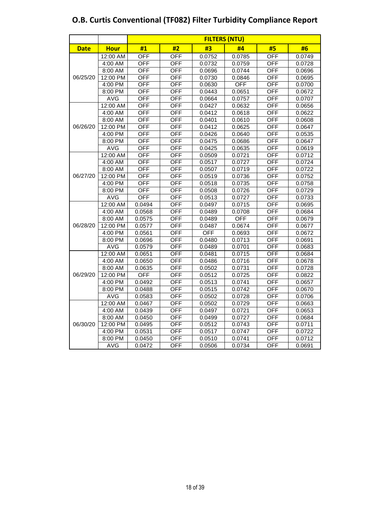|             |             |                  |                  |        | <b>FILTERS (NTU)</b> |                  |        |
|-------------|-------------|------------------|------------------|--------|----------------------|------------------|--------|
| <b>Date</b> | <b>Hour</b> | #1               | #2               | #3     | #4                   | #5               | #6     |
|             | 12:00 AM    | $\overline{OFF}$ | $\overline{OFF}$ | 0.0752 | 0.0785               | <b>OFF</b>       | 0.0749 |
|             | 4:00 AM     | <b>OFF</b>       | <b>OFF</b>       | 0.0732 | 0.0759               | <b>OFF</b>       | 0.0728 |
|             | $8:00$ AM   | <b>OFF</b>       | <b>OFF</b>       | 0.0696 | 0.0744               | OFF              | 0.0696 |
| 06/25/20    | 12:00 PM    | <b>OFF</b>       | <b>OFF</b>       | 0.0730 | 0.0846               | <b>OFF</b>       | 0.0695 |
|             | 4:00 PM     | OFF              | OFF              | 0.0630 | <b>OFF</b>           | OFF              | 0.0700 |
|             | 8:00 PM     | OFF              | <b>OFF</b>       | 0.0443 | 0.0651               | OFF              | 0.0672 |
|             | <b>AVG</b>  | <b>OFF</b>       | <b>OFF</b>       | 0.0664 | 0.0757               | <b>OFF</b>       | 0.0707 |
|             | 12:00 AM    | <b>OFF</b>       | <b>OFF</b>       | 0.0427 | 0.0632               | <b>OFF</b>       | 0.0656 |
|             | 4:00 AM     | OFF              | OFF              | 0.0412 | 0.0618               | <b>OFF</b>       | 0.0622 |
|             | 8:00 AM     | OFF              | $\overline{OFF}$ | 0.0401 | 0.0610               | $\overline{OFF}$ | 0.0608 |
| 06/26/20    | 12:00 PM    | OFF              | <b>OFF</b>       | 0.0412 | 0.0625               | <b>OFF</b>       | 0.0647 |
|             | 4:00 PM     | <b>OFF</b>       | OFF              | 0.0426 | 0.0640               | OFF              | 0.0535 |
| 06/27/20    | 8:00 PM     | <b>OFF</b>       | <b>OFF</b>       | 0.0475 | 0.0686               | <b>OFF</b>       | 0.0647 |
|             | <b>AVG</b>  | OFF              | OFF              | 0.0425 | 0.0635               | OFF              | 0.0619 |
|             | 12:00 AM    | OFF              | OFF              | 0.0509 | 0.0721               | OFF              | 0.0712 |
|             | 4:00 AM     | <b>OFF</b>       | <b>OFF</b>       | 0.0517 | 0.0727               | <b>OFF</b>       | 0.0724 |
|             | 8:00 AM     | OFF              | OFF              | 0.0507 | 0.0719               | <b>OFF</b>       | 0.0722 |
|             | 12:00 PM    | <b>OFF</b>       | <b>OFF</b>       | 0.0519 | 0.0736               | <b>OFF</b>       | 0.0752 |
|             | 4:00 PM     | $\overline{OFF}$ | <b>OFF</b>       | 0.0518 | 0.0735               | <b>OFF</b>       | 0.0758 |
|             | 8:00 PM     | <b>OFF</b>       | <b>OFF</b>       | 0.0508 | 0.0726               | <b>OFF</b>       | 0.0729 |
|             | <b>AVG</b>  | <b>OFF</b>       | OFF              | 0.0513 | 0.0727               | OFF              | 0.0733 |
|             | 12:00 AM    | 0.0494           | <b>OFF</b>       | 0.0497 | 0.0715               | <b>OFF</b>       | 0.0695 |
|             | 4:00 AM     | 0.0568           | OFF              | 0.0489 | 0.0708               | OFF              | 0.0684 |
|             | 8:00 AM     | 0.0575           | OFF              | 0.0489 | OFF                  | OFF              | 0.0679 |
| 06/28/20    | 12:00 PM    | 0.0577           | <b>OFF</b>       | 0.0487 | 0.0674               | <b>OFF</b>       | 0.0677 |
|             | 4:00 PM     | 0.0561           | <b>OFF</b>       | OFF    | 0.0693               | <b>OFF</b>       | 0.0672 |
|             | 8:00 PM     | 0.0696           | <b>OFF</b>       | 0.0480 | 0.0713               | <b>OFF</b>       | 0.0691 |
|             | <b>AVG</b>  | 0.0579           | OFF              | 0.0489 | 0.0701               | $\overline{OFF}$ | 0.0683 |
|             | 12:00 AM    | 0.0651           | <b>OFF</b>       | 0.0481 | 0.0715               | <b>OFF</b>       | 0.0684 |
|             | 4:00 AM     | 0.0650           | OFF              | 0.0486 | 0.0716               | OFF              | 0.0678 |
|             | 8:00 AM     | 0.0635           | <b>OFF</b>       | 0.0502 | 0.0731               | <b>OFF</b>       | 0.0728 |
| 06/29/20    | 12:00 PM    | <b>OFF</b>       | OFF              | 0.0512 | 0.0725               | OFF              | 0.0822 |
|             | 4:00 PM     | 0.0492           | OFF              | 0.0513 | 0.0741               | OFF              | 0.0657 |
|             | 8:00 PM     | 0.0488           | <b>OFF</b>       | 0.0515 | 0.0742               | <b>OFF</b>       | 0.0670 |
|             | <b>AVG</b>  | 0.0583           | OFF              | 0.0502 | 0.0728               | <b>OFF</b>       | 0.0706 |
|             | 12:00 AM    | 0.0467           | <b>OFF</b>       | 0.0502 | 0.0729               | <b>OFF</b>       | 0.0663 |
|             | 4:00 AM     | 0.0439           | OFF              | 0.0497 | 0.0721               | OFF              | 0.0653 |
|             | 8:00 AM     | 0.0450           | <b>OFF</b>       | 0.0499 | 0.0727               | <b>OFF</b>       | 0.0684 |
| 06/30/20    | 12:00 PM    | 0.0495           | OFF              | 0.0512 | 0.0743               | OFF              | 0.0711 |
|             | 4:00 PM     | 0.0531           | <b>OFF</b>       | 0.0517 | 0.0747               | <b>OFF</b>       | 0.0722 |
|             | 8:00 PM     | 0.0450           | OFF              | 0.0510 | 0.0741               | OFF              | 0.0712 |
|             | <b>AVG</b>  | 0.0472           | OFF              | 0.0506 | 0.0734               | OFF              | 0.0691 |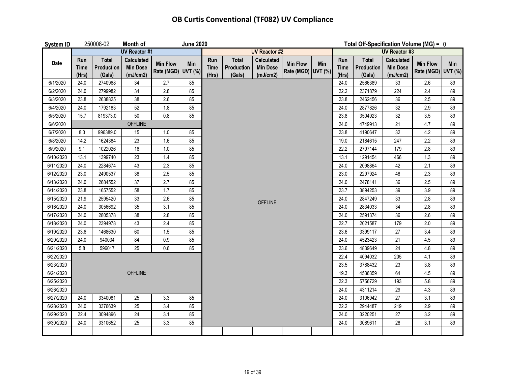### **OB Curtis Conventional (TF082) UV Compliance**

| System ID |                             | 250008-02                            | Month of                                         |                                       | <b>June 2020</b> |                             |                                      |                                                  |                                       |     | Total Off-Specification Volume (MG) = 0 |                               |                                           |                                       |     |
|-----------|-----------------------------|--------------------------------------|--------------------------------------------------|---------------------------------------|------------------|-----------------------------|--------------------------------------|--------------------------------------------------|---------------------------------------|-----|-----------------------------------------|-------------------------------|-------------------------------------------|---------------------------------------|-----|
|           |                             |                                      | <b>UV Reactor #1</b>                             |                                       |                  |                             | <b>UV Reactor #2</b>                 |                                                  |                                       |     |                                         | <b>UV Reactor #3</b>          |                                           |                                       |     |
| Date      | Run<br><b>Time</b><br>(Hrs) | <b>Total</b><br>Production<br>(Gals) | <b>Calculated</b><br><b>Min Dose</b><br>(mJ/cm2) | <b>Min Flow</b><br>Rate (MGD) UVT (%) | Min              | Run<br><b>Time</b><br>(Hrs) | <b>Total</b><br>Production<br>(Gals) | <b>Calculated</b><br><b>Min Dose</b><br>(mJ/cm2) | <b>Min Flow</b><br>Rate (MGD) UVT (%) | Min | Run<br><b>Time</b><br>(Hrs)             | Total<br>Production<br>(Gals) | Calculated<br><b>Min Dose</b><br>(mJ/cm2) | <b>Min Flow</b><br>Rate (MGD) UVT (%) | Min |
| 6/1/2020  | 24.0                        | 2740968                              | 34                                               | 2.7                                   | 85               |                             |                                      |                                                  |                                       |     | 24.0                                    | 2566389                       | 33                                        | 2.6                                   | 89  |
| 6/2/2020  | 24.0                        | 2799982                              | 34                                               | 2.8                                   | 85               |                             |                                      |                                                  |                                       |     | 22.2                                    | 2371879                       | 224                                       | 2.4                                   | 89  |
| 6/3/2020  | 23.8                        | 2638825                              | 38                                               | 2.6                                   | 85               |                             |                                      |                                                  |                                       |     | 23.8                                    | 2462456                       | 36                                        | 2.5                                   | 89  |
| 6/4/2020  | 24.0                        | 1792183                              | 52                                               | 1.8                                   | 85               |                             |                                      |                                                  |                                       |     | 24.0                                    | 2877826                       | 32                                        | 2.9                                   | 89  |
| 6/5/2020  | 15.7                        | 819373.0                             | 50                                               | 0.8                                   | 85               |                             |                                      |                                                  |                                       |     | 23.8                                    | 3504923                       | 32                                        | 3.5                                   | 89  |
| 6/6/2020  |                             |                                      | <b>OFFLINE</b>                                   |                                       |                  |                             |                                      |                                                  |                                       |     | 24.0                                    | 4749913                       | 21                                        | 4.7                                   | 89  |
| 6/7/2020  | 8.3                         | 996389.0                             | 15                                               | 1.0                                   | 85               |                             |                                      |                                                  |                                       |     | 23.8                                    | 4190647                       | 32                                        | 4.2                                   | 89  |
| 6/8/2020  | 14.2                        | 1624384                              | 23                                               | 1.6                                   | 85               |                             |                                      |                                                  |                                       |     | 19.0                                    | 2184615                       | 247                                       | 2.2                                   | 89  |
| 6/9/2020  | 9.1                         | 1022026                              | 16                                               | 1.0                                   | 85               |                             |                                      |                                                  |                                       |     | 22.2                                    | 2797144                       | 179                                       | 2.8                                   | 89  |
| 6/10/2020 | 13.1                        | 1399740                              | 23                                               | $1.4$                                 | 85               |                             |                                      |                                                  |                                       |     | 13.1                                    | 1291454                       | 466                                       | 1.3                                   | 89  |
| 6/11/2020 | 24.0                        | 2284674                              | 43                                               | 2.3                                   | 85               |                             |                                      |                                                  |                                       |     | 24.0                                    | 2098864                       | 42                                        | 2.1                                   | 89  |
| 6/12/2020 | 23.0                        | 2490537                              | 38                                               | 2.5                                   | 85               |                             |                                      |                                                  |                                       |     | 23.0                                    | 2297924                       | 48                                        | 2.3                                   | 89  |
| 6/13/2020 | 24.0                        | 2684552                              | 37                                               | 2.7                                   | 85               |                             |                                      |                                                  |                                       |     | 24.0                                    | 2478141                       | 36                                        | 2.5                                   | 89  |
| 6/14/2020 | 23.8                        | 1657552                              | 58                                               | 1.7                                   | 85               |                             |                                      |                                                  |                                       |     | 23.7                                    | 3894253                       | 39                                        | 3.9                                   | 89  |
| 6/15/2020 | 21.9                        | 2595420                              | 33                                               | 2.6                                   | 85               |                             |                                      | <b>OFFLINE</b>                                   |                                       |     | 24.0                                    | 2847249                       | 33                                        | 2.8                                   | 89  |
| 6/16/2020 | 24.0                        | 3056692                              | 35                                               | 3.1                                   | 85               |                             |                                      |                                                  |                                       |     | 24.0                                    | 2834033                       | 34                                        | 2.8                                   | 89  |
| 6/17/2020 | 24.0                        | 2805378                              | 38                                               | 2.8                                   | 85               |                             |                                      |                                                  |                                       |     | 24.0                                    | 2591374                       | 36                                        | 2.6                                   | 89  |
| 6/18/2020 | 24.0                        | 2394978                              | 43                                               | $2.4\,$                               | 85               |                             |                                      |                                                  |                                       |     | 22.7                                    | 2021587                       | 179                                       | 2.0                                   | 89  |
| 6/19/2020 | 23.6                        | 1468630                              | 60                                               | 1.5                                   | 85               |                             |                                      |                                                  |                                       |     | 23.6                                    | 3399117                       | 27                                        | 3.4                                   | 89  |
| 6/20/2020 | 24.0                        | 940034                               | 84                                               | 0.9                                   | 85               |                             |                                      |                                                  |                                       |     | 24.0                                    | 4523423                       | 21                                        | 4.5                                   | 89  |
| 6/21/2020 | 5.8                         | 596017                               | 25                                               | 0.6                                   | 85               |                             |                                      |                                                  |                                       |     | 23.6                                    | 4839649                       | 24                                        | 4.8                                   | 89  |
| 6/22/2020 |                             |                                      |                                                  |                                       |                  |                             |                                      |                                                  |                                       |     | 22.4                                    | 4094032                       | 205                                       | 4.1                                   | 89  |
| 6/23/2020 |                             |                                      |                                                  |                                       |                  |                             |                                      |                                                  |                                       |     | 23.5                                    | 3788432                       | 23                                        | 3.8                                   | 89  |
| 6/24/2020 |                             |                                      | <b>OFFLINE</b>                                   |                                       |                  |                             |                                      |                                                  |                                       |     | 19.3                                    | 4536359                       | 64                                        | 4.5                                   | 89  |
| 6/25/2020 |                             |                                      |                                                  |                                       |                  |                             |                                      |                                                  |                                       |     | 22.3                                    | 5756729                       | 193                                       | 5.8                                   | 89  |
| 6/26/2020 |                             |                                      |                                                  |                                       |                  |                             |                                      |                                                  |                                       |     | 24.0                                    | 4311214                       | 29                                        | 4.3                                   | 89  |
| 6/27/2020 | 24.0                        | 3340081                              | 25                                               | 3.3                                   | 85               |                             |                                      |                                                  |                                       |     | 24.0                                    | 3106942                       | 27                                        | 3.1                                   | 89  |
| 6/28/2020 | 24.0                        | 3376639                              | 25                                               | 3.4                                   | 85               |                             |                                      |                                                  |                                       |     | 22.2                                    | 2944487                       | 219                                       | 2.9                                   | 89  |
| 6/29/2020 | 22.4                        | 3094896                              | 24                                               | 3.1                                   | 85               |                             |                                      |                                                  |                                       |     | 24.0                                    | 3220251                       | 27                                        | 3.2                                   | 89  |
| 6/30/2020 | 24.0                        | 3310652                              | 25                                               | 3.3                                   | 85               |                             |                                      |                                                  |                                       |     | 24.0                                    | 3089611                       | 28                                        | 3.1                                   | 89  |
|           |                             |                                      |                                                  |                                       |                  |                             |                                      |                                                  |                                       |     |                                         |                               |                                           |                                       |     |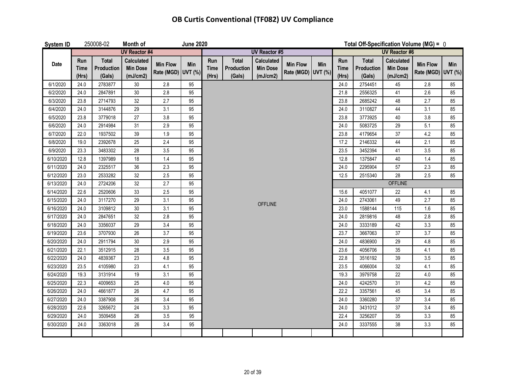## **OB Curtis Conventional (TF082) UV Compliance**

| <b>System ID</b> |                             | 250008-02                            | Month of                                         |                                       | <b>June 2020</b> |                             |                                      |                                                  |                                       |                      |                             | Total Off-Specification Volume (MG) = 0 |                                                  |                                       |     |  |
|------------------|-----------------------------|--------------------------------------|--------------------------------------------------|---------------------------------------|------------------|-----------------------------|--------------------------------------|--------------------------------------------------|---------------------------------------|----------------------|-----------------------------|-----------------------------------------|--------------------------------------------------|---------------------------------------|-----|--|
|                  |                             |                                      | <b>UV Reactor #4</b>                             |                                       |                  |                             |                                      | <b>UV Reactor #5</b>                             |                                       | <b>UV Reactor #6</b> |                             |                                         |                                                  |                                       |     |  |
| Date             | Run<br><b>Time</b><br>(Hrs) | <b>Total</b><br>Production<br>(Gals) | <b>Calculated</b><br><b>Min Dose</b><br>(mJ/cm2) | <b>Min Flow</b><br>Rate (MGD) UVT (%) | <b>Min</b>       | Run<br><b>Time</b><br>(Hrs) | <b>Total</b><br>Production<br>(Gals) | <b>Calculated</b><br><b>Min Dose</b><br>(mJ/cm2) | <b>Min Flow</b><br>Rate (MGD) UVT (%) | Min                  | Run<br><b>Time</b><br>(Hrs) | <b>Total</b><br>Production<br>(Gals)    | <b>Calculated</b><br><b>Min Dose</b><br>(mJ/cm2) | <b>Min Flow</b><br>Rate (MGD) UVT (%) | Min |  |
| 6/1/2020         | 24.0                        | 2783877                              | $30\,$                                           | $2.8\,$                               | 95               |                             |                                      |                                                  |                                       |                      | 24.0                        | 2754451                                 | 45                                               | 2.8                                   | 85  |  |
| 6/2/2020         | 24.0                        | 2847891                              | 30                                               | 2.8                                   | 95               |                             |                                      |                                                  |                                       |                      | 21.8                        | 2556325                                 | 41                                               | 2.6                                   | 85  |  |
| 6/3/2020         | 23.8                        | 2714793                              | 32                                               | 2.7                                   | 95               |                             |                                      |                                                  |                                       |                      | 23.8                        | 2685242                                 | 48                                               | 2.7                                   | 85  |  |
| 6/4/2020         | 24.0                        | 3144876                              | 29                                               | 3.1                                   | 95               |                             |                                      |                                                  |                                       |                      | 24.0                        | 3110827                                 | 44                                               | 3.1                                   | 85  |  |
| 6/5/2020         | 23.8                        | 3779018                              | 27                                               | 3.8                                   | 95               |                             |                                      |                                                  |                                       |                      | 23.8                        | 3773925                                 | 40                                               | 3.8                                   | 85  |  |
| 6/6/2020         | 24.0                        | 2914984                              | 31                                               | 2.9                                   | 95               |                             |                                      |                                                  |                                       |                      | 24.0                        | 5083725                                 | 29                                               | 5.1                                   | 85  |  |
| 6/7/2020         | 22.0                        | 1937502                              | 39                                               | $1.9\,$                               | 95               |                             |                                      |                                                  |                                       |                      | 23.8                        | 4179654                                 | 37                                               | 4.2                                   | 85  |  |
| 6/8/2020         | 19.0                        | 2392678                              | 25                                               | 2.4                                   | 95               |                             |                                      |                                                  |                                       |                      | 17.2                        | 2146332                                 | 44                                               | 2.1                                   | 85  |  |
| 6/9/2020         | 23.3                        | 3483302                              | 28                                               | 3.5                                   | 95               |                             |                                      |                                                  |                                       |                      | 23.5                        | 3452394                                 | 41                                               | 3.5                                   | 85  |  |
| 6/10/2020        | 12.8                        | 1397989                              | 18                                               | 1.4                                   | 95               |                             |                                      |                                                  |                                       |                      | 12.8                        | 1375847                                 | 40                                               | 1.4                                   | 85  |  |
| 6/11/2020        | 24.0                        | 2325517                              | 36                                               | 2.3                                   | 95               |                             |                                      |                                                  |                                       |                      | 24.0                        | 2295904                                 | 57                                               | 2.3                                   | 85  |  |
| 6/12/2020        | 23.0                        | 2533282                              | 32                                               | 2.5                                   | 95               |                             |                                      |                                                  |                                       |                      | 12.5                        | 2515340                                 | 28                                               | 2.5                                   | 85  |  |
| 6/13/2020        | 24.0                        | 2724206                              | 32                                               | 2.7                                   | 95               |                             |                                      |                                                  |                                       |                      |                             |                                         | <b>OFFLINE</b>                                   |                                       |     |  |
| 6/14/2020        | 22.6                        | 2520606                              | 33                                               | 2.5                                   | 95               |                             |                                      |                                                  |                                       |                      | 15.6                        | 4051077                                 | 22                                               | 4.1                                   | 85  |  |
| 6/15/2020        | 24.0                        | 3117270                              | 29                                               | 3.1                                   | 95               |                             |                                      | <b>OFFLINE</b>                                   |                                       |                      | 24.0                        | 2743061                                 | 49                                               | 2.7                                   | 85  |  |
| 6/16/2020        | 24.0                        | 3109812                              | $30\,$                                           | 3.1                                   | 95               |                             |                                      |                                                  |                                       |                      | 23.0                        | 1588144                                 | 115                                              | 1.6                                   | 85  |  |
| 6/17/2020        | 24.0                        | 2847651                              | 32                                               | 2.8                                   | 95               |                             |                                      |                                                  |                                       |                      | 24.0                        | 2819816                                 | 48                                               | 2.8                                   | 85  |  |
| 6/18/2020        | 24.0                        | 3356037                              | 29                                               | 3.4                                   | 95               |                             |                                      |                                                  |                                       |                      | 24.0                        | 3333189                                 | 42                                               | 3.3                                   | 85  |  |
| 6/19/2020        | 23.6                        | 3707930                              | 26                                               | 3.7                                   | 95               |                             |                                      |                                                  |                                       |                      | 23.7                        | 3667063                                 | 37                                               | 3.7                                   | 85  |  |
| 6/20/2020        | 24.0                        | 2911794                              | 30                                               | 2.9                                   | 95               |                             |                                      |                                                  |                                       |                      | 24.0                        | 4836900                                 | 29                                               | $4.8\,$                               | 85  |  |
| 6/21/2020        | 22.1                        | 3512915                              | 28                                               | 3.5                                   | 95               |                             |                                      |                                                  |                                       |                      | 23.6                        | 4056706                                 | 35                                               | 4.1                                   | 85  |  |
| 6/22/2020        | 24.0                        | 4839367                              | 23                                               | $4.8\,$                               | 95               |                             |                                      |                                                  |                                       |                      | 22.8                        | 3516192                                 | 39                                               | 3.5                                   | 85  |  |
| 6/23/2020        | 23.5                        | 4105980                              | 23                                               | 4.1                                   | 95               |                             |                                      |                                                  |                                       |                      | 23.5                        | 4066004                                 | 32                                               | 4.1                                   | 85  |  |
| 6/24/2020        | 19.3                        | 3131914                              | 19                                               | 3.1                                   | 95               |                             |                                      |                                                  |                                       |                      | 19.3                        | 3979758                                 | 22                                               | $4.0\,$                               | 85  |  |
| 6/25/2020        | 22.3                        | 4009653                              | 25                                               | 4.0                                   | 95               |                             |                                      |                                                  |                                       |                      | 24.0                        | 4242570                                 | 31                                               | 4.2                                   | 85  |  |
| 6/26/2020        | 24.0                        | 4661877                              | 26                                               | 4.7                                   | 95               |                             |                                      |                                                  |                                       |                      | 22.2                        | 3357561                                 | 45                                               | 3.4                                   | 85  |  |
| 6/27/2020        | 24.0                        | 3387908                              | 26                                               | 3.4                                   | 95               |                             |                                      |                                                  |                                       |                      | 24.0                        | 3360280                                 | 37                                               | 3.4                                   | 85  |  |
| 6/28/2020        | 22.6                        | 3265672                              | 24                                               | 3.3                                   | 95               |                             |                                      |                                                  |                                       |                      | 24.0                        | 3431012                                 | 37                                               | 3.4                                   | 85  |  |
| 6/29/2020        | 24.0                        | 3509458                              | 26                                               | 3.5                                   | 95               |                             |                                      |                                                  |                                       |                      | 22.4                        | 3256207                                 | 35                                               | 3.3                                   | 85  |  |
| 6/30/2020        | 24.0                        | 3363018                              | 26                                               | 3.4                                   | 95               |                             |                                      |                                                  |                                       |                      | 24.0                        | 3337555                                 | 38                                               | 3.3                                   | 85  |  |
|                  |                             |                                      |                                                  |                                       |                  |                             |                                      |                                                  |                                       |                      |                             |                                         |                                                  |                                       |     |  |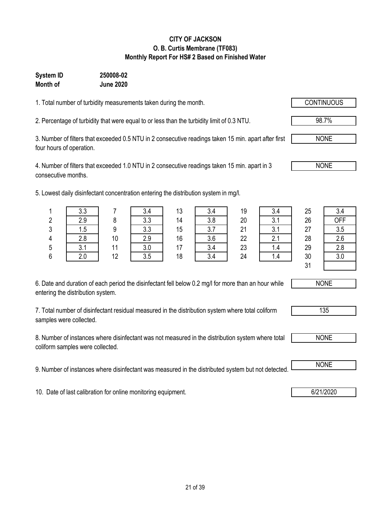#### **CITY OF JACKSON O. B. Curtis Membrane (TF083) Monthly Report For HS# 2 Based on Finished Water**

### **Month of June 2020 System ID 250008-02**

1. Total number of turbidity measurements taken during the month.

2. Percentage of turbidity that were equal to or less than the turbidity limit of 0.3 NTU. 98.7%

3. Number of filters that exceeded 0.5 NTU in 2 consecutive readings taken 15 min. apart after first four hours of operation.

4. Number of filters that exceeded 1.0 NTU in 2 consecutive readings taken 15 min. apart in 3 consecutive months.

5. Lowest daily disinfectant concentration entering the distribution system in mg/l.

| 6. Date and duration of each period the disinfectant fell below 0.2 mg/l for more than an hour while |  |
|------------------------------------------------------------------------------------------------------|--|
| entering the distribution system.                                                                    |  |

7. Total number of disinfectant residual measured in the distribution system where total coliform samples were collected.

8. Number of instances where disinfectant was not measured in the distribution system where total coliform samples were collected.

9. Number of instances where disinfectant was measured in the distributed system but not detected. NONE

10. Date of last calibration for online monitoring equipment. **6/21/2020 6/21/2020** 

|   | 3.3        |    | 3.4 | 13 | 3.4 | 19 | 3.4 | 25 | 3.4        |
|---|------------|----|-----|----|-----|----|-----|----|------------|
| 2 | 2.9        | O  | 3.3 | 14 | 3.8 | 20 | 3.1 | 26 | <b>OFF</b> |
| 3 | 1.5        | a  | 3.3 | 15 | 3.7 | 21 | 3.1 | 27 | 3.5        |
| 4 | 2.8        | 10 | 2.9 | 16 | 3.6 | 22 | 2.1 | 28 | 2.6        |
| 5 | 3.1<br>J.I | 44 | 3.0 | 17 | 3.4 | 23 | 1.4 | 29 | 2.8        |
| 6 | 2.0        | 12 | 3.5 | 18 | 3.4 | 24 | 1.4 | 30 | 3.0        |
|   |            |    |     |    |     |    |     | 31 |            |



| 135 |  |
|-----|--|
|     |  |



NONE

NONE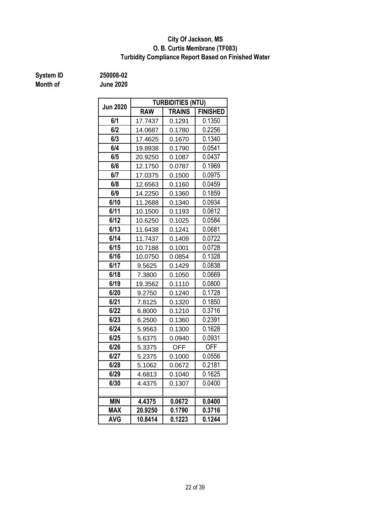#### **Turbidity Compliance Report Based on Finished Water O. B. Curtis Membrane (TF083) City Of Jackson, MS**

**System ID 250008-02**

**Month of June 2020**

| <b>Jun 2020</b> |            | <b>TURBIDITIES (NTU)</b> |                 |
|-----------------|------------|--------------------------|-----------------|
|                 | <b>RAW</b> | <b>TRAINS</b>            | <b>FINISHED</b> |
| 6/1             | 17.7437    | 0.1291                   | 0.1350          |
| 6/2             | 14.0687    | 0.1780                   | 0.2256          |
| 6/3             | 17.4625    | 0.1670                   | 0.1340          |
| 6/4             | 19.8938    | 0.1790                   | 0.0541          |
| 6/5             | 20.9250    | 0.1087                   | 0.0437          |
| 6/6             | 12.1750    | 0.0787                   | 0.1969          |
| 6/7             | 17.0375    | 0.1500                   | 0.0975          |
| 6/8             | 12.6563    | 0.1160                   | 0.0459          |
| 6/9             | 14.2250    | 0.1360                   | 0.1859          |
| 6/10            | 11.2688    | 0.1340                   | 0.0934          |
| 6/11            | 10.1500    | 0.1193                   | 0.0612          |
| 6/12            | 10.6250    | 0.1025                   | 0.0584          |
| 6/13            | 11.6438    | 0.1241                   | 0.0681          |
| 6/14            | 11.7437    | 0.1409                   | 0.0722          |
| 6/15            | 10.7188    | 0.1001                   | 0.0728          |
| 6/16            | 10.0750    | 0.0854                   | 0.1328          |
| 6/17            | 9.5625     | 0.1429                   | 0.0838          |
| 6/18            | 7.3800     | 0.1050                   | 0.0669          |
| 6/19            | 19.3562    | 0.1110                   | 0.0800          |
| 6/20            | 9.2750     | 0.1240                   | 0.1728          |
| 6/21            | 7.8125     | 0.1320                   | 0.1850          |
| 6/22            | 6.8000     | 0.1210                   | 0.3716          |
| 6/23            | 6.2500     | 0.1360                   | 0.2391          |
| 6/24            | 5.9563     | 0.1300                   | 0.1628          |
| 6/25            | 5.6375     | 0.0940                   | 0.0931          |
| 6/26            | 5.3375     | <b>OFF</b>               | <b>OFF</b>      |
| 6/27            | 5.2375     | 0.1000                   | 0.0556          |
| 6/28            | 5.1062     | 0.0672                   | 0.2181          |
| 6/29            | 4.6813     | 0.1040                   | 0.1625          |
| 6/30            | 4.4375     | 0.1307                   | 0.0400          |
|                 |            |                          |                 |
| <b>MIN</b>      | 4.4375     | 0.0672                   | 0.0400          |
| <b>MAX</b>      | 20.9250    | 0.1790                   | 0.3716          |
| <b>AVG</b>      | 10.8414    | 0.1223                   | 0.1244          |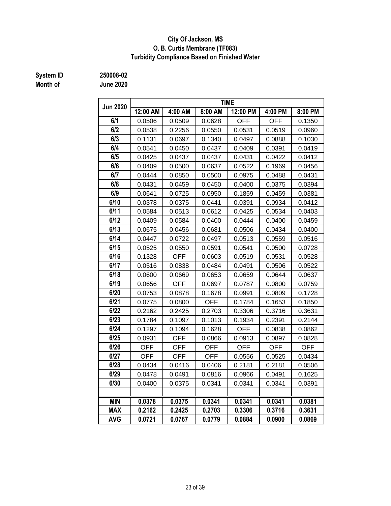#### **City Of Jackson, MS O. B. Curtis Membrane (TF083) Turbidity Compliance Based on Finished Water**

# **Month of June 2020**

**System ID 250008-02**

| <b>Jun 2020</b> | <b>TIME</b> |            |            |            |            |            |  |  |  |  |
|-----------------|-------------|------------|------------|------------|------------|------------|--|--|--|--|
|                 | 12:00 AM    | 4:00 AM    | 8:00 AM    | 12:00 PM   | 4:00 PM    | 8:00 PM    |  |  |  |  |
| 6/1             | 0.0506      | 0.0509     | 0.0628     | <b>OFF</b> | <b>OFF</b> | 0.1350     |  |  |  |  |
| 6/2             | 0.0538      | 0.2256     | 0.0550     | 0.0531     | 0.0519     | 0.0960     |  |  |  |  |
| 6/3             | 0.1131      | 0.0697     | 0.1340     | 0.0497     | 0.0888     | 0.1030     |  |  |  |  |
| 6/4             | 0.0541      | 0.0450     | 0.0437     | 0.0409     | 0.0391     | 0.0419     |  |  |  |  |
| 6/5             | 0.0425      | 0.0437     | 0.0437     | 0.0431     | 0.0422     | 0.0412     |  |  |  |  |
| 6/6             | 0.0409      | 0.0500     | 0.0637     | 0.0522     | 0.1969     | 0.0456     |  |  |  |  |
| 6/7             | 0.0444      | 0.0850     | 0.0500     | 0.0975     | 0.0488     | 0.0431     |  |  |  |  |
| 6/8             | 0.0431      | 0.0459     | 0.0450     | 0.0400     | 0.0375     | 0.0394     |  |  |  |  |
| 6/9             | 0.0641      | 0.0725     | 0.0950     | 0.1859     | 0.0459     | 0.0381     |  |  |  |  |
| 6/10            | 0.0378      | 0.0375     | 0.0441     | 0.0391     | 0.0934     | 0.0412     |  |  |  |  |
| 6/11            | 0.0584      | 0.0513     | 0.0612     | 0.0425     | 0.0534     | 0.0403     |  |  |  |  |
| 6/12            | 0.0409      | 0.0584     | 0.0400     | 0.0444     | 0.0400     | 0.0459     |  |  |  |  |
| 6/13            | 0.0675      | 0.0456     | 0.0681     | 0.0506     | 0.0434     | 0.0400     |  |  |  |  |
| 6/14            | 0.0447      | 0.0722     | 0.0497     | 0.0513     | 0.0559     | 0.0516     |  |  |  |  |
| 6/15            | 0.0525      | 0.0550     | 0.0591     | 0.0541     | 0.0500     | 0.0728     |  |  |  |  |
| 6/16            | 0.1328      | <b>OFF</b> | 0.0603     | 0.0519     | 0.0531     | 0.0528     |  |  |  |  |
| 6/17            | 0.0516      | 0.0838     | 0.0484     | 0.0491     | 0.0506     | 0.0522     |  |  |  |  |
| 6/18            | 0.0600      | 0.0669     | 0.0653     | 0.0659     | 0.0644     | 0.0637     |  |  |  |  |
| 6/19            | 0.0656      | <b>OFF</b> | 0.0697     | 0.0787     | 0.0800     | 0.0759     |  |  |  |  |
| 6/20            | 0.0753      | 0.0878     | 0.1678     | 0.0991     | 0.0809     | 0.1728     |  |  |  |  |
| 6/21            | 0.0775      | 0.0800     | OFF        | 0.1784     | 0.1653     | 0.1850     |  |  |  |  |
| 6/22            | 0.2162      | 0.2425     | 0.2703     | 0.3306     | 0.3716     | 0.3631     |  |  |  |  |
| 6/23            | 0.1784      | 0.1097     | 0.1013     | 0.1934     | 0.2391     | 0.2144     |  |  |  |  |
| 6/24            | 0.1297      | 0.1094     | 0.1628     | <b>OFF</b> | 0.0838     | 0.0862     |  |  |  |  |
| 6/25            | 0.0931      | <b>OFF</b> | 0.0866     | 0.0913     | 0.0897     | 0.0828     |  |  |  |  |
| 6/26            | <b>OFF</b>  | <b>OFF</b> | <b>OFF</b> | <b>OFF</b> | <b>OFF</b> | <b>OFF</b> |  |  |  |  |
| 6/27            | <b>OFF</b>  | <b>OFF</b> | <b>OFF</b> | 0.0556     | 0.0525     | 0.0434     |  |  |  |  |
| 6/28            | 0.0434      | 0.0416     | 0.0406     | 0.2181     | 0.2181     | 0.0506     |  |  |  |  |
| 6/29            | 0.0478      | 0.0491     | 0.0816     | 0.0966     | 0.0491     | 0.1625     |  |  |  |  |
| 6/30            | 0.0400      | 0.0375     | 0.0341     | 0.0341     | 0.0341     | 0.0391     |  |  |  |  |
|                 |             |            |            |            |            |            |  |  |  |  |
| <b>MIN</b>      | 0.0378      | 0.0375     | 0.0341     | 0.0341     | 0.0341     | 0.0381     |  |  |  |  |
| <b>MAX</b>      | 0.2162      | 0.2425     | 0.2703     | 0.3306     | 0.3716     | 0.3631     |  |  |  |  |
| <b>AVG</b>      | 0.0721      | 0.0767     | 0.0779     | 0.0884     | 0.0900     | 0.0869     |  |  |  |  |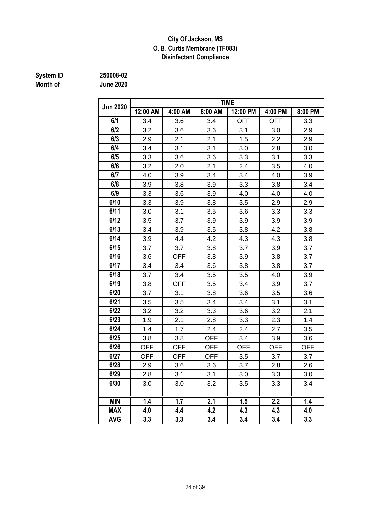#### **City Of Jackson, MS O. B. Curtis Membrane (TF083) Disinfectant Compliance**

# **Month of June 2020**

**System ID 250008-02**

| <b>Jun 2020</b> |            |            |            | <b>TIME</b> |            |            |
|-----------------|------------|------------|------------|-------------|------------|------------|
|                 | 12:00 AM   | 4:00 AM    | 8:00 AM    | 12:00 PM    | 4:00 PM    | 8:00 PM    |
| 6/1             | 3.4        | 3.6        | 3.4        | <b>OFF</b>  | <b>OFF</b> | 3.3        |
| 6/2             | 3.2        | 3.6        | 3.6        | 3.1         | 3.0        | 2.9        |
| 6/3             | 2.9        | 2.1        | 2.1        | 1.5         | 2.2        | 2.9        |
| 6/4             | 3.4        | 3.1        | 3.1        | 3.0         | 2.8        | 3.0        |
| 6/5             | 3.3        | 3.6        | 3.6        | 3.3         | 3.1        | 3.3        |
| 6/6             | 3.2        | 2.0        | 2.1        | 2.4         | 3.5        | 4.0        |
| 6/7             | 4.0        | 3.9        | 3.4        | 3.4         | 4.0        | 3.9        |
| 6/8             | 3.9        | 3.8        | 3.9        | 3.3         | 3.8        | 3.4        |
| 6/9             | 3.3        | 3.6        | 3.9        | 4.0         | 4.0        | 4.0        |
| 6/10            | 3.3        | 3.9        | 3.8        | 3.5         | 2.9        | 2.9        |
| 6/11            | 3.0        | 3.1        | 3.5        | 3.6         | 3.3        | 3.3        |
| 6/12            | 3.5        | 3.7        | 3.9        | 3.9         | 3.9        | 3.9        |
| 6/13            | 3.4        | 3.9        | 3.5        | 3.8         | 4.2        | 3.8        |
| 6/14            | 3.9        | 4.4        | 4.2        | 4.3         | 4.3        | 3.8        |
| 6/15            | 3.7        | 3.7        | 3.8        | 3.7         | 3.9        | 3.7        |
| 6/16            | 3.6        | <b>OFF</b> | 3.8        | 3.9         | 3.8        | 3.7        |
| 6/17            | 3.4        | 3.4        | 3.6        | 3.8         | 3.8        | 3.7        |
| 6/18            | 3.7        | 3.4        | 3.5        | 3.5         | 4.0        | 3.9        |
| 6/19            | 3.8        | <b>OFF</b> | 3.5        | 3.4         | 3.9        | 3.7        |
| 6/20            | 3.7        | 3.1        | 3.8        | 3.6         | 3.5        | 3.6        |
| 6/21            | 3.5        | 3.5        | 3.4        | 3.4         | 3.1        | 3.1        |
| 6/22            | 3.2        | 3.2        | 3.3        | 3.6         | 3.2        | 2.1        |
| 6/23            | 1.9        | 2.1        | 2.8        | 3.3         | 2.3        | 1.4        |
| 6/24            | 1.4        | 1.7        | 2.4        | 2.4         | 2.7        | 3.5        |
| 6/25            | 3.8        | 3.8        | <b>OFF</b> | 3.4         | 3.9        | 3.6        |
| 6/26            | <b>OFF</b> | <b>OFF</b> | <b>OFF</b> | <b>OFF</b>  | <b>OFF</b> | <b>OFF</b> |
| 6/27            | <b>OFF</b> | <b>OFF</b> | <b>OFF</b> | 3.5         | 3.7        | 3.7        |
| 6/28            | 2.9        | 3.6        | 3.6        | 3.7         | 2.8        | 2.6        |
| 6/29            | 2.8        | 3.1        | 3.1        | 3.0         | 3.3        | 3.0        |
| 6/30            | 3.0        | 3.0        | 3.2        | $3.5\,$     | 3.3        | 3.4        |
|                 |            |            |            |             |            |            |
| <b>MIN</b>      | 1.4        | 1.7        | 2.1        | 1.5         | 2.2        | 1.4        |
| <b>MAX</b>      | 4.0        | 4.4        | 4.2        | 4.3         | 4.3        | 4.0        |
| <b>AVG</b>      | 3.3        | 3.3        | 3.4        | 3.4         | 3.4        | 3.3        |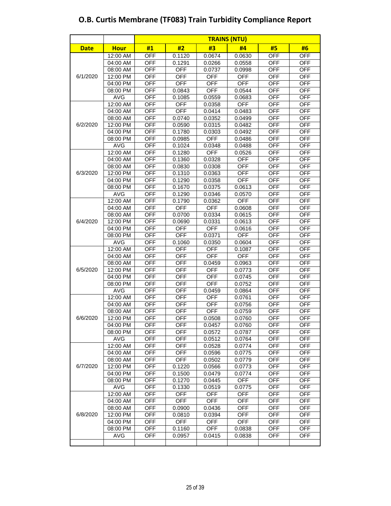|             |                      |                          |                          | <b>TRAINS (NTU)</b>  |                          |                          |                          |
|-------------|----------------------|--------------------------|--------------------------|----------------------|--------------------------|--------------------------|--------------------------|
| <b>Date</b> | <b>Hour</b>          | #1                       | #2                       | #3                   | #4                       | #5                       | #6                       |
|             | 12:00 AM             | <b>OFF</b>               | 0.1120                   | 0.0674               | 0.0630                   | <b>OFF</b>               | <b>OFF</b>               |
|             | 04:00 AM             | <b>OFF</b>               | 0.1291                   | 0.0266               | 0.0558                   | <b>OFF</b>               | <b>OFF</b>               |
|             | 08:00 AM             | <b>OFF</b>               | <b>OFF</b>               | 0.0737               | 0.0998                   | <b>OFF</b>               | <b>OFF</b>               |
| 6/1/2020    | 12:00 PM             | <b>OFF</b>               | <b>OFF</b>               | <b>OFF</b>           | <b>OFF</b>               | <b>OFF</b>               | <b>OFF</b>               |
|             | 04:00 PM             | <b>OFF</b>               | <b>OFF</b>               | <b>OFF</b>           | <b>OFF</b>               | <b>OFF</b>               | <b>OFF</b>               |
|             | 08:00 PM             | <b>OFF</b>               | 0.0843                   | <b>OFF</b>           | 0.0544                   | <b>OFF</b>               | <b>OFF</b>               |
|             | <b>AVG</b>           | <b>OFF</b>               | 0.1085                   | 0.0559               | 0.0683                   | <b>OFF</b>               | <b>OFF</b>               |
|             | 12:00 AM             | <b>OFF</b>               | <b>OFF</b>               | 0.0358               | <b>OFF</b>               | <b>OFF</b>               | <b>OFF</b>               |
|             | 04:00 AM             | <b>OFF</b>               | <b>OFF</b>               | 0.0414               | 0.0483                   | <b>OFF</b>               | <b>OFF</b>               |
|             | 08:00 AM             | <b>OFF</b>               | 0.0740                   | 0.0352               | 0.0499                   | <b>OFF</b>               | <b>OFF</b>               |
| 6/2/2020    | 12:00 PM             | <b>OFF</b>               | 0.0590                   | 0.0315               | 0.0482                   | <b>OFF</b>               | <b>OFF</b>               |
|             | 04:00 PM             | <b>OFF</b>               | 0.1780                   | 0.0303               | 0.0492                   | <b>OFF</b>               | <b>OFF</b>               |
|             | 08:00 PM             | OFF                      | 0.0985                   | <b>OFF</b>           | 0.0486                   | <b>OFF</b>               | <b>OFF</b>               |
|             | <b>AVG</b>           | <b>OFF</b>               | 0.1024                   | 0.0348               | 0.0488                   | <b>OFF</b>               | <b>OFF</b>               |
|             | 12:00 AM             | <b>OFF</b>               | 0.1280                   | <b>OFF</b>           | 0.0526                   | <b>OFF</b>               | <b>OFF</b>               |
|             | 04:00 AM<br>08:00 AM | OFF<br><b>OFF</b>        | 0.1360                   | 0.0328               | <b>OFF</b>               | <b>OFF</b><br><b>OFF</b> | <b>OFF</b><br><b>OFF</b> |
| 6/3/2020    |                      |                          | 0.0830                   | 0.0308               | <b>OFF</b>               |                          |                          |
|             | 12:00 PM<br>04:00 PM | <b>OFF</b><br><b>OFF</b> | 0.1310<br>0.1290         | 0.0363<br>0.0358     | <b>OFF</b><br><b>OFF</b> | <b>OFF</b><br><b>OFF</b> | <b>OFF</b><br><b>OFF</b> |
|             | 08:00 PM             | <b>OFF</b>               | 0.1670                   | 0.0375               | 0.0613                   | <b>OFF</b>               | <b>OFF</b>               |
|             | <b>AVG</b>           | <b>OFF</b>               | 0.1290                   | 0.0346               | 0.0570                   | <b>OFF</b>               | <b>OFF</b>               |
|             | 12:00 AM             | <b>OFF</b>               | 0.1790                   | 0.0362               | <b>OFF</b>               | <b>OFF</b>               | <b>OFF</b>               |
|             | 04:00 AM             | OFF                      | <b>OFF</b>               | <b>OFF</b>           | 0.0608                   | <b>OFF</b>               | <b>OFF</b>               |
|             | 08:00 AM             | <b>OFF</b>               | 0.0700                   | 0.0334               | 0.0615                   | <b>OFF</b>               | <b>OFF</b>               |
| 6/4/2020    | 12:00 PM             | <b>OFF</b>               | 0.0690                   | 0.0331               | 0.0613                   | <b>OFF</b>               | <b>OFF</b>               |
|             | 04:00 PM             | <b>OFF</b>               | <b>OFF</b>               | <b>OFF</b>           | 0.0616                   | <b>OFF</b>               | <b>OFF</b>               |
|             | 08:00 PM             | <b>OFF</b>               | <b>OFF</b>               | 0.0371               | <b>OFF</b>               | <b>OFF</b>               | <b>OFF</b>               |
|             | <b>AVG</b>           | <b>OFF</b>               | 0.1060                   | 0.0350               | 0.0604                   | <b>OFF</b>               | <b>OFF</b>               |
|             | 12:00 AM             | <b>OFF</b>               | <b>OFF</b>               | <b>OFF</b>           | 0.1087                   | <b>OFF</b>               | <b>OFF</b>               |
|             | 04:00 AM             | <b>OFF</b>               | <b>OFF</b>               | <b>OFF</b>           | <b>OFF</b>               | <b>OFF</b>               | <b>OFF</b>               |
|             | 08:00 AM             | <b>OFF</b>               | <b>OFF</b>               | 0.0459               | 0.0963                   | <b>OFF</b>               | <b>OFF</b>               |
| 6/5/2020    | 12:00 PM             | <b>OFF</b>               | <b>OFF</b>               | <b>OFF</b>           | 0.0773                   | <b>OFF</b>               | <b>OFF</b>               |
|             | 04:00 PM             | OFF                      | <b>OFF</b>               | <b>OFF</b>           | 0.0745                   | <b>OFF</b>               | <b>OFF</b>               |
|             | 08:00 PM             | <b>OFF</b>               | <b>OFF</b>               | <b>OFF</b>           | 0.0752                   | <b>OFF</b>               | <b>OFF</b>               |
|             | <b>AVG</b>           | OFF                      | <b>OFF</b>               | 0.0459               | 0.0864                   | <b>OFF</b>               | <b>OFF</b>               |
|             | $12:00$ AM           | <b>OFF</b>               | <b>OFF</b>               | <b>OFF</b>           | 0.0761                   | <b>OFF</b>               | <b>OFF</b>               |
|             | 04:00 AM             | <b>OFF</b>               | <b>OFF</b>               | <b>OFF</b>           | 0.0756                   | <b>OFF</b>               | <b>OFF</b>               |
| 6/6/2020    | 08:00 AM<br>12:00 PM | <b>OFF</b><br><b>OFF</b> | <b>OFF</b><br><b>OFF</b> | <b>OFF</b><br>0.0508 | 0.0759<br>0.0760         | <b>OFF</b><br><b>OFF</b> | <b>OFF</b><br><b>OFF</b> |
|             | 04:00 PM             | <b>OFF</b>               | <b>OFF</b>               | 0.0457               | 0.0760                   | <b>OFF</b>               | <b>OFF</b>               |
|             | 08:00 PM             | <b>OFF</b>               | <b>OFF</b>               | 0.0572               | 0.0787                   | <b>OFF</b>               | <b>OFF</b>               |
|             | <b>AVG</b>           | <b>OFF</b>               | <b>OFF</b>               | 0.0512               | 0.0764                   | <b>OFF</b>               | <b>OFF</b>               |
|             | 12:00 AM             | <b>OFF</b>               | <b>OFF</b>               | 0.0528               | 0.0774                   | OFF                      | OFF                      |
|             | 04:00 AM             | <b>OFF</b>               | <b>OFF</b>               | 0.0596               | 0.0775                   | <b>OFF</b>               | <b>OFF</b>               |
|             | 08:00 AM             | <b>OFF</b>               | <b>OFF</b>               | 0.0502               | 0.0779                   | <b>OFF</b>               | <b>OFF</b>               |
| 6/7/2020    | 12:00 PM             | <b>OFF</b>               | 0.1220                   | 0.0566               | 0.0773                   | <b>OFF</b>               | <b>OFF</b>               |
|             | 04:00 PM             | <b>OFF</b>               | 0.1500                   | 0.0479               | 0.0774                   | <b>OFF</b>               | <b>OFF</b>               |
|             | 08:00 PM             | <b>OFF</b>               | 0.1270                   | 0.0445               | <b>OFF</b>               | OFF                      | OFF                      |
|             | <b>AVG</b>           | <b>OFF</b>               | 0.1330                   | 0.0519               | 0.0775                   | <b>OFF</b>               | <b>OFF</b>               |
|             | 12:00 AM             | <b>OFF</b>               | <b>OFF</b>               | <b>OFF</b>           | <b>OFF</b>               | <b>OFF</b>               | <b>OFF</b>               |
|             | 04:00 AM             | <b>OFF</b>               | <b>OFF</b>               | <b>OFF</b>           | <b>OFF</b>               | <b>OFF</b>               | <b>OFF</b>               |
|             | 08:00 AM             | <b>OFF</b>               | 0.0900                   | 0.0436               | <b>OFF</b>               | <b>OFF</b>               | <b>OFF</b>               |
| 6/8/2020    | 12:00 PM             | <b>OFF</b>               | 0.0810                   | 0.0394               | OFF                      | OFF                      | OFF                      |
|             | 04:00 PM             | <b>OFF</b>               | <b>OFF</b>               | <b>OFF</b>           | <b>OFF</b>               | <b>OFF</b>               | <b>OFF</b>               |
|             | 08:00 PM             | <b>OFF</b>               | 0.1160                   | <b>OFF</b>           | 0.0838                   | <b>OFF</b>               | <b>OFF</b>               |
|             | <b>AVG</b>           | OFF                      | 0.0957                   | 0.0415               | 0.0838                   | <b>OFF</b>               | <b>OFF</b>               |
|             |                      |                          |                          |                      |                          |                          |                          |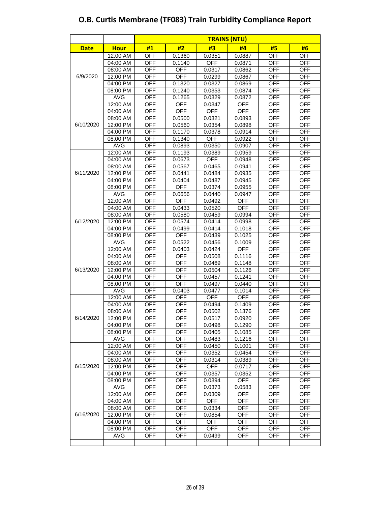|             |                      |                          |                      |                  | <b>TRAINS (NTU)</b> |                          |                          |
|-------------|----------------------|--------------------------|----------------------|------------------|---------------------|--------------------------|--------------------------|
| <b>Date</b> | <b>Hour</b>          | #1                       | #2                   | #3               | #4                  | #5                       | #6                       |
|             | 12:00 AM             | <b>OFF</b>               | 0.1360               | 0.0351           | 0.0887              | <b>OFF</b>               | <b>OFF</b>               |
|             | 04:00 AM             | <b>OFF</b>               | 0.1140               | <b>OFF</b>       | 0.0871              | <b>OFF</b>               | <b>OFF</b>               |
|             | 08:00 AM             | <b>OFF</b>               | <b>OFF</b>           | 0.0317           | 0.0862              | <b>OFF</b>               | <b>OFF</b>               |
| 6/9/2020    | 12:00 PM             | <b>OFF</b>               | <b>OFF</b>           | 0.0299           | 0.0867              | <b>OFF</b>               | <b>OFF</b>               |
|             | 04:00 PM             | <b>OFF</b>               | 0.1320               | 0.0327           | 0.0869              | <b>OFF</b>               | <b>OFF</b>               |
|             | 08:00 PM             | <b>OFF</b>               | 0.1240               | 0.0353           | 0.0874              | <b>OFF</b>               | <b>OFF</b>               |
|             | <b>AVG</b>           | <b>OFF</b>               | 0.1265               | 0.0329           | 0.0872              | <b>OFF</b>               | <b>OFF</b>               |
|             | 12:00 AM             | <b>OFF</b>               | <b>OFF</b>           | 0.0347           | <b>OFF</b>          | <b>OFF</b>               | <b>OFF</b>               |
|             | 04:00 AM             | <b>OFF</b>               | <b>OFF</b>           | <b>OFF</b>       | OFF                 | <b>OFF</b>               | <b>OFF</b>               |
|             | 08:00 AM             | <b>OFF</b>               | 0.0500               | 0.0321           | 0.0893              | <b>OFF</b>               | <b>OFF</b>               |
| 6/10/2020   | 12:00 PM             | <b>OFF</b>               | 0.0560               | 0.0354           | 0.0898              | <b>OFF</b>               | <b>OFF</b>               |
|             | 04:00 PM             | <b>OFF</b>               | 0.1170               | 0.0378           | 0.0914              | <b>OFF</b>               | <b>OFF</b>               |
|             | 08:00 PM             | <b>OFF</b>               | 0.1340               | <b>OFF</b>       | 0.0922              | <b>OFF</b>               | <b>OFF</b>               |
|             | <b>AVG</b>           | <b>OFF</b>               | 0.0893               | 0.0350           | 0.0907              | <b>OFF</b>               | <b>OFF</b>               |
|             | 12:00 AM             | <b>OFF</b>               | 0.1193               | 0.0389           | 0.0959              | <b>OFF</b>               | <b>OFF</b>               |
|             | 04:00 AM             | <b>OFF</b>               | 0.0673               | <b>OFF</b>       | 0.0948              | <b>OFF</b>               | <b>OFF</b>               |
|             | 08:00 AM             | <b>OFF</b>               | 0.0567               | 0.0465           | 0.0941              | <b>OFF</b>               | <b>OFF</b>               |
| 6/11/2020   | 12:00 PM             | <b>OFF</b>               | 0.0441               | 0.0484           | 0.0935              | <b>OFF</b>               | <b>OFF</b>               |
|             | 04:00 PM             | <b>OFF</b>               | 0.0404               | 0.0487           | 0.0945              | <b>OFF</b>               | <b>OFF</b>               |
|             | 08:00 PM             | <b>OFF</b>               | <b>OFF</b>           | 0.0374           | 0.0955              | <b>OFF</b>               | <b>OFF</b>               |
|             | <b>AVG</b>           | <b>OFF</b>               | 0.0656               | 0.0440           | 0.0947              | <b>OFF</b>               | <b>OFF</b>               |
|             | 12:00 AM             | <b>OFF</b>               | <b>OFF</b>           | 0.0492           | <b>OFF</b>          | <b>OFF</b>               | <b>OFF</b>               |
|             | 04:00 AM             | <b>OFF</b>               | 0.0433               | 0.0520           | <b>OFF</b>          | <b>OFF</b>               | <b>OFF</b>               |
|             | 08:00 AM             | <b>OFF</b>               | 0.0580               | 0.0459           | 0.0994              | <b>OFF</b>               | <b>OFF</b>               |
| 6/12/2020   | 12:00 PM             | <b>OFF</b>               | 0.0574               | 0.0414           | 0.0998              | <b>OFF</b>               | <b>OFF</b>               |
|             | 04:00 PM             | <b>OFF</b>               | 0.0499               | 0.0414           | 0.1018              | <b>OFF</b>               | <b>OFF</b>               |
|             | 08:00 PM             | <b>OFF</b>               | <b>OFF</b>           | 0.0439           | 0.1025              | <b>OFF</b>               | <b>OFF</b>               |
|             | <b>AVG</b>           | <b>OFF</b>               | 0.0522               | 0.0456           | 0.1009              | <b>OFF</b>               | <b>OFF</b>               |
|             | 12:00 AM<br>04:00 AM | <b>OFF</b><br><b>OFF</b> | 0.0403<br><b>OFF</b> | 0.0424           | <b>OFF</b>          | <b>OFF</b><br><b>OFF</b> | <b>OFF</b><br><b>OFF</b> |
|             | 08:00 AM             | <b>OFF</b>               | <b>OFF</b>           | 0.0508           | 0.1116<br>0.1148    | <b>OFF</b>               | <b>OFF</b>               |
| 6/13/2020   | 12:00 PM             | <b>OFF</b>               | <b>OFF</b>           | 0.0469           |                     | <b>OFF</b>               | <b>OFF</b>               |
|             | 04:00 PM             | <b>OFF</b>               | <b>OFF</b>           | 0.0504<br>0.0457 | 0.1126<br>0.1241    | <b>OFF</b>               | <b>OFF</b>               |
|             | 08:00 PM             | <b>OFF</b>               | <b>OFF</b>           | 0.0497           | 0.0440              | <b>OFF</b>               | <b>OFF</b>               |
|             | <b>AVG</b>           | <b>OFF</b>               | 0.0403               | 0.0477           | 0.1014              | <b>OFF</b>               | <b>OFF</b>               |
|             | 12:00 AM             | <b>OFF</b>               | <b>OFF</b>           | <b>OFF</b>       | <b>OFF</b>          | <b>OFF</b>               | <b>OFF</b>               |
|             | 04:00 AM             | <b>OFF</b>               | <b>OFF</b>           | 0.0494           | 0.1409              | <b>OFF</b>               | <b>OFF</b>               |
|             | 08:00 AM             | <b>OFF</b>               | <b>OFF</b>           | 0.0502           | 0.1376              | <b>OFF</b>               | <b>OFF</b>               |
| 6/14/2020   | 12:00 PM             | <b>OFF</b>               | <b>OFF</b>           | 0.0517           | 0.0920              | <b>OFF</b>               | <b>OFF</b>               |
|             | 04:00 PM             | <b>OFF</b>               | <b>OFF</b>           | 0.0498           | 0.1290              | <b>OFF</b>               | <b>OFF</b>               |
|             | 08:00 PM             | <b>OFF</b>               | <b>OFF</b>           | 0.0405           | 0.1085              | <b>OFF</b>               | <b>OFF</b>               |
|             | <b>AVG</b>           | <b>OFF</b>               | <b>OFF</b>           | 0.0483           | 0.1216              | <b>OFF</b>               | <b>OFF</b>               |
|             | 12:00 AM             | <b>OFF</b>               | <b>OFF</b>           | 0.0450           | 0.1001              | OFF                      | <b>OFF</b>               |
|             | 04:00 AM             | <b>OFF</b>               | <b>OFF</b>           | 0.0352           | 0.0454              | <b>OFF</b>               | <b>OFF</b>               |
|             | 08:00 AM             | <b>OFF</b>               | <b>OFF</b>           | 0.0314           | 0.0389              | <b>OFF</b>               | <b>OFF</b>               |
| 6/15/2020   | 12:00 PM             | <b>OFF</b>               | <b>OFF</b>           | <b>OFF</b>       | 0.0717              | <b>OFF</b>               | <b>OFF</b>               |
|             | 04:00 PM             | <b>OFF</b>               | <b>OFF</b>           | 0.0357           | 0.0352              | <b>OFF</b>               | <b>OFF</b>               |
|             | 08:00 PM             | <b>OFF</b>               | <b>OFF</b>           | 0.0394           | <b>OFF</b>          | <b>OFF</b>               | <b>OFF</b>               |
|             | <b>AVG</b>           | OFF                      | <b>OFF</b>           | 0.0373           | 0.0583              | <b>OFF</b>               | <b>OFF</b>               |
|             | 12:00 AM             | <b>OFF</b>               | <b>OFF</b>           | 0.0309           | <b>OFF</b>          | <b>OFF</b>               | <b>OFF</b>               |
|             | 04:00 AM             | <b>OFF</b>               | <b>OFF</b>           | <b>OFF</b>       | <b>OFF</b>          | <b>OFF</b>               | <b>OFF</b>               |
|             | 08:00 AM             | <b>OFF</b>               | <b>OFF</b>           | 0.0334           | <b>OFF</b>          | <b>OFF</b>               | <b>OFF</b>               |
| 6/16/2020   | 12:00 PM             | <b>OFF</b>               | <b>OFF</b>           | 0.0854           | <b>OFF</b>          | <b>OFF</b>               | <b>OFF</b>               |
|             | 04:00 PM             | <b>OFF</b>               | <b>OFF</b>           | <b>OFF</b>       | <b>OFF</b>          | <b>OFF</b>               | <b>OFF</b>               |
|             | 08:00 PM             | <b>OFF</b>               | <b>OFF</b>           | <b>OFF</b>       | <b>OFF</b>          | <b>OFF</b>               | <b>OFF</b>               |
|             | <b>AVG</b>           | OFF                      | <b>OFF</b>           | 0.0499           | <b>OFF</b>          | <b>OFF</b>               | <b>OFF</b>               |
|             |                      |                          |                      |                  |                     |                          |                          |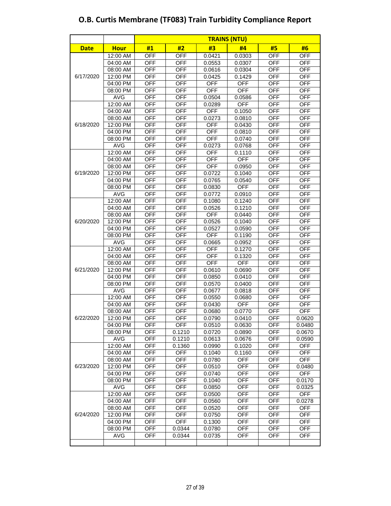|             |                        |                          |                          | <b>TRAINS (NTU)</b>  |                  |                          |                          |
|-------------|------------------------|--------------------------|--------------------------|----------------------|------------------|--------------------------|--------------------------|
| <b>Date</b> | <b>Hour</b>            | #1                       | #2                       | #3                   | #4               | #5                       | #6                       |
|             | 12:00 AM               | <b>OFF</b>               | <b>OFF</b>               | 0.0421               | 0.0303           | <b>OFF</b>               | <b>OFF</b>               |
|             | 04:00 AM               | <b>OFF</b>               | <b>OFF</b>               | 0.0553               | 0.0307           | <b>OFF</b>               | <b>OFF</b>               |
|             | 08:00 AM               | <b>OFF</b>               | <b>OFF</b>               | 0.0616               | 0.0304           | <b>OFF</b>               | <b>OFF</b>               |
| 6/17/2020   | 12:00 PM               | <b>OFF</b>               | <b>OFF</b>               | 0.0425               | 0.1429           | <b>OFF</b>               | <b>OFF</b>               |
|             | 04:00 PM               | <b>OFF</b>               | <b>OFF</b>               | <b>OFF</b>           | <b>OFF</b>       | <b>OFF</b>               | <b>OFF</b>               |
|             | 08:00 PM               | <b>OFF</b>               | <b>OFF</b>               | <b>OFF</b>           | <b>OFF</b>       | <b>OFF</b>               | <b>OFF</b>               |
|             | <b>AVG</b>             | <b>OFF</b>               | <b>OFF</b>               | 0.0504               | 0.0586           | <b>OFF</b>               | <b>OFF</b>               |
|             | 12:00 AM               | OFF                      | <b>OFF</b>               | 0.0289               | <b>OFF</b>       | <b>OFF</b>               | <b>OFF</b>               |
|             | 04:00 AM               | <b>OFF</b>               | <b>OFF</b>               | <b>OFF</b>           | 0.1050           | <b>OFF</b>               | <b>OFF</b>               |
|             | 08:00 AM               | <b>OFF</b>               | <b>OFF</b>               | 0.0273               | 0.0810           | <b>OFF</b>               | <b>OFF</b>               |
| 6/18/2020   | 12:00 PM               | <b>OFF</b>               | <b>OFF</b>               | <b>OFF</b>           | 0.0430           | <b>OFF</b>               | <b>OFF</b>               |
|             | 04:00 PM               | <b>OFF</b>               | <b>OFF</b>               | <b>OFF</b>           | 0.0810           | <b>OFF</b>               | <b>OFF</b>               |
|             | 08:00 PM               | <b>OFF</b>               | <b>OFF</b>               | <b>OFF</b>           | 0.0740           | <b>OFF</b>               | <b>OFF</b>               |
|             | <b>AVG</b>             | <b>OFF</b>               | <b>OFF</b>               | 0.0273               | 0.0768           | <b>OFF</b>               | <b>OFF</b>               |
|             | 12:00 AM               | <b>OFF</b>               | <b>OFF</b>               | <b>OFF</b>           | 0.1110           | <b>OFF</b>               | <b>OFF</b>               |
|             | 04:00 AM               | <b>OFF</b>               | <b>OFF</b>               | <b>OFF</b>           | <b>OFF</b>       | <b>OFF</b>               | <b>OFF</b>               |
|             | 08:00 AM               | <b>OFF</b>               | <b>OFF</b>               | <b>OFF</b>           | 0.0950           | <b>OFF</b>               | <b>OFF</b>               |
| 6/19/2020   | 12:00 PM               | <b>OFF</b>               | <b>OFF</b>               | 0.0722               | 0.1040           | <b>OFF</b>               | <b>OFF</b>               |
|             | 04:00 PM               | <b>OFF</b>               | <b>OFF</b>               | 0.0765               | 0.0540           | <b>OFF</b>               | <b>OFF</b>               |
|             | 08:00 PM               | <b>OFF</b>               | <b>OFF</b>               | 0.0830               | OFF              | <b>OFF</b>               | <b>OFF</b>               |
|             | <b>AVG</b>             | <b>OFF</b>               | <b>OFF</b>               | 0.0772               | 0.0910           | <b>OFF</b>               | <b>OFF</b>               |
|             | 12:00 AM               | <b>OFF</b>               | <b>OFF</b>               | 0.1080               | 0.1240           | <b>OFF</b>               | <b>OFF</b>               |
|             | 04:00 AM               | <b>OFF</b>               | <b>OFF</b>               | 0.0526               | 0.1210           | <b>OFF</b>               | <b>OFF</b>               |
|             | 08:00 AM               | <b>OFF</b>               | <b>OFF</b>               | <b>OFF</b>           | 0.0440           | <b>OFF</b>               | <b>OFF</b>               |
| 6/20/2020   | 12:00 PM               | <b>OFF</b>               | <b>OFF</b>               | 0.0526               | 0.1040           | <b>OFF</b>               | <b>OFF</b>               |
|             | 04:00 PM               | <b>OFF</b>               | <b>OFF</b>               | 0.0527               | 0.0590           | <b>OFF</b>               | <b>OFF</b>               |
|             | 08:00 PM<br><b>AVG</b> | <b>OFF</b>               | <b>OFF</b><br><b>OFF</b> | <b>OFF</b>           | 0.1190           | <b>OFF</b>               | <b>OFF</b>               |
|             | 12:00 AM               | <b>OFF</b><br><b>OFF</b> | <b>OFF</b>               | 0.0665<br><b>OFF</b> | 0.0952           | <b>OFF</b><br><b>OFF</b> | <b>OFF</b><br><b>OFF</b> |
|             | 04:00 AM               | <b>OFF</b>               | <b>OFF</b>               | <b>OFF</b>           | 0.1270<br>0.1320 | <b>OFF</b>               | <b>OFF</b>               |
|             | 08:00 AM               | <b>OFF</b>               | <b>OFF</b>               | <b>OFF</b>           | <b>OFF</b>       | <b>OFF</b>               | <b>OFF</b>               |
| 6/21/2020   | 12:00 PM               | <b>OFF</b>               | <b>OFF</b>               | 0.0610               | 0.0690           | <b>OFF</b>               | <b>OFF</b>               |
|             | 04:00 PM               | <b>OFF</b>               | <b>OFF</b>               | 0.0850               | 0.0410           | <b>OFF</b>               | <b>OFF</b>               |
|             | 08:00 PM               | <b>OFF</b>               | <b>OFF</b>               | 0.0570               | 0.0400           | <b>OFF</b>               | <b>OFF</b>               |
|             | <b>AVG</b>             | <b>OFF</b>               | <b>OFF</b>               | 0.0677               | 0.0818           | <b>OFF</b>               | <b>OFF</b>               |
|             | 12:00 AM               | OFF                      | <b>OFF</b>               | 0.0550               | 0.0680           | <b>OFF</b>               | <b>OFF</b>               |
|             | 04:00 AM               | <b>OFF</b>               | <b>OFF</b>               | 0.0430               | <b>OFF</b>       | <b>OFF</b>               | <b>OFF</b>               |
|             | 08:00 AM               | <b>OFF</b>               | <b>OFF</b>               | 0.0680               | 0.0770           | <b>OFF</b>               | <b>OFF</b>               |
| 6/22/2020   | 12:00 PM               | <b>OFF</b>               | <b>OFF</b>               | 0.0790               | 0.0410           | <b>OFF</b>               | 0.0620                   |
|             | 04:00 PM               | <b>OFF</b>               | <b>OFF</b>               | 0.0510               | 0.0630           | <b>OFF</b>               | 0.0480                   |
|             | 08:00 PM               | <b>OFF</b>               | 0.1210                   | 0.0720               | 0.0890           | <b>OFF</b>               | 0.0670                   |
|             | <b>AVG</b>             | <b>OFF</b>               | 0.1210                   | 0.0613               | 0.0676           | <b>OFF</b>               | 0.0590                   |
|             | 12:00 AM               | <b>OFF</b>               | 0.1360                   | 0.0990               | 0.1020           | OFF                      | <b>OFF</b>               |
|             | 04:00 AM               | <b>OFF</b>               | <b>OFF</b>               | 0.1040               | 0.1160           | <b>OFF</b>               | <b>OFF</b>               |
|             | 08:00 AM               | <b>OFF</b>               | <b>OFF</b>               | 0.0780               | <b>OFF</b>       | <b>OFF</b>               | <b>OFF</b>               |
| 6/23/2020   | 12:00 PM               | <b>OFF</b>               | <b>OFF</b>               | 0.0510               | <b>OFF</b>       | <b>OFF</b>               | 0.0480                   |
|             | 04:00 PM               | <b>OFF</b>               | <b>OFF</b>               | 0.0740               | OFF              | <b>OFF</b>               | <b>OFF</b>               |
|             | 08:00 PM               | <b>OFF</b>               | <b>OFF</b>               | 0.1040               | <b>OFF</b>       | OFF                      | 0.0170                   |
|             | <b>AVG</b>             | OFF                      | <b>OFF</b>               | 0.0850               | <b>OFF</b>       | <b>OFF</b>               | 0.0325                   |
|             | 12:00 AM               | <b>OFF</b>               | <b>OFF</b>               | 0.0500               | <b>OFF</b>       | <b>OFF</b>               | <b>OFF</b>               |
|             | 04:00 AM               | <b>OFF</b>               | <b>OFF</b>               | 0.0560               | <b>OFF</b>       | <b>OFF</b>               | 0.0278                   |
|             | $08:00$ AM             | <b>OFF</b>               | <b>OFF</b>               | 0.0520               | <b>OFF</b>       | <b>OFF</b>               | <b>OFF</b>               |
| 6/24/2020   | 12:00 PM               | <b>OFF</b>               | <b>OFF</b>               | 0.0750               | <b>OFF</b>       | <b>OFF</b>               | <b>OFF</b>               |
|             | 04:00 PM               | <b>OFF</b>               | <b>OFF</b>               | 0.1300               | <b>OFF</b>       | <b>OFF</b>               | <b>OFF</b>               |
|             | 08:00 PM               | <b>OFF</b>               | 0.0344                   | 0.0780               | <b>OFF</b>       | <b>OFF</b>               | <b>OFF</b>               |
|             | <b>AVG</b>             | <b>OFF</b>               | 0.0344                   | 0.0735               | <b>OFF</b>       | <b>OFF</b>               | <b>OFF</b>               |
|             |                        |                          |                          |                      |                  |                          |                          |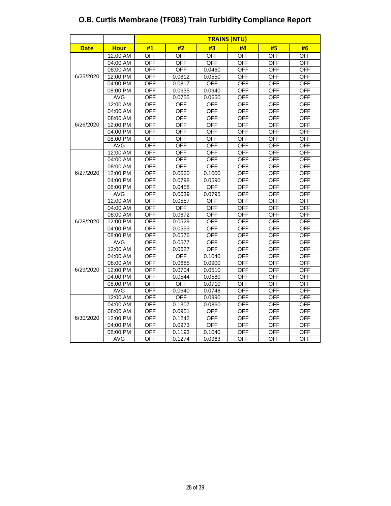|             |             | <b>TRAINS (NTU)</b> |            |            |            |            |            |  |  |
|-------------|-------------|---------------------|------------|------------|------------|------------|------------|--|--|
| <b>Date</b> | <b>Hour</b> | #1                  | #2         | #3         | #4         | #5         | #6         |  |  |
|             | 12:00 AM    | <b>OFF</b>          | <b>OFF</b> | <b>OFF</b> | <b>OFF</b> | <b>OFF</b> | <b>OFF</b> |  |  |
|             | 04:00 AM    | <b>OFF</b>          | <b>OFF</b> | <b>OFF</b> | <b>OFF</b> | <b>OFF</b> | <b>OFF</b> |  |  |
|             | 08:00 AM    | <b>OFF</b>          | <b>OFF</b> | 0.0460     | <b>OFF</b> | <b>OFF</b> | <b>OFF</b> |  |  |
| 6/25/2020   | 12:00 PM    | <b>OFF</b>          | 0.0812     | 0.0550     | <b>OFF</b> | <b>OFF</b> | <b>OFF</b> |  |  |
|             | 04:00 PM    | <b>OFF</b>          | 0.0817     | <b>OFF</b> | <b>OFF</b> | <b>OFF</b> | <b>OFF</b> |  |  |
|             | 08:00 PM    | <b>OFF</b>          | 0.0635     | 0.0940     | <b>OFF</b> | <b>OFF</b> | <b>OFF</b> |  |  |
|             | <b>AVG</b>  | <b>OFF</b>          | 0.0755     | 0.0650     | <b>OFF</b> | <b>OFF</b> | <b>OFF</b> |  |  |
|             | 12:00 AM    | <b>OFF</b>          | <b>OFF</b> | <b>OFF</b> | <b>OFF</b> | <b>OFF</b> | <b>OFF</b> |  |  |
|             | 04:00 AM    | <b>OFF</b>          | <b>OFF</b> | <b>OFF</b> | <b>OFF</b> | <b>OFF</b> | <b>OFF</b> |  |  |
|             | 08:00 AM    | <b>OFF</b>          | <b>OFF</b> | <b>OFF</b> | <b>OFF</b> | <b>OFF</b> | <b>OFF</b> |  |  |
| 6/26/2020   | 12:00 PM    | <b>OFF</b>          | <b>OFF</b> | <b>OFF</b> | <b>OFF</b> | <b>OFF</b> | <b>OFF</b> |  |  |
|             | 04:00 PM    | <b>OFF</b>          | <b>OFF</b> | <b>OFF</b> | <b>OFF</b> | <b>OFF</b> | <b>OFF</b> |  |  |
|             | 08:00 PM    | <b>OFF</b>          | <b>OFF</b> | <b>OFF</b> | <b>OFF</b> | <b>OFF</b> | <b>OFF</b> |  |  |
|             | <b>AVG</b>  | <b>OFF</b>          | <b>OFF</b> | <b>OFF</b> | <b>OFF</b> | <b>OFF</b> | <b>OFF</b> |  |  |
|             | 12:00 AM    | <b>OFF</b>          | <b>OFF</b> | <b>OFF</b> | <b>OFF</b> | <b>OFF</b> | <b>OFF</b> |  |  |
|             | 04:00 AM    | <b>OFF</b>          | <b>OFF</b> | OFF        | OFF        | OFF        | <b>OFF</b> |  |  |
|             | 08:00 AM    | <b>OFF</b>          | <b>OFF</b> | <b>OFF</b> | OFF        | <b>OFF</b> | <b>OFF</b> |  |  |
| 6/27/2020   | 12:00 PM    | <b>OFF</b>          | 0.0660     | 0.1000     | <b>OFF</b> | <b>OFF</b> | <b>OFF</b> |  |  |
|             | 04:00 PM    | <b>OFF</b>          | 0.0798     | 0.0590     | <b>OFF</b> | <b>OFF</b> | <b>OFF</b> |  |  |
|             | 08:00 PM    | <b>OFF</b>          | 0.0458     | <b>OFF</b> | <b>OFF</b> | <b>OFF</b> | <b>OFF</b> |  |  |
|             | <b>AVG</b>  | <b>OFF</b>          | 0.0639     | 0.0795     | <b>OFF</b> | <b>OFF</b> | <b>OFF</b> |  |  |
|             | 12:00 AM    | <b>OFF</b>          | 0.0557     | <b>OFF</b> | <b>OFF</b> | <b>OFF</b> | <b>OFF</b> |  |  |
|             | 04:00 AM    | <b>OFF</b>          | <b>OFF</b> | <b>OFF</b> | <b>OFF</b> | <b>OFF</b> | <b>OFF</b> |  |  |
|             | 08:00 AM    | <b>OFF</b>          | 0.0672     | <b>OFF</b> | <b>OFF</b> | <b>OFF</b> | <b>OFF</b> |  |  |
| 6/28/2020   | 12:00 PM    | <b>OFF</b>          | 0.0529     | <b>OFF</b> | <b>OFF</b> | <b>OFF</b> | <b>OFF</b> |  |  |
|             | 04:00 PM    | <b>OFF</b>          | 0.0553     | <b>OFF</b> | <b>OFF</b> | <b>OFF</b> | <b>OFF</b> |  |  |
|             | 08:00 PM    | <b>OFF</b>          | 0.0576     | <b>OFF</b> | OFF        | <b>OFF</b> | <b>OFF</b> |  |  |
|             | <b>AVG</b>  | <b>OFF</b>          | 0.0577     | <b>OFF</b> | <b>OFF</b> | <b>OFF</b> | <b>OFF</b> |  |  |
|             | $12:00$ AM  | <b>OFF</b>          | 0.0627     | <b>OFF</b> | <b>OFF</b> | <b>OFF</b> | <b>OFF</b> |  |  |
|             | 04:00 AM    | <b>OFF</b>          | <b>OFF</b> | 0.1040     | <b>OFF</b> | <b>OFF</b> | <b>OFF</b> |  |  |
|             | 08:00 AM    | <b>OFF</b>          | 0.0685     | 0.0900     | <b>OFF</b> | <b>OFF</b> | <b>OFF</b> |  |  |
| 6/29/2020   | 12:00 PM    | <b>OFF</b>          | 0.0704     | 0.0510     | OFF        | <b>OFF</b> | <b>OFF</b> |  |  |
|             | 04:00 PM    | <b>OFF</b>          | 0.0544     | 0.0580     | <b>OFF</b> | <b>OFF</b> | <b>OFF</b> |  |  |
|             | 08:00 PM    | <b>OFF</b>          | <b>OFF</b> | 0.0710     | <b>OFF</b> | <b>OFF</b> | <b>OFF</b> |  |  |
|             | <b>AVG</b>  | <b>OFF</b>          | 0.0640     | 0.0748     | <b>OFF</b> | <b>OFF</b> | <b>OFF</b> |  |  |
|             | 12:00 AM    | <b>OFF</b>          | <b>OFF</b> | 0.0990     | <b>OFF</b> | <b>OFF</b> | <b>OFF</b> |  |  |
|             | 04:00 AM    | <b>OFF</b>          | 0.1307     | 0.0860     | <b>OFF</b> | <b>OFF</b> | <b>OFF</b> |  |  |

08:00 AM OFF 0.0951 OFF OFF OFF OFF

04:00 PM OFF 0.0973 OFF OFF OFF OFF OFF<br>08:00 PM OFF 0.1193 0.1040 OFF OFF OFF 08:00 PM OFF 0.1193 0.1040 OFF OFF OFF OFF<br>AVG OFF 0.1274 0.0963 OFF OFF OFF AVG OFF 0.1274 0.0963 OFF OFF OFF

12:00 PM

6/30/2020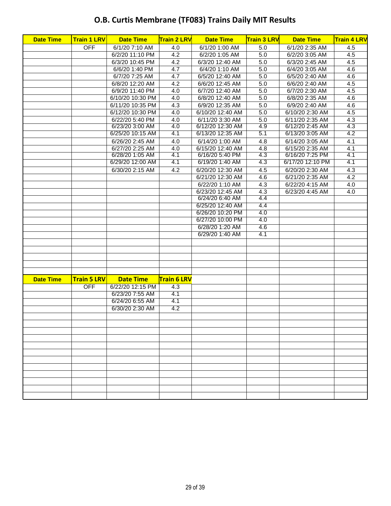# **O.B. Curtis Membrane (TF083) Trains Daily MIT Results**

| <b>Date Time</b> | <b>Train 1 LRV</b> | <b>Date Time</b> | <b>Train 2 LRV</b> | <b>Date Time</b> | <b>Train 3 LRV</b> | <b>Date Time</b> | <b>Train 4 LRV</b> |
|------------------|--------------------|------------------|--------------------|------------------|--------------------|------------------|--------------------|
|                  | <b>OFF</b>         | 6/1/20 7:10 AM   | 4.0                | 6/1/20 1:00 AM   | 5.0                | 6/1/20 2:35 AM   | 4.5                |
|                  |                    | 6/2/20 11:10 PM  | 4.2                | 6/2/20 1:05 AM   | 5.0                | 6/2/20 3:05 AM   | 4.5                |
|                  |                    | 6/3/20 10:45 PM  | 4.2                | 6/3/20 12:40 AM  | 5.0                | 6/3/20 2:45 AM   | 4.5                |
|                  |                    | 6/6/20 1:40 PM   | 4.7                | 6/4/20 1:10 AM   | 5.0                | 6/4/20 3:05 AM   | 4.6                |
|                  |                    | 6/7/20 7:25 AM   | 4.7                | 6/5/20 12:40 AM  | 5.0                | 6/5/20 2:40 AM   | 4.6                |
|                  |                    | 6/8/20 12:20 AM  | 4.2                | 6/6/20 12:45 AM  | 5.0                | 6/6/20 2:40 AM   | 4.5                |
|                  |                    | 6/9/20 11:40 PM  | 4.0                | 6/7/20 12:40 AM  | 5.0                | 6/7/20 2:30 AM   | 4.5                |
|                  |                    | 6/10/20 10:30 PM | 4.0                | 6/8/20 12:40 AM  | 5.0                | 6/8/20 2:35 AM   | 4.6                |
|                  |                    | 6/11/20 10:35 PM | 4.3                | 6/9/20 12:35 AM  | 5.0                | 6/9/20 2:40 AM   | 4.6                |
|                  |                    | 6/12/20 10:30 PM | 4.0                | 6/10/20 12:40 AM | 5.0                | 6/10/20 2:30 AM  | 4.5                |
|                  |                    | 6/22/20 5:40 PM  | 4.0                | 6/11/20 3:30 AM  | 5.0                | 6/11/20 2:35 AM  | 4.3                |
|                  |                    | 6/23/20 3:00 AM  | 4.0                | 6/12/20 12:30 AM | 4.9                | 6/12/20 2:45 AM  | 4.3                |
|                  |                    | 6/25/20 10:15 AM | 4.1                | 6/13/20 12:35 AM | 5.1                | 6/13/20 3:05 AM  | 4.2                |
|                  |                    | 6/26/20 2:45 AM  | 4.0                | 6/14/20 1:00 AM  | 4.8                | 6/14/20 3:05 AM  | 4.1                |
|                  |                    | 6/27/20 2:25 AM  | 4.0                | 6/15/20 12:40 AM | 4.8                | 6/15/20 2:35 AM  | 4.1                |
|                  |                    | 6/28/20 1:05 AM  | 4.1                | 6/16/20 5:40 PM  | 4.3                | 6/16/20 7:25 PM  | 4.1                |
|                  |                    | 6/29/20 12:00 AM | 4.1                | 6/19/20 1:40 AM  | 4.3                | 6/17/20 12:10 PM | 4.1                |
|                  |                    | 6/30/20 2:15 AM  | 4.2                | 6/20/20 12:30 AM | 4.5                | 6/20/20 2:30 AM  | 4.3                |
|                  |                    |                  |                    | 6/21/20 12:30 AM | 4.6                | 6/21/20 2:35 AM  | 4.2                |
|                  |                    |                  |                    | 6/22/20 1:10 AM  | 4.3                | 6/22/20 4:15 AM  | 4.0                |
|                  |                    |                  |                    | 6/23/20 12:45 AM | 4.3                | 6/23/20 4:45 AM  | 4.0                |
|                  |                    |                  |                    | 6/24/20 6:40 AM  | 4.4                |                  |                    |
|                  |                    |                  |                    | 6/25/20 12:40 AM | 4.4                |                  |                    |
|                  |                    |                  |                    | 6/26/20 10:20 PM | 4.0                |                  |                    |
|                  |                    |                  |                    | 6/27/20 10:00 PM | 4.0                |                  |                    |
|                  |                    |                  |                    | 6/28/20 1:20 AM  | 4.6                |                  |                    |
|                  |                    |                  |                    | 6/29/20 1:40 AM  | 4.1                |                  |                    |
|                  |                    |                  |                    |                  |                    |                  |                    |
|                  |                    |                  |                    |                  |                    |                  |                    |
|                  |                    |                  |                    |                  |                    |                  |                    |
|                  |                    |                  |                    |                  |                    |                  |                    |
|                  |                    |                  |                    |                  |                    |                  |                    |
| <b>Date Time</b> | <b>Train 5 LRV</b> | <b>Date Time</b> | <b>Train 6 LRV</b> |                  |                    |                  |                    |
|                  | <b>OFF</b>         | 6/22/20 12:15 PM | 4.3                |                  |                    |                  |                    |
|                  |                    | 6/23/20 7:55 AM  | 4.1                |                  |                    |                  |                    |
|                  |                    | 6/24/20 6:55 AM  | 4.1                |                  |                    |                  |                    |
|                  |                    | 6/30/20 2:30 AM  | $\overline{4.2}$   |                  |                    |                  |                    |
|                  |                    |                  |                    |                  |                    |                  |                    |
|                  |                    |                  |                    |                  |                    |                  |                    |
|                  |                    |                  |                    |                  |                    |                  |                    |
|                  |                    |                  |                    |                  |                    |                  |                    |
|                  |                    |                  |                    |                  |                    |                  |                    |
|                  |                    |                  |                    |                  |                    |                  |                    |
|                  |                    |                  |                    |                  |                    |                  |                    |
|                  |                    |                  |                    |                  |                    |                  |                    |
|                  |                    |                  |                    |                  |                    |                  |                    |
|                  |                    |                  |                    |                  |                    |                  |                    |
|                  |                    |                  |                    |                  |                    |                  |                    |
|                  |                    |                  |                    |                  |                    |                  |                    |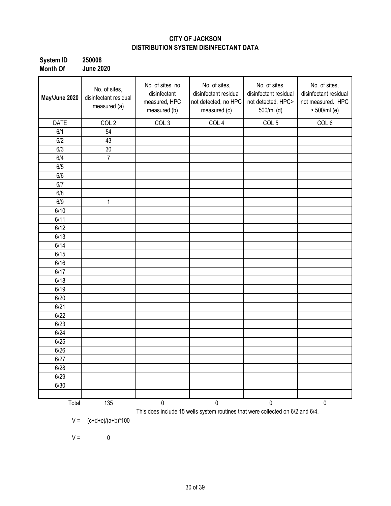#### **CITY OF JACKSON DISTRIBUTION SYSTEM DISINFECTANT DATA**

| <b>System ID</b> | 250008           |
|------------------|------------------|
| <b>Month Of</b>  | <b>June 2020</b> |

| May/June 2020 | No. of sites,<br>disinfectant residual<br>measured (a) | No. of sites, no<br>disinfectant<br>measured, HPC<br>measured (b) | No. of sites,<br>disinfectant residual<br>not detected, no HPC<br>measured (c) | No. of sites,<br>disinfectant residual<br>not detected. HPC><br>500/ml (d) | No. of sites,<br>disinfectant residual<br>not measured. HPC<br>> 500/ml (e) |
|---------------|--------------------------------------------------------|-------------------------------------------------------------------|--------------------------------------------------------------------------------|----------------------------------------------------------------------------|-----------------------------------------------------------------------------|
| <b>DATE</b>   | COL <sub>2</sub>                                       | COL <sub>3</sub>                                                  | COL <sub>4</sub>                                                               | COL <sub>5</sub>                                                           | COL <sub>6</sub>                                                            |
| 6/1           | 54                                                     |                                                                   |                                                                                |                                                                            |                                                                             |
| 6/2           | 43                                                     |                                                                   |                                                                                |                                                                            |                                                                             |
| 6/3           | 30                                                     |                                                                   |                                                                                |                                                                            |                                                                             |
| 6/4           | $\overline{7}$                                         |                                                                   |                                                                                |                                                                            |                                                                             |
| 6/5           |                                                        |                                                                   |                                                                                |                                                                            |                                                                             |
| 6/6           |                                                        |                                                                   |                                                                                |                                                                            |                                                                             |
| 6/7           |                                                        |                                                                   |                                                                                |                                                                            |                                                                             |
| 6/8           |                                                        |                                                                   |                                                                                |                                                                            |                                                                             |
| 6/9           | 1                                                      |                                                                   |                                                                                |                                                                            |                                                                             |
| 6/10          |                                                        |                                                                   |                                                                                |                                                                            |                                                                             |
| 6/11          |                                                        |                                                                   |                                                                                |                                                                            |                                                                             |
| 6/12          |                                                        |                                                                   |                                                                                |                                                                            |                                                                             |
| 6/13          |                                                        |                                                                   |                                                                                |                                                                            |                                                                             |
| 6/14          |                                                        |                                                                   |                                                                                |                                                                            |                                                                             |
| 6/15          |                                                        |                                                                   |                                                                                |                                                                            |                                                                             |
| 6/16          |                                                        |                                                                   |                                                                                |                                                                            |                                                                             |
| 6/17          |                                                        |                                                                   |                                                                                |                                                                            |                                                                             |
| 6/18          |                                                        |                                                                   |                                                                                |                                                                            |                                                                             |
| 6/19          |                                                        |                                                                   |                                                                                |                                                                            |                                                                             |
| 6/20          |                                                        |                                                                   |                                                                                |                                                                            |                                                                             |
| 6/21          |                                                        |                                                                   |                                                                                |                                                                            |                                                                             |
| 6/22          |                                                        |                                                                   |                                                                                |                                                                            |                                                                             |
| 6/23          |                                                        |                                                                   |                                                                                |                                                                            |                                                                             |
| 6/24          |                                                        |                                                                   |                                                                                |                                                                            |                                                                             |
| 6/25          |                                                        |                                                                   |                                                                                |                                                                            |                                                                             |
| 6/26          |                                                        |                                                                   |                                                                                |                                                                            |                                                                             |
| 6/27          |                                                        |                                                                   |                                                                                |                                                                            |                                                                             |
| 6/28          |                                                        |                                                                   |                                                                                |                                                                            |                                                                             |
| 6/29          |                                                        |                                                                   |                                                                                |                                                                            |                                                                             |
| 6/30          |                                                        |                                                                   |                                                                                |                                                                            |                                                                             |
|               |                                                        |                                                                   |                                                                                |                                                                            |                                                                             |
| Total         | 135                                                    | $\mathbf 0$                                                       | $\pmb{0}$                                                                      | 0                                                                          | $\pmb{0}$                                                                   |
| $V =$         | $(c+d+e)/(a+b)*100$                                    |                                                                   | This does include 15 wells system routines that were collected on 6/2 and 6/4. |                                                                            |                                                                             |

 $V = 0$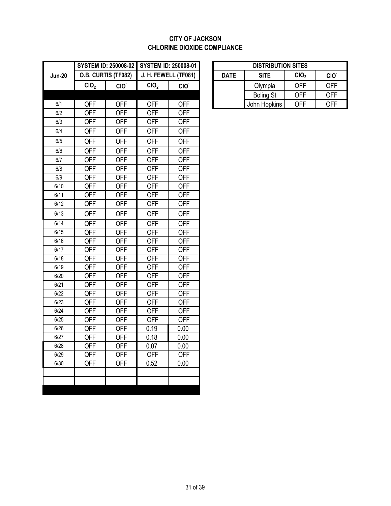#### **CITY OF JACKSON CHLORINE DIOXIDE COMPLIANCE**

|               |                          | <b>SYSTEM ID: 250008-02</b> | <b>SYSTEM ID: 250008-01</b> |                          |             | <b>DISTRIBUTION SITES</b> |                  |                  |
|---------------|--------------------------|-----------------------------|-----------------------------|--------------------------|-------------|---------------------------|------------------|------------------|
| <b>Jun-20</b> |                          | O.B. CURTIS (TF082)         |                             | J. H. FEWELL (TF081)     | <b>DATE</b> | <b>SITE</b>               | CIO <sub>2</sub> | CIO <sup>-</sup> |
|               | CIO <sub>2</sub>         | CIO <sup>-</sup>            | ClO <sub>2</sub>            | CIO <sup>-</sup>         |             | Olympia                   | <b>OFF</b>       | <b>OFF</b>       |
|               |                          |                             |                             |                          |             | <b>Boling St</b>          | <b>OFF</b>       | <b>OFF</b>       |
| 6/1           | <b>OFF</b>               | <b>OFF</b>                  | <b>OFF</b>                  | <b>OFF</b>               |             | John Hopkins              | <b>OFF</b>       | <b>OFF</b>       |
| 6/2           | <b>OFF</b>               | <b>OFF</b>                  | <b>OFF</b>                  | <b>OFF</b>               |             |                           |                  |                  |
| 6/3           | <b>OFF</b>               | <b>OFF</b>                  | <b>OFF</b>                  | <b>OFF</b>               |             |                           |                  |                  |
| 6/4           | <b>OFF</b>               | <b>OFF</b>                  | <b>OFF</b>                  | <b>OFF</b>               |             |                           |                  |                  |
| 6/5           | <b>OFF</b>               | <b>OFF</b>                  | <b>OFF</b>                  | <b>OFF</b>               |             |                           |                  |                  |
| 6/6           | <b>OFF</b>               | <b>OFF</b>                  | <b>OFF</b>                  | <b>OFF</b>               |             |                           |                  |                  |
| 6/7           | <b>OFF</b>               | <b>OFF</b>                  | <b>OFF</b>                  | <b>OFF</b>               |             |                           |                  |                  |
| $6/8$         | <b>OFF</b>               | <b>OFF</b>                  | <b>OFF</b>                  | <b>OFF</b>               |             |                           |                  |                  |
| 6/9           | <b>OFF</b>               | <b>OFF</b>                  | <b>OFF</b>                  | <b>OFF</b>               |             |                           |                  |                  |
| 6/10          | <b>OFF</b>               | <b>OFF</b>                  | <b>OFF</b>                  | <b>OFF</b>               |             |                           |                  |                  |
| 6/11          | <b>OFF</b>               | <b>OFF</b>                  | <b>OFF</b>                  | <b>OFF</b>               |             |                           |                  |                  |
| 6/12          | <b>OFF</b>               | <b>OFF</b>                  | <b>OFF</b>                  | <b>OFF</b>               |             |                           |                  |                  |
| 6/13          | <b>OFF</b>               | <b>OFF</b>                  | <b>OFF</b>                  | <b>OFF</b>               |             |                           |                  |                  |
| 6/14          | <b>OFF</b>               | <b>OFF</b>                  | <b>OFF</b>                  | <b>OFF</b>               |             |                           |                  |                  |
| 6/15          | <b>OFF</b>               | <b>OFF</b>                  | <b>OFF</b>                  | <b>OFF</b>               |             |                           |                  |                  |
| 6/16          | <b>OFF</b>               | <b>OFF</b>                  | <b>OFF</b>                  | <b>OFF</b>               |             |                           |                  |                  |
| 6/17          | <b>OFF</b>               | <b>OFF</b>                  | <b>OFF</b>                  | <b>OFF</b>               |             |                           |                  |                  |
| 6/18          | <b>OFF</b>               | <b>OFF</b>                  | <b>OFF</b>                  | <b>OFF</b>               |             |                           |                  |                  |
| 6/19          | <b>OFF</b>               | <b>OFF</b>                  | <b>OFF</b>                  | <b>OFF</b>               |             |                           |                  |                  |
| 6/20          | <b>OFF</b>               | <b>OFF</b>                  | <b>OFF</b>                  | <b>OFF</b>               |             |                           |                  |                  |
| 6/21          | <b>OFF</b>               | <b>OFF</b>                  | <b>OFF</b>                  | <b>OFF</b>               |             |                           |                  |                  |
| 6/22          | <b>OFF</b>               | <b>OFF</b>                  | <b>OFF</b>                  | <b>OFF</b>               |             |                           |                  |                  |
| 6/23          | <b>OFF</b>               | <b>OFF</b>                  | <b>OFF</b>                  | <b>OFF</b>               |             |                           |                  |                  |
| 6/24<br>6/25  | <b>OFF</b><br><b>OFF</b> | <b>OFF</b><br><b>OFF</b>    | <b>OFF</b><br><b>OFF</b>    | <b>OFF</b><br><b>OFF</b> |             |                           |                  |                  |
| 6/26          | <b>OFF</b>               | <b>OFF</b>                  | 0.19                        | 0.00                     |             |                           |                  |                  |
| 6/27          | <b>OFF</b>               | <b>OFF</b>                  | 0.18                        | 0.00                     |             |                           |                  |                  |
| 6/28          | <b>OFF</b>               | <b>OFF</b>                  | 0.07                        | 0.00                     |             |                           |                  |                  |
| 6/29          | <b>OFF</b>               | <b>OFF</b>                  | <b>OFF</b>                  | <b>OFF</b>               |             |                           |                  |                  |
| 6/30          | <b>OFF</b>               | <b>OFF</b>                  | 0.52                        | 0.00                     |             |                           |                  |                  |
|               |                          |                             |                             |                          |             |                           |                  |                  |
|               |                          |                             |                             |                          |             |                           |                  |                  |
|               |                          |                             |                             |                          |             |                           |                  |                  |

|                  |                          |      |                                         | <b>DISTRIBUTION SITES</b> |                  |                  |                  |  |
|------------------|--------------------------|------|-----------------------------------------|---------------------------|------------------|------------------|------------------|--|
|                  | J. H. FEWELL (TF081)     |      |                                         | <b>DATE</b>               | <b>SITE</b>      | CIO <sub>2</sub> | CIO <sup>-</sup> |  |
| CIO <sup>-</sup> | CIO <sub>2</sub>         | CIO. |                                         |                           | Olympia          | OFF              | <b>OFF</b>       |  |
|                  |                          |      |                                         |                           | <b>Boling St</b> | <b>OFF</b>       | <b>OFF</b>       |  |
| OFF              | OFF                      | OFF  |                                         |                           | John Hopkins     | <b>OFF</b>       | <b>OFF</b>       |  |
|                  | <b>B. CURTIS (TF082)</b> |      | STEM ID: 250008-02 SYSTEM ID: 250008-01 |                           |                  |                  |                  |  |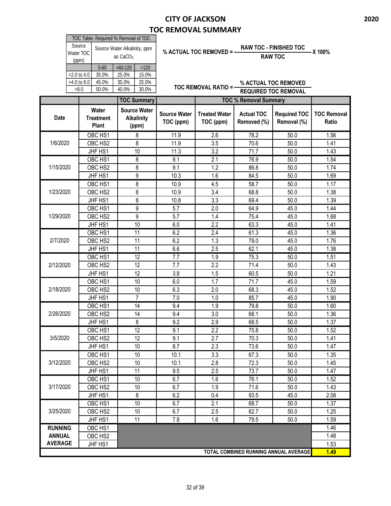|                | TOC Table- Required % Removal of TOC |                  |                              |                     |                             |                              |                                       |                    |  |  |
|----------------|--------------------------------------|------------------|------------------------------|---------------------|-----------------------------|------------------------------|---------------------------------------|--------------------|--|--|
|                | Source                               |                  | Source Water Alkalinity, ppm |                     |                             |                              | <b>RAW TOC - FINISHED TOC</b>         |                    |  |  |
|                | Water TOC                            |                  | as CaCO <sub>3</sub>         |                     | % ACTUAL TOC REMOVED = -    |                              | <b>RAW TOC</b>                        | X 100%             |  |  |
|                | (ppm)                                |                  |                              |                     |                             |                              |                                       |                    |  |  |
|                |                                      | $0 - 60$         | $>60-120$<br>>120            |                     |                             |                              |                                       |                    |  |  |
|                | >2.0 to 4.0                          | 35.0%            | 25.0%<br>15.0%               |                     |                             |                              |                                       |                    |  |  |
|                | >4.0 to 8.0                          | 45.0%            | 35.0%<br>25.0%               |                     | <b>TOC REMOVAL RATIO =-</b> |                              | % ACTUAL TOC REMOVED                  |                    |  |  |
|                | >8.0                                 | 50.0%            | 30.0%<br>40.0%               |                     |                             |                              | <b>REQUIRED TOC REMOVAL</b>           |                    |  |  |
|                |                                      |                  | <b>TOC Summary</b>           |                     |                             | <b>TOC % Removal Summary</b> |                                       |                    |  |  |
|                |                                      | Water            | <b>Source Water</b>          |                     |                             |                              |                                       |                    |  |  |
| <b>Date</b>    |                                      | <b>Treatment</b> | <b>Alkalinity</b>            | <b>Source Water</b> | <b>Treated Water</b>        | <b>Actual TOC</b>            | <b>Required TOC</b>                   | <b>TOC Removal</b> |  |  |
|                |                                      | <b>Plant</b>     | (ppm)                        | TOC (ppm)           | TOC (ppm)                   | Removed (%)                  | Removal (%)                           | Ratio              |  |  |
|                |                                      | OBC HS1          | 8                            | 11.9                | 2.6                         | 78.2                         | 50.0                                  | 1.56               |  |  |
| 1/6/2020       |                                      | OBC HS2          | 8                            | 11.9                | 3.5                         | 70.6                         | 50.0                                  | 1.41               |  |  |
|                |                                      | JHF HS1          | 10                           | 11.3                | 3.2                         | 71.7                         | 50.0                                  | 1.43               |  |  |
|                |                                      | OBC HS1          | 8                            | 9.1                 | 2.1                         | 76.9                         | 50.0                                  | 1.54               |  |  |
| 1/15/2020      |                                      | OBC HS2          | 8                            | 9.1                 | 1.2                         | 86.8                         | 50.0                                  | 1.74               |  |  |
|                |                                      | JHF HS1          | 9                            | 10.3                | 1.6                         | 84.5                         | 50.0                                  | 1.69               |  |  |
|                |                                      | OBC HS1          | 8                            | $\overline{10.9}$   | 4.5                         | 58.7                         | 50.0                                  | 1.17               |  |  |
| 1/23/2020      |                                      | OBC HS2          | 8                            | 10.9                | 3.4                         | 68.8                         | 50.0                                  | 1.38               |  |  |
|                |                                      | JHF HS1          | 8                            | 10.8                | 3.3                         | 69.4                         | 50.0                                  | 1.39               |  |  |
|                |                                      | OBC HS1          | $\overline{9}$               | 5.7                 | $\overline{2.0}$            | 64.9                         | 45.0                                  | 1.44               |  |  |
| 1/29/2020      |                                      | OBC HS2          | 9                            | 5.7                 | 1.4                         | 75.4                         | 45.0                                  | 1.68               |  |  |
|                |                                      |                  | 10                           |                     | 2.2                         |                              |                                       |                    |  |  |
|                |                                      | JHF HS1          |                              | 6.0                 |                             | 63.3                         | 45.0                                  | 1.41               |  |  |
|                |                                      | OBC HS1          | 11                           | 6.2                 | 2.4                         | 61.3                         | 45.0                                  | 1.36               |  |  |
| 2/7/2020       |                                      | OBC HS2          | 11                           | 6.2                 | 1.3                         | 79.0                         | 45.0                                  | 1.76               |  |  |
|                |                                      | JHF HS1          | 11                           | 6.6                 | 2.5                         | 62.1                         | 45.0                                  | 1.38               |  |  |
|                |                                      | OBC HS1          | 12                           | 7.7                 | 1.9                         | 75.3                         | 50.0                                  | 1.51               |  |  |
| 2/12/2020      |                                      | OBC HS2          | 12                           | 7.7                 | 2.2                         | 71.4                         | 50.0                                  | 1.43               |  |  |
|                |                                      | JHF HS1          | 12                           | 3.8                 | 1.5                         | 60.5                         | 50.0                                  | 1.21               |  |  |
|                |                                      | OBC HS1          | 10                           | 6.0                 | $\overline{1.7}$            | 71.7                         | 45.0                                  | 1.59               |  |  |
| 2/18/2020      |                                      | OBC HS2          | 10                           | 6.3                 | 2.0                         | 68.3                         | 45.0                                  | 1.52               |  |  |
|                |                                      | JHF HS1          | $\overline{7}$               | 7.0                 | 1.0                         | 85.7                         | 45.0                                  | 1.90               |  |  |
|                |                                      | OBC HS1          | 14                           | 9.4                 | 1.9                         | 79.8                         | 50.0                                  | 1.60               |  |  |
| 2/26/2020      |                                      | OBC HS2          | 14                           | 9.4                 | 3.0                         | 68.1                         | 50.0                                  | 1.36               |  |  |
|                |                                      | JHF HS1          | 8                            | 9.2                 | 2.9                         | 68.5                         | 50.0                                  | 1.37               |  |  |
|                |                                      | OBC HS1          | 12                           | 9.1                 | 2.2                         | 75.8                         | 50.0                                  | 1.52               |  |  |
| 3/5/2020       |                                      | OBC HS2          | 12                           | 9.1                 | 2.7                         | 70.3                         | 50.0                                  | 1.41               |  |  |
|                |                                      | JHF HS1          | 10                           | 8.7                 | 2.3                         | 73.6                         | 50.0                                  | 1.47               |  |  |
|                |                                      | OBC HS1          | 10                           | 10.1                | 3.3                         | 67.3                         | 50.0                                  | 1.35               |  |  |
| 3/12/2020      |                                      | OBC HS2          | 10                           | 10.1                | 2.8                         | 72.3                         | 50.0                                  | 1.45               |  |  |
|                |                                      | JHF HS1          | 11                           | 9.5                 | 2.5                         | 73.7                         | 50.0                                  | 1.47               |  |  |
|                |                                      | OBC HS1          | 10                           | 6.7                 | 1.6                         | 76.1                         | 50.0                                  | 1.52               |  |  |
| 3/17/2020      |                                      | OBC HS2          | 10                           | 6.7                 | 1.9                         | 71.6                         | 50.0                                  | 1.43               |  |  |
|                |                                      | JHF HS1          | 8                            | 6.2                 | 0.4                         | 93.5                         | 45.0                                  | 2.08               |  |  |
|                |                                      | OBC HS1          | 10                           | 6.7                 | 2.1                         | 68.7                         | 50.0                                  | 1.37               |  |  |
| 3/25/2020      |                                      | OBC HS2          | 10                           | 6.7                 | 2.5                         | 62.7                         | 50.0                                  | 1.25               |  |  |
|                |                                      | JHF HS1          | 11                           | 7.8                 | 1.6                         | 79.5                         | 50.0                                  | 1.59               |  |  |
| <b>RUNNING</b> |                                      | OBC HS1          |                              |                     |                             |                              |                                       | 1.46               |  |  |
| <b>ANNUAL</b>  |                                      | OBC HS2          |                              |                     |                             |                              |                                       | 1.48               |  |  |
| <b>AVERAGE</b> |                                      | JHF HS1          |                              |                     |                             |                              |                                       | 1.53               |  |  |
|                |                                      |                  |                              |                     |                             |                              | TOTAL COMBINED RUNNING ANNUAL AVERAGE | 1.49               |  |  |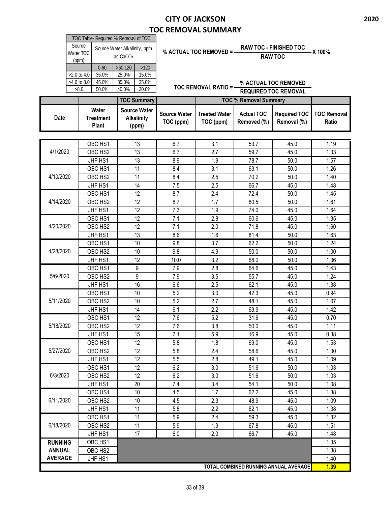|                | Source<br>Water TOC<br>(ppm)<br>$0 - 60$<br>>2.0 to 4.0<br>35.0%<br>>4.0 to 8.0<br>45.0%<br>>8.0<br>50.0%<br>Water | TOC Table- Required % Removal of TOC<br>Source Water Alkalinity, ppm<br>as $CaCO3$<br>$>60-120$<br>>120<br>25.0%<br>15.0%<br>25.0%<br>35.0%<br>40.0%<br>30.0%<br><b>TOC Summary</b><br><b>Source Water</b> |                                  | % ACTUAL TOC REMOVED = -<br><b>TOC REMOVAL RATIO =-</b> | <b>TOC % Removal Summary</b>     | <b>RAW TOC - FINISHED TOC</b><br><b>RAW TOC</b><br>% ACTUAL TOC REMOVED<br><b>REQUIRED TOC REMOVAL</b> | X 100%                      |
|----------------|--------------------------------------------------------------------------------------------------------------------|------------------------------------------------------------------------------------------------------------------------------------------------------------------------------------------------------------|----------------------------------|---------------------------------------------------------|----------------------------------|--------------------------------------------------------------------------------------------------------|-----------------------------|
| <b>Date</b>    | <b>Treatment</b><br><b>Plant</b>                                                                                   | <b>Alkalinity</b><br>(ppm)                                                                                                                                                                                 | <b>Source Water</b><br>TOC (ppm) | <b>Treated Water</b><br>TOC (ppm)                       | <b>Actual TOC</b><br>Removed (%) | <b>Required TOC</b><br>Removal (%)                                                                     | <b>TOC Removal</b><br>Ratio |
|                |                                                                                                                    |                                                                                                                                                                                                            |                                  |                                                         |                                  |                                                                                                        |                             |
|                | OBC HS1                                                                                                            | 13                                                                                                                                                                                                         | 6.7                              | 3.1                                                     | 53.7                             | 45.0                                                                                                   | 1.19                        |
| 4/1/2020       | OBC HS2                                                                                                            | 13                                                                                                                                                                                                         | 6.7                              | 2.7                                                     | 59.7                             | 45.0                                                                                                   | 1.33                        |
|                | JHF HS1                                                                                                            | 13                                                                                                                                                                                                         | 8.9                              | 1.9                                                     | 78.7                             | 50.0                                                                                                   | 1.57                        |
|                | OBC HS1                                                                                                            | 11                                                                                                                                                                                                         | 8.4                              | 3.1                                                     | 63.1                             | 50.0                                                                                                   | 1.26                        |
| 4/10/2020      | OBC HS2                                                                                                            | 11                                                                                                                                                                                                         | 8.4                              | 2.5                                                     | 70.2                             | 50.0                                                                                                   | 1.40                        |
|                | JHF HS1                                                                                                            | 14                                                                                                                                                                                                         | 7.5                              | 2.5                                                     | 66.7                             | 45.0                                                                                                   | 1.48                        |
|                | OBC HS1                                                                                                            | 12                                                                                                                                                                                                         | 8.7                              | 2.4                                                     | 72.4                             | 50.0                                                                                                   | 1.45                        |
| 4/14/2020      | OBC HS2                                                                                                            | 12                                                                                                                                                                                                         | 8.7                              | 1.7                                                     | 80.5                             | 50.0                                                                                                   | 1.61                        |
|                | JHF HS1                                                                                                            | 12                                                                                                                                                                                                         | 7.3                              | 1.9                                                     | 74.0                             | 45.0                                                                                                   | 1.64                        |
|                | OBC HS1                                                                                                            | 12                                                                                                                                                                                                         | 7.1                              | 2.8                                                     | 60.6                             | 45.0                                                                                                   | 1.35                        |
| 4/20/2020      | OBC HS2                                                                                                            | 12                                                                                                                                                                                                         | 7.1                              | 2.0                                                     | 71.8                             | 45.0                                                                                                   | 1.60                        |
|                | JHF HS1                                                                                                            | 13                                                                                                                                                                                                         | 8.6                              | 1.6                                                     | 81.4                             | 50.0                                                                                                   | 1.63                        |
|                | OBC HS1                                                                                                            | 10                                                                                                                                                                                                         | 9.8                              | $\overline{3.7}$                                        | 62.2                             | 50.0                                                                                                   | 1.24                        |
| 4/28/2020      | OBC HS2                                                                                                            | 10                                                                                                                                                                                                         | 9.8                              | 4.9                                                     | 50.0                             | 50.0                                                                                                   | 1.00                        |
|                | JHF HS1                                                                                                            | 12                                                                                                                                                                                                         | 10.0                             | 3.2                                                     | 68.0                             | 50.0                                                                                                   | 1.36                        |
|                | OBC HS1                                                                                                            | 9                                                                                                                                                                                                          | 7.9                              | 2.8                                                     | 64.6                             | 45.0                                                                                                   | 1.43                        |
| 5/6/2020       | OBC HS2                                                                                                            | 9                                                                                                                                                                                                          | 7.9                              | 3.5                                                     | 55.7                             | 45.0                                                                                                   | 1.24                        |
|                | JHF HS1                                                                                                            | 16                                                                                                                                                                                                         | 6.6                              | 2.5                                                     | 62.1                             | 45.0                                                                                                   | 1.38                        |
|                | OBC HS1                                                                                                            | 10                                                                                                                                                                                                         | 5.2                              | 3.0                                                     | 42.3                             | 45.0                                                                                                   | 0.94                        |
| 5/11/2020      | OBC HS2                                                                                                            | 10                                                                                                                                                                                                         | 5.2                              | 2.7                                                     | 48.1                             | 45.0                                                                                                   | 1.07                        |
|                | JHF HS1                                                                                                            | 14                                                                                                                                                                                                         | 6.1                              | 2.2                                                     | 63.9                             | 45.0                                                                                                   | 1.42                        |
|                | OBC HS1                                                                                                            | 12                                                                                                                                                                                                         | 7.6                              | 5.2                                                     | 31.6                             | 45.0                                                                                                   | 0.70                        |
| 5/18/2020      | OBC HS2                                                                                                            | 12                                                                                                                                                                                                         | 7.6                              | 3.8                                                     | 50.0                             | 45.0                                                                                                   | 1.11                        |
|                | JHF HS1                                                                                                            | 15                                                                                                                                                                                                         | 7.1                              | 5.9                                                     | 16.9                             | 45.0                                                                                                   | 0.38                        |
|                | OBC HS1                                                                                                            | 12                                                                                                                                                                                                         | 5.8                              | 1.8                                                     | 69.0                             | 45.0                                                                                                   | 1.53                        |
| 5/27/2020      | OBC HS2                                                                                                            | 12                                                                                                                                                                                                         | 5.8                              | 2.4                                                     | 58.6                             | 45.0                                                                                                   | 1.30                        |
|                | JHF HS1                                                                                                            | 12                                                                                                                                                                                                         | 5.5                              | 2.8                                                     | 49.1                             | 45.0                                                                                                   | 1.09                        |
|                | OBC HS1                                                                                                            | 12                                                                                                                                                                                                         | 6.2                              | 3.0                                                     | 51.6                             | 50.0                                                                                                   | 1.03                        |
| 6/3/2020       | OBC HS2                                                                                                            | 12                                                                                                                                                                                                         | 6.2                              | 3.0                                                     | 51.6                             | 50.0                                                                                                   | 1.03                        |
|                | JHF HS1                                                                                                            | 20                                                                                                                                                                                                         | $7.4\,$                          | 3.4                                                     | 54.1                             | 50.0                                                                                                   | 1.08                        |
|                | OBC HS1                                                                                                            | 10                                                                                                                                                                                                         | 4.5                              | 1.7                                                     | 62.2                             | 45.0                                                                                                   | 1.38                        |
| 6/11/2020      | OBC HS2                                                                                                            | 10                                                                                                                                                                                                         | 4.5                              | 2.3                                                     | 48.9                             | 45.0                                                                                                   | 1.09                        |
|                | JHF HS1                                                                                                            | 11                                                                                                                                                                                                         | 5.8                              | 2.2                                                     | 62.1                             | 45.0                                                                                                   | 1.38                        |
|                | OBC HS1                                                                                                            | 11                                                                                                                                                                                                         | 5.9                              | 2.4                                                     | 59.3                             | 45.0                                                                                                   | 1.32                        |
| 6/18/2020      | OBC HS2                                                                                                            | 11                                                                                                                                                                                                         | 5.9                              | 1.9                                                     | 67.8                             | 45.0                                                                                                   | 1.51                        |
|                | JHF HS1                                                                                                            | 17                                                                                                                                                                                                         | 6.0                              | 2.0                                                     | 66.7                             | 45.0                                                                                                   | 1.48                        |
| <b>RUNNING</b> | OBC HS1                                                                                                            |                                                                                                                                                                                                            |                                  |                                                         |                                  |                                                                                                        | 1.35                        |
| <b>ANNUAL</b>  | OBC HS2                                                                                                            |                                                                                                                                                                                                            |                                  |                                                         |                                  |                                                                                                        | 1.38                        |
| <b>AVERAGE</b> | JHF HS1                                                                                                            |                                                                                                                                                                                                            |                                  |                                                         |                                  |                                                                                                        | 1.40                        |
|                |                                                                                                                    |                                                                                                                                                                                                            |                                  |                                                         |                                  | TOTAL COMBINED RUNNING ANNUAL AVERAGE                                                                  | 1.39                        |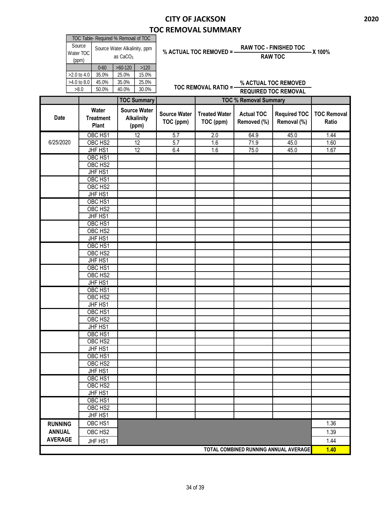| TOC Table- Required % Removal of TOC |                                            |       |       |  |  |  |  |  |  |
|--------------------------------------|--------------------------------------------|-------|-------|--|--|--|--|--|--|
| Source<br>Water TOC<br>(ppm)         | Source Water Alkalinity, ppm<br>as $CaCO3$ |       |       |  |  |  |  |  |  |
|                                      | $>60-120$<br>>120<br>$0 - 60$              |       |       |  |  |  |  |  |  |
| $>2.0$ to 4.0                        | 35.0%                                      | 25.0% | 15.0% |  |  |  |  |  |  |
|                                      |                                            |       |       |  |  |  |  |  |  |
| $>4.0$ to 8.0                        | 45.0%                                      | 35.0% | 25.0% |  |  |  |  |  |  |

# **% ACTUAL TOC REMOVED = RAW TOC - FINISHED TOC X 100%**

**RAW TOC**

**TOC REMOVAL RATIO = % ACTUAL TOC REMOVED REQUIRED TOC REMOVAL**

|                |                                    | <b>TOC Summary</b>                                |                                  | <b>TOC % Removal Summary</b>      |                                       |                                    |                             |
|----------------|------------------------------------|---------------------------------------------------|----------------------------------|-----------------------------------|---------------------------------------|------------------------------------|-----------------------------|
| <b>Date</b>    | Water<br><b>Treatment</b><br>Plant | <b>Source Water</b><br><b>Alkalinity</b><br>(ppm) | <b>Source Water</b><br>TOC (ppm) | <b>Treated Water</b><br>TOC (ppm) | <b>Actual TOC</b><br>Removed (%)      | <b>Required TOC</b><br>Removal (%) | <b>TOC Removal</b><br>Ratio |
|                | OBC HS1                            | 12                                                | 5.7                              | 2.0                               | 64.9                                  | 45.0                               | 1.44                        |
| 6/25/2020      | OBC HS2                            | 12                                                | $\overline{5.7}$                 | 1.6                               | 71.9                                  | 45.0                               | 1.60                        |
|                | JHF HS1                            | $\overline{12}$                                   | 6.4                              | 1.6                               | 75.0                                  | 45.0                               | 1.67                        |
|                | OBC HS1                            |                                                   |                                  |                                   |                                       |                                    |                             |
|                | OBC HS2                            |                                                   |                                  |                                   |                                       |                                    |                             |
|                | JHF HS1                            |                                                   |                                  |                                   |                                       |                                    |                             |
|                | OBC HS1                            |                                                   |                                  |                                   |                                       |                                    |                             |
|                | OBC HS2                            |                                                   |                                  |                                   |                                       |                                    |                             |
|                | JHF HS1                            |                                                   |                                  |                                   |                                       |                                    |                             |
|                | OBC HS1                            |                                                   |                                  |                                   |                                       |                                    |                             |
|                | OBC HS2                            |                                                   |                                  |                                   |                                       |                                    |                             |
|                | JHF HS1                            |                                                   |                                  |                                   |                                       |                                    |                             |
|                | OBC HS1                            |                                                   |                                  |                                   |                                       |                                    |                             |
|                | OBC HS2                            |                                                   |                                  |                                   |                                       |                                    |                             |
|                | JHF HS1                            |                                                   |                                  |                                   |                                       |                                    |                             |
|                | OBC HS1                            |                                                   |                                  |                                   |                                       |                                    |                             |
|                | OBC HS2                            |                                                   |                                  |                                   |                                       |                                    |                             |
|                | JHF HS1                            |                                                   |                                  |                                   |                                       |                                    |                             |
|                | OBC HS1                            |                                                   |                                  |                                   |                                       |                                    |                             |
|                | OBC HS2                            |                                                   |                                  |                                   |                                       |                                    |                             |
|                | JHF HS1                            |                                                   |                                  |                                   |                                       |                                    |                             |
|                | OBC HS1                            |                                                   |                                  |                                   |                                       |                                    |                             |
|                | OBC HS2                            |                                                   |                                  |                                   |                                       |                                    |                             |
|                | JHF HS1                            |                                                   |                                  |                                   |                                       |                                    |                             |
|                | OBC HS1                            |                                                   |                                  |                                   |                                       |                                    |                             |
|                | OBC HS <sub>2</sub>                |                                                   |                                  |                                   |                                       |                                    |                             |
|                | JHF HS1                            |                                                   |                                  |                                   |                                       |                                    |                             |
|                | OBC HS1                            |                                                   |                                  |                                   |                                       |                                    |                             |
|                | OBC HS2                            |                                                   |                                  |                                   |                                       |                                    |                             |
|                | JHF HS1                            |                                                   |                                  |                                   |                                       |                                    |                             |
|                | OBC HS1                            |                                                   |                                  |                                   |                                       |                                    |                             |
|                | OBC HS2                            |                                                   |                                  |                                   |                                       |                                    |                             |
|                | JHF HS1                            |                                                   |                                  |                                   |                                       |                                    |                             |
|                | OBC HS1                            |                                                   |                                  |                                   |                                       |                                    |                             |
|                | OBC HS2                            |                                                   |                                  |                                   |                                       |                                    |                             |
|                | JHF HS1                            |                                                   |                                  |                                   |                                       |                                    |                             |
|                | OBC HS1                            |                                                   |                                  |                                   |                                       |                                    |                             |
|                | OBC HS2                            |                                                   |                                  |                                   |                                       |                                    |                             |
|                | JHF HS1                            |                                                   |                                  |                                   |                                       |                                    |                             |
| <b>RUNNING</b> | OBC HS1                            |                                                   |                                  |                                   |                                       |                                    | 1.36                        |
| <b>ANNUAL</b>  | OBC HS2                            |                                                   |                                  |                                   |                                       |                                    | 1.39                        |
| <b>AVERAGE</b> | JHF HS1                            |                                                   |                                  |                                   |                                       |                                    | 1.44                        |
|                |                                    |                                                   |                                  |                                   | TOTAL COMBINED RUNNING ANNUAL AVERAGE |                                    | 1.40                        |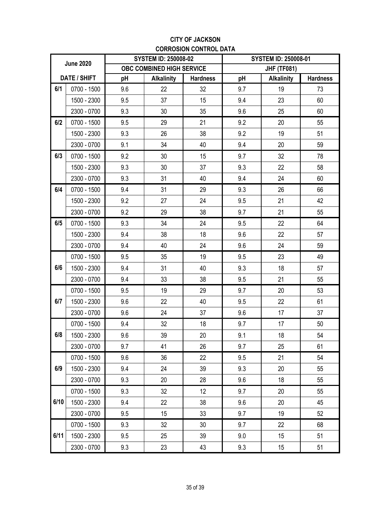#### **CITY OF JACKSON CORROSION CONTROL DATA**

| <b>June 2020</b> |              |     | <b>SYSTEM ID: 250008-02</b> |                 | <b>SYSTEM ID: 250008-01</b> |                    |                 |  |
|------------------|--------------|-----|-----------------------------|-----------------|-----------------------------|--------------------|-----------------|--|
|                  |              |     | OBC COMBINED HIGH SERVICE   |                 |                             | <b>JHF (TF081)</b> |                 |  |
|                  | DATE / SHIFT | pH  | <b>Alkalinity</b>           | <b>Hardness</b> | pH                          | <b>Alkalinity</b>  | <b>Hardness</b> |  |
| 6/1              | 0700 - 1500  | 9.6 | 22                          | 32              | 9.7                         | 19                 | 73              |  |
|                  | 1500 - 2300  | 9.5 | 37                          | 15              | 9.4                         | 23                 | 60              |  |
|                  | 2300 - 0700  | 9.3 | 30                          | 35              | 9.6                         | 25                 | 60              |  |
| 6/2              | 0700 - 1500  | 9.5 | 29                          | 21              | 9.2                         | 20                 | 55              |  |
|                  | 1500 - 2300  | 9.3 | 26                          | 38              | 9.2                         | 19                 | 51              |  |
|                  | 2300 - 0700  | 9.1 | 34                          | 40              | 9.4                         | 20                 | 59              |  |
| 6/3              | 0700 - 1500  | 9.2 | 30                          | 15              | 9.7                         | 32                 | 78              |  |
|                  | 1500 - 2300  | 9.3 | 30                          | 37              | 9.3                         | 22                 | 58              |  |
|                  | 2300 - 0700  | 9.3 | 31                          | 40              | 9.4                         | 24                 | 60              |  |
| 6/4              | 0700 - 1500  | 9.4 | 31                          | 29              | 9.3                         | 26                 | 66              |  |
|                  | 1500 - 2300  | 9.2 | 27                          | 24              | 9.5                         | 21                 | 42              |  |
|                  | 2300 - 0700  | 9.2 | 29                          | 38              | 9.7                         | 21                 | 55              |  |
| 6/5              | 0700 - 1500  | 9.3 | 34                          | 24              | 9.5                         | 22                 | 64              |  |
|                  | 1500 - 2300  | 9.4 | 38                          | 18              | 9.6                         | 22                 | 57              |  |
|                  | 2300 - 0700  | 9.4 | 40                          | 24              | 9.6                         | 24                 | 59              |  |
|                  | 0700 - 1500  | 9.5 | 35                          | 19              | 9.5                         | 23                 | 49              |  |
| 6/6              | 1500 - 2300  | 9.4 | 31                          | 40              | 9.3                         | 18                 | 57              |  |
|                  | 2300 - 0700  | 9.4 | 33                          | 38              | 9.5                         | 21                 | 55              |  |
|                  | 0700 - 1500  | 9.5 | 19                          | 29              | 9.7                         | 20                 | 53              |  |
| 6/7              | 1500 - 2300  | 9.6 | 22                          | 40              | 9.5                         | 22                 | 61              |  |
|                  | 2300 - 0700  | 9.6 | 24                          | 37              | 9.6                         | 17                 | 37              |  |
|                  | 0700 - 1500  | 9.4 | 32                          | 18              | 9.7                         | 17                 | 50              |  |
| 6/8              | 1500 - 2300  | 9.6 | 39                          | 20              | 9.1                         | 18                 | 54              |  |
|                  | 2300 - 0700  | 9.7 | 41                          | 26              | 9.7                         | 25                 | 61              |  |
|                  | 0700 - 1500  | 9.6 | 36                          | 22              | 9.5                         | 21                 | 54              |  |
| 6/9              | 1500 - 2300  | 9.4 | 24                          | 39              | 9.3                         | 20                 | 55              |  |
|                  | 2300 - 0700  | 9.3 | 20                          | 28              | 9.6                         | 18                 | 55              |  |
|                  | 0700 - 1500  | 9.3 | 32                          | 12              | 9.7                         | 20                 | 55              |  |
| 6/10             | 1500 - 2300  | 9.4 | 22                          | 38              | 9.6                         | 20                 | 45              |  |
|                  | 2300 - 0700  | 9.5 | 15                          | 33              | 9.7                         | 19                 | 52              |  |
|                  | 0700 - 1500  | 9.3 | 32                          | 30              | 9.7                         | 22                 | 68              |  |
| 6/11             | 1500 - 2300  | 9.5 | 25                          | 39              | 9.0                         | 15                 | 51              |  |
|                  | 2300 - 0700  | 9.3 | 23                          | 43              | 9.3                         | 15                 | 51              |  |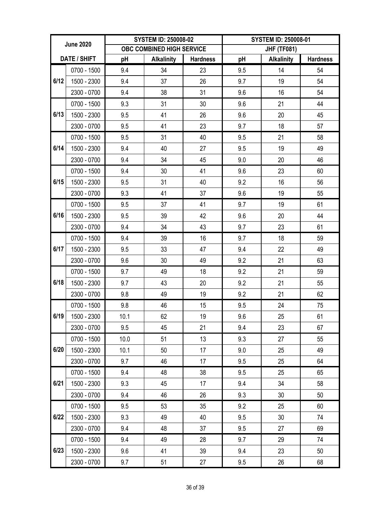| <b>June 2020</b> |             |      | <b>SYSTEM ID: 250008-02</b> |                 | <b>SYSTEM ID: 250008-01</b> |                    |                 |  |
|------------------|-------------|------|-----------------------------|-----------------|-----------------------------|--------------------|-----------------|--|
|                  |             |      | OBC COMBINED HIGH SERVICE   |                 |                             | <b>JHF (TF081)</b> |                 |  |
| DATE / SHIFT     |             | pH   | <b>Alkalinity</b>           | <b>Hardness</b> | рH                          | <b>Alkalinity</b>  | <b>Hardness</b> |  |
|                  | 0700 - 1500 | 9.4  | 34                          | 23              | 9.5                         | 14                 | 54              |  |
| 6/12             | 1500 - 2300 | 9.4  | 37                          | 26              | 9.7                         | 19                 | 54              |  |
|                  | 2300 - 0700 | 9.4  | 38                          | 31              | 9.6                         | 16                 | 54              |  |
|                  | 0700 - 1500 | 9.3  | 31                          | 30              | 9.6                         | 21                 | 44              |  |
| 6/13             | 1500 - 2300 | 9.5  | 41                          | 26              | 9.6                         | 20                 | 45              |  |
|                  | 2300 - 0700 | 9.5  | 41                          | 23              | 9.7                         | 18                 | 57              |  |
|                  | 0700 - 1500 | 9.5  | 31                          | 40              | 9.5                         | 21                 | 58              |  |
| 6/14             | 1500 - 2300 | 9.4  | 40                          | 27              | 9.5                         | 19                 | 49              |  |
|                  | 2300 - 0700 | 9.4  | 34                          | 45              | 9.0                         | 20                 | 46              |  |
|                  | 0700 - 1500 | 9.4  | 30                          | 41              | 9.6                         | 23                 | 60              |  |
| 6/15             | 1500 - 2300 | 9.5  | 31                          | 40              | 9.2                         | 16                 | 56              |  |
|                  | 2300 - 0700 | 9.3  | 41                          | 37              | 9.6                         | 19                 | 55              |  |
|                  | 0700 - 1500 | 9.5  | 37                          | 41              | 9.7                         | 19                 | 61              |  |
| 6/16             | 1500 - 2300 | 9.5  | 39                          | 42              | 9.6                         | 20                 | 44              |  |
|                  | 2300 - 0700 | 9.4  | 34                          | 43              | 9.7                         | 23                 | 61              |  |
|                  | 0700 - 1500 | 9.4  | 39                          | 16              | 9.7                         | 18                 | 59              |  |
| 6/17             | 1500 - 2300 | 9.5  | 33                          | 47              | 9.4                         | 22                 | 49              |  |
|                  | 2300 - 0700 | 9.6  | 30                          | 49              | 9.2                         | 21                 | 63              |  |
|                  | 0700 - 1500 | 9.7  | 49                          | 18              | 9.2                         | 21                 | 59              |  |
| 6/18             | 1500 - 2300 | 9.7  | 43                          | 20              | 9.2                         | 21                 | 55              |  |
|                  | 2300 - 0700 | 9.8  | 49                          | 19              | 9.2                         | 21                 | 62              |  |
|                  | 0700 - 1500 | 9.8  | 46                          | 15              | 9.5                         | 24                 | 75              |  |
| 6/19             | 1500 - 2300 | 10.1 | 62                          | 19              | 9.6                         | 25                 | 61              |  |
|                  | 2300 - 0700 | 9.5  | 45                          | 21              | 9.4                         | 23                 | 67              |  |
|                  | 0700 - 1500 | 10.0 | 51                          | 13              | 9.3                         | 27                 | 55              |  |
| 6/20             | 1500 - 2300 | 10.1 | 50                          | 17              | 9.0                         | 25                 | 49              |  |
|                  | 2300 - 0700 | 9.7  | 46                          | 17              | 9.5                         | 25                 | 64              |  |
|                  | 0700 - 1500 | 9.4  | 48                          | 38              | 9.5                         | 25                 | 65              |  |
| 6/21             | 1500 - 2300 | 9.3  | 45                          | 17              | 9.4                         | 34                 | 58              |  |
|                  | 2300 - 0700 | 9.4  | 46                          | 26              | 9.3                         | 30                 | 50              |  |
|                  | 0700 - 1500 | 9.5  | 53                          | 35              | 9.2                         | 25                 | 60              |  |
| 6/22             | 1500 - 2300 | 9.3  | 49                          | 40              | 9.5                         | 30                 | 74              |  |
|                  | 2300 - 0700 | 9.4  | 48                          | 37              | 9.5                         | 27                 | 69              |  |
|                  | 0700 - 1500 | 9.4  | 49                          | 28              | 9.7                         | 29                 | 74              |  |
| 6/23             | 1500 - 2300 | 9.6  | 41                          | 39              | 9.4                         | 23                 | 50              |  |
|                  | 2300 - 0700 | 9.7  | 51                          | 27              | 9.5                         | 26                 | 68              |  |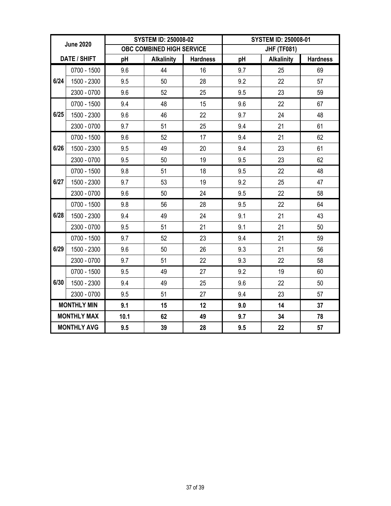| <b>June 2020</b> |                    |      | <b>SYSTEM ID: 250008-02</b> |                 | <b>SYSTEM ID: 250008-01</b> |                   |                 |  |
|------------------|--------------------|------|-----------------------------|-----------------|-----------------------------|-------------------|-----------------|--|
|                  |                    |      | OBC COMBINED HIGH SERVICE   |                 | <b>JHF (TF081)</b>          |                   |                 |  |
|                  | DATE / SHIFT       | pH   | <b>Alkalinity</b>           | <b>Hardness</b> | pH                          | <b>Alkalinity</b> | <b>Hardness</b> |  |
|                  | 0700 - 1500        | 9.6  | 44                          | 16              | 9.7                         | 25                | 69              |  |
| 6/24             | 1500 - 2300        | 9.5  | 50                          | 28              | 9.2                         | 22                | 57              |  |
|                  | 2300 - 0700        | 9.6  | 52                          | 25              | 9.5                         | 23                | 59              |  |
|                  | 0700 - 1500        | 9.4  | 48                          | 15              | 9.6                         | 22                | 67              |  |
| 6/25             | 1500 - 2300        | 9.6  | 46                          | 22              | 9.7                         | 24                | 48              |  |
|                  | 2300 - 0700        | 9.7  | 51                          | 25              | 9.4                         | 21                | 61              |  |
|                  | $0700 - 1500$      | 9.6  | 52                          | 17              | 9.4                         | 21                | 62              |  |
| 6/26             | 1500 - 2300        | 9.5  | 49                          | 20              | 9.4                         | 23                | 61              |  |
|                  | 2300 - 0700        | 9.5  | 50                          | 19              | 9.5                         | 23                | 62              |  |
|                  | 0700 - 1500        | 9.8  | 51                          | 18              | 9.5                         | 22                | 48              |  |
| 6/27             | 1500 - 2300        | 9.7  | 53                          | 19              | 9.2                         | 25                | 47              |  |
|                  | 2300 - 0700        | 9.6  | 50                          | 24              | 9.5                         | 22                | 58              |  |
|                  | 0700 - 1500        | 9.8  | 56                          | 28              | 9.5                         | 22                | 64              |  |
| 6/28             | 1500 - 2300        | 9.4  | 49                          | 24              | 9.1                         | 21                | 43              |  |
|                  | 2300 - 0700        | 9.5  | 51                          | 21              | 9.1                         | 21                | 50              |  |
|                  | 0700 - 1500        | 9.7  | 52                          | 23              | 9.4                         | 21                | 59              |  |
| 6/29             | 1500 - 2300        | 9.6  | 50                          | 26              | 9.3                         | 21                | 56              |  |
|                  | 2300 - 0700        | 9.7  | 51                          | 22              | 9.3                         | 22                | 58              |  |
|                  | 0700 - 1500        | 9.5  | 49                          | 27              | 9.2                         | 19                | 60              |  |
| 6/30             | 1500 - 2300        | 9.4  | 49                          | 25              | 9.6                         | 22                | 50              |  |
|                  | 2300 - 0700        | 9.5  | 51                          | 27              | 9.4                         | 23                | 57              |  |
|                  | <b>MONTHLY MIN</b> | 9.1  | 15                          | 12              | 9.0                         | 14                | 37              |  |
|                  | <b>MONTHLY MAX</b> | 10.1 | 62                          | 49              | 9.7                         | 34                | 78              |  |
|                  | <b>MONTHLY AVG</b> | 9.5  | 39                          | 28              | 9.5                         | 22                | 57              |  |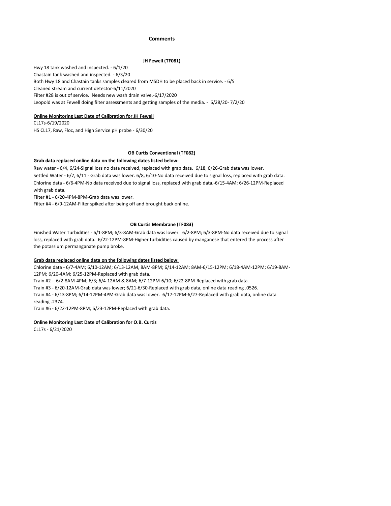#### **Comments**

#### **JH Fewell (TF081)**

Cleaned stream and current detector-6/11/2020 Filter #28 is out of service. Needs new wash drain valve.-6/17/2020 Leopold was at Fewell doing filter assessments and getting samples of the media. - 6/28/20- 7/2/20 Hwy 18 tank washed and inspected. - 6/1/20 Chastain tank washed and inspected. - 6/3/20 Both Hwy 18 and Chastain tanks samples cleared from MSDH to be placed back in service. - 6/5

#### **Online Monitoring Last Date of Calibration for JH Fewell**

HS CL17, Raw, Floc, and High Service pH probe - 6/30/20 CL17s-6/19/2020

#### **OB Curtis Conventional (TF082)**

#### **Grab data replaced online data on the following dates listed below:**

Settled Water - 6/7, 6/11 - Grab data was lower. 6/8, 6/10-No data received due to signal loss, replaced with grab data. Chlorine data - 6/6-4PM-No data received due to signal loss, replaced with grab data.-6/15-4AM; 6/26-12PM-Replaced with grab data. Raw water - 6/4, 6/24-Signal loss no data received, replaced with grab data. 6/18, 6/26-Grab data was lower.

Filter #1 - 6/20-4PM-8PM-Grab data was lower.

Filter #4 - 6/9-12AM-Filter spiked after being off and brought back online.

#### **OB Curtis Membrane (TF083)**

Finished Water Turbidities - 6/1-8PM; 6/3-8AM-Grab data was lower. 6/2-8PM; 6/3-8PM-No data received due to signal loss, replaced with grab data. 6/22-12PM-8PM-Higher turbidities caused by manganese that entered the process after the potassium permanganate pump broke.

#### **Grab data replaced online data on the following dates listed below:**

Chlorine data - 6/7-4AM; 6/10-12AM; 6/13-12AM, 8AM-8PM; 6/14-12AM; 8AM-6/15-12PM; 6/18-4AM-12PM; 6/19-8AM-12PM; 6/20-4AM; 6/25-12PM-Replaced with grab data.

Train #2 - 6/2-8AM-4PM; 6/3; 6/4-12AM & 8AM; 6/7-12PM-6/10; 6/22-8PM-Replaced with grab data.

Train #3 - 6/20-12AM-Grab data was lower; 6/21-6/30-Replaced with grab data, online data reading .0526.

Train #4 - 6/13-8PM; 6/14-12PM-4PM-Grab data was lower. 6/17-12PM-6/27-Replaced with grab data, online data reading .2374.

Train #6 - 6/22-12PM-8PM; 6/23-12PM-Replaced with grab data.

#### **Online Monitoring Last Date of Calibration for O.B. Curtis**

CL17s - 6/21/2020